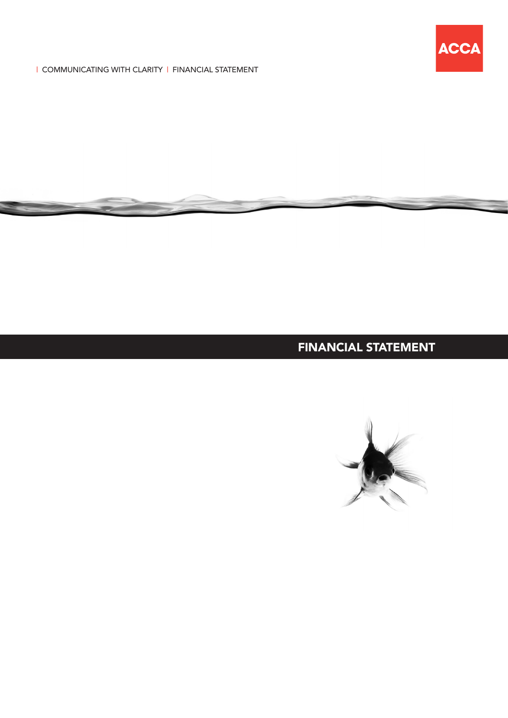

| COMMUNICATING WITH CLARITY | FINANCIAL STATEMENT

# FINANCIAL STATEMENT

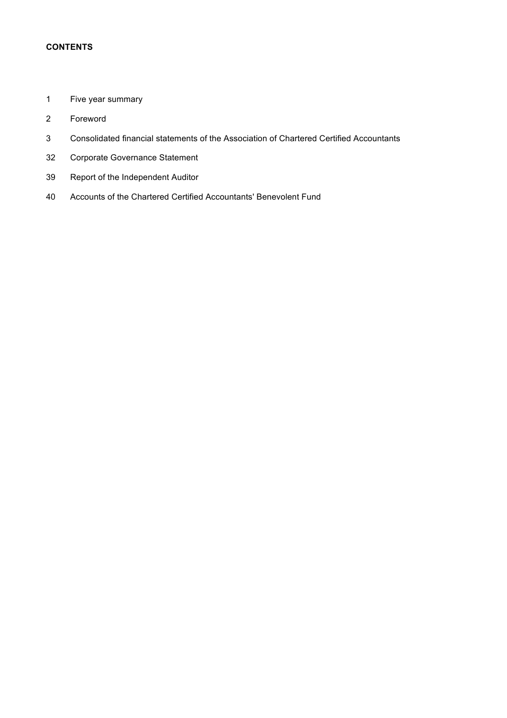## **CONTENTS**

- Five year summary
- Foreword
- Consolidated financial statements of the Association of Chartered Certified Accountants
- Corporate Governance Statement
- Report of the Independent Auditor
- Accounts of the Chartered Certified Accountants' Benevolent Fund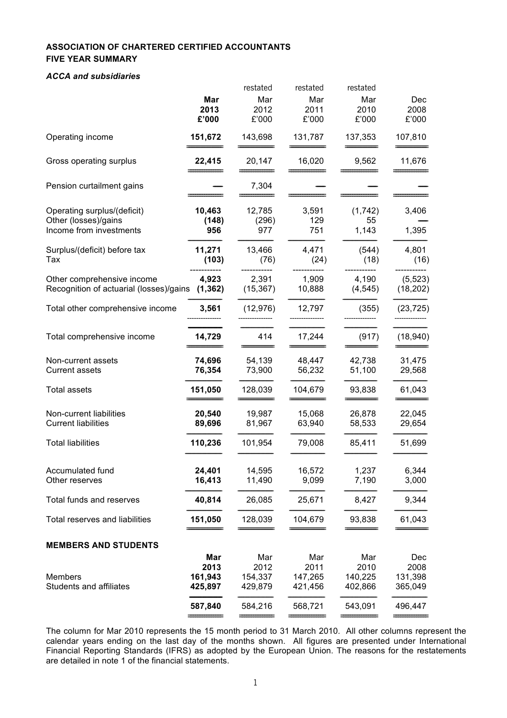## **ASSOCIATION OF CHARTERED CERTIFIED ACCOUNTANTS FIVE YEAR SUMMARY**

#### *ACCA and subsidiaries*

|                                                                                |                                   | restated                          | restated                          | restated                          |                                   |
|--------------------------------------------------------------------------------|-----------------------------------|-----------------------------------|-----------------------------------|-----------------------------------|-----------------------------------|
|                                                                                | Mar<br>2013                       | Mar<br>2012                       | Mar<br>2011                       | Mar<br>2010                       | Dec<br>2008                       |
|                                                                                | £'000                             | £'000                             | £'000                             | £'000                             | £'000                             |
| Operating income                                                               | 151,672                           | 143,698                           | 131,787                           | 137,353                           | 107,810                           |
| Gross operating surplus                                                        | 22,415                            | 20,147                            | 16,020                            | 9,562                             | 11,676                            |
| Pension curtailment gains                                                      |                                   | 7,304                             |                                   |                                   |                                   |
| Operating surplus/(deficit)<br>Other (losses)/gains<br>Income from investments | 10,463<br>(148)<br>956            | 12,785<br>(296)<br>977            | 3,591<br>129<br>751               | (1,742)<br>55<br>1,143            | 3,406<br>1,395                    |
| Surplus/(deficit) before tax<br>Тах                                            | 11,271<br>(103)                   | 13,466<br>(76)                    | 4,471<br>(24)                     | (544)<br>(18)                     | 4,801<br>(16)                     |
| Other comprehensive income<br>Recognition of actuarial (losses)/gains          | 4,923<br>(1, 362)                 | 2,391<br>(15, 367)                | 1,909<br>10,888                   | 4,190<br>(4, 545)                 | (5, 523)<br>(18, 202)             |
| Total other comprehensive income                                               | 3,561                             | (12, 976)                         | 12,797                            | (355)                             | (23, 725)                         |
| Total comprehensive income                                                     | 14,729                            | 414                               | 17,244                            | (917)                             | (18, 940)                         |
| Non-current assets<br><b>Current assets</b>                                    | 74,696<br>76,354                  | 54,139<br>73,900                  | 48,447<br>56,232                  | 42,738<br>51,100                  | 31,475<br>29,568                  |
| <b>Total assets</b>                                                            | 151,050                           | 128,039                           | 104,679                           | 93,838                            | 61,043                            |
| Non-current liabilities<br><b>Current liabilities</b>                          | 20,540<br>89,696                  | 19,987<br>81,967                  | 15,068<br>63,940                  | 26,878<br>58,533                  | 22,045<br>29,654                  |
| <b>Total liabilities</b>                                                       | 110,236                           | 101,954                           | 79,008                            | 85,411                            | 51,699                            |
| Accumulated fund<br>Other reserves                                             | 24,401<br>16,413                  | 14,595<br>11,490                  | 16,572<br>9,099                   | 1,237<br>7,190                    | 6,344<br>3,000                    |
| Total funds and reserves                                                       | 40,814                            | 26,085                            | 25,671                            | 8,427                             | 9,344                             |
| <b>Total reserves and liabilities</b>                                          | 151,050                           | 128,039                           | 104,679                           | 93,838                            | 61,043                            |
| <b>MEMBERS AND STUDENTS</b>                                                    |                                   |                                   |                                   |                                   |                                   |
| <b>Members</b><br><b>Students and affiliates</b>                               | Mar<br>2013<br>161,943<br>425,897 | Mar<br>2012<br>154,337<br>429,879 | Mar<br>2011<br>147,265<br>421,456 | Mar<br>2010<br>140,225<br>402,866 | Dec<br>2008<br>131,398<br>365,049 |
|                                                                                | 587,840                           | 584,216                           | 568,721                           | 543,091                           | 496,447                           |
|                                                                                |                                   |                                   |                                   |                                   |                                   |

The column for Mar 2010 represents the 15 month period to 31 March 2010. All other columns represent the calendar years ending on the last day of the months shown. All figures are presented under International Financial Reporting Standards (IFRS) as adopted by the European Union. The reasons for the restatements are detailed in note 1 of the financial statements.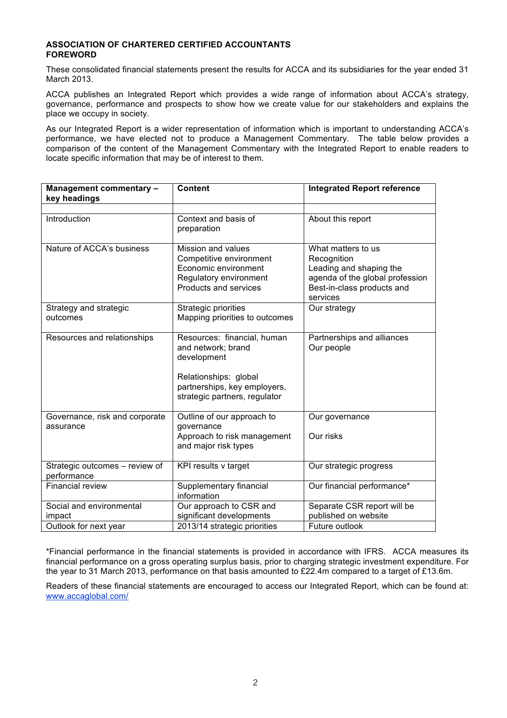#### **ASSOCIATION OF CHARTERED CERTIFIED ACCOUNTANTS FOREWORD**

These consolidated financial statements present the results for ACCA and its subsidiaries for the year ended 31 March 2013.

ACCA publishes an Integrated Report which provides a wide range of information about ACCA's strategy, governance, performance and prospects to show how we create value for our stakeholders and explains the place we occupy in society.

As our Integrated Report is a wider representation of information which is important to understanding ACCA's performance, we have elected not to produce a Management Commentary. The table below provides a comparison of the content of the Management Commentary with the Integrated Report to enable readers to locate specific information that may be of interest to them.

| Management commentary -<br>key headings       | <b>Content</b>                                                                                                                                             | <b>Integrated Report reference</b>                                                                                                        |
|-----------------------------------------------|------------------------------------------------------------------------------------------------------------------------------------------------------------|-------------------------------------------------------------------------------------------------------------------------------------------|
|                                               |                                                                                                                                                            |                                                                                                                                           |
| Introduction                                  | Context and basis of<br>preparation                                                                                                                        | About this report                                                                                                                         |
| Nature of ACCA's business                     | Mission and values<br>Competitive environment<br>Economic environment<br>Regulatory environment<br>Products and services                                   | What matters to us<br>Recognition<br>Leading and shaping the<br>agenda of the global profession<br>Best-in-class products and<br>services |
| Strategy and strategic<br>outcomes            | Strategic priorities<br>Mapping priorities to outcomes                                                                                                     | Our strategy                                                                                                                              |
| Resources and relationships                   | Resources: financial, human<br>and network; brand<br>development<br>Relationships: global<br>partnerships, key employers,<br>strategic partners, regulator | Partnerships and alliances<br>Our people                                                                                                  |
| Governance, risk and corporate<br>assurance   | Outline of our approach to<br>governance<br>Approach to risk management<br>and major risk types                                                            | Our governance<br>Our risks                                                                                                               |
| Strategic outcomes - review of<br>performance | KPI results v target                                                                                                                                       | Our strategic progress                                                                                                                    |
| <b>Financial review</b>                       | Supplementary financial<br>information                                                                                                                     | Our financial performance*                                                                                                                |
| Social and environmental                      | Our approach to CSR and                                                                                                                                    | Separate CSR report will be                                                                                                               |
| impact                                        | significant developments                                                                                                                                   | published on website                                                                                                                      |
| Outlook for next year                         | 2013/14 strategic priorities                                                                                                                               | Future outlook                                                                                                                            |

\*Financial performance in the financial statements is provided in accordance with IFRS. ACCA measures its financial performance on a gross operating surplus basis, prior to charging strategic investment expenditure. For the year to 31 March 2013, performance on that basis amounted to £22.4m compared to a target of £13.6m.

Readers of these financial statements are encouraged to access our Integrated Report, which can be found at: www.accaglobal.com/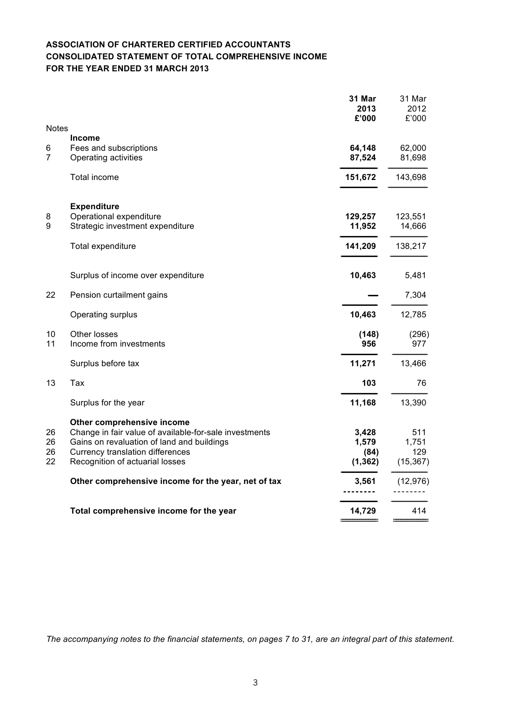## **ASSOCIATION OF CHARTERED CERTIFIED ACCOUNTANTS CONSOLIDATED STATEMENT OF TOTAL COMPREHENSIVE INCOME FOR THE YEAR ENDED 31 MARCH 2013**

|                      |                                                                                                                                                                                                                  | 31 Mar<br>2013<br>£'000            | 31 Mar<br>2012<br>£'000          |
|----------------------|------------------------------------------------------------------------------------------------------------------------------------------------------------------------------------------------------------------|------------------------------------|----------------------------------|
| <b>Notes</b>         |                                                                                                                                                                                                                  |                                    |                                  |
| 6<br>$\overline{7}$  | <b>Income</b><br>Fees and subscriptions<br>Operating activities                                                                                                                                                  | 64,148<br>87,524                   | 62,000<br>81,698                 |
|                      | Total income                                                                                                                                                                                                     | 151,672                            | 143,698                          |
| 8<br>9               | <b>Expenditure</b><br>Operational expenditure<br>Strategic investment expenditure                                                                                                                                | 129,257<br>11,952                  | 123,551<br>14,666                |
|                      | Total expenditure                                                                                                                                                                                                | 141,209                            | 138,217                          |
|                      | Surplus of income over expenditure                                                                                                                                                                               | 10,463                             | 5,481                            |
| 22                   | Pension curtailment gains                                                                                                                                                                                        |                                    | 7,304                            |
|                      | Operating surplus                                                                                                                                                                                                | 10,463                             | 12,785                           |
| 10<br>11             | Other losses<br>Income from investments                                                                                                                                                                          | (148)<br>956                       | (296)<br>977                     |
|                      | Surplus before tax                                                                                                                                                                                               | 11,271                             | 13,466                           |
| 13                   | Tax                                                                                                                                                                                                              | 103                                | 76                               |
|                      | Surplus for the year                                                                                                                                                                                             | 11,168                             | 13,390                           |
| 26<br>26<br>26<br>22 | Other comprehensive income<br>Change in fair value of available-for-sale investments<br>Gains on revaluation of land and buildings<br><b>Currency translation differences</b><br>Recognition of actuarial losses | 3,428<br>1,579<br>(84)<br>(1, 362) | 511<br>1,751<br>129<br>(15, 367) |
|                      | Other comprehensive income for the year, net of tax                                                                                                                                                              | 3,561                              | (12, 976)                        |
|                      | Total comprehensive income for the year                                                                                                                                                                          | 14,729                             | 414                              |
|                      |                                                                                                                                                                                                                  |                                    |                                  |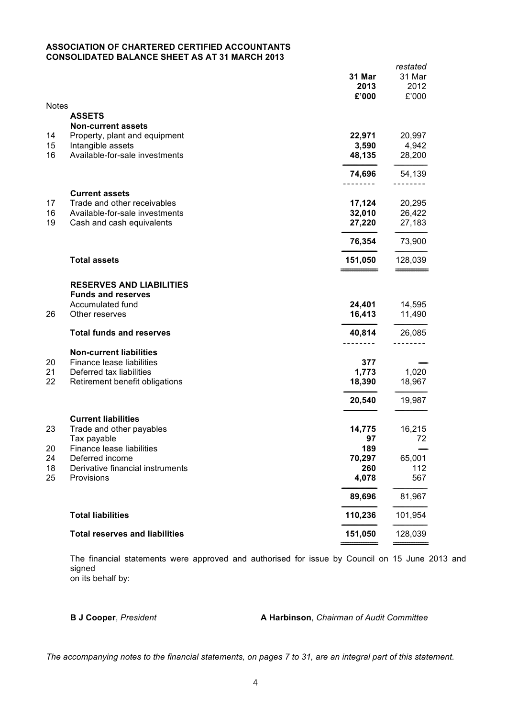#### **ASSOCIATION OF CHARTERED CERTIFIED ACCOUNTANTS CONSOLIDATED BALANCE SHEET AS AT 31 MARCH 2013**

| <b>Notes</b> |                                                              | 31 Mar<br>2013<br>£'000 | nuotatuu<br>31 Mar<br>2012<br>£'000 |
|--------------|--------------------------------------------------------------|-------------------------|-------------------------------------|
|              | <b>ASSETS</b>                                                |                         |                                     |
|              | <b>Non-current assets</b>                                    |                         |                                     |
| 14           | Property, plant and equipment                                | 22,971                  | 20,997                              |
| 15           | Intangible assets                                            | 3,590                   | 4,942                               |
| 16           | Available-for-sale investments                               | 48,135                  | 28,200                              |
|              |                                                              | 74,696                  | 54,139                              |
|              | <b>Current assets</b>                                        |                         |                                     |
| 17           | Trade and other receivables                                  | 17,124                  | 20,295                              |
| 16           | Available-for-sale investments                               | 32,010                  | 26,422                              |
| 19           | Cash and cash equivalents                                    | 27,220                  | 27,183                              |
|              |                                                              | 76,354                  | 73,900                              |
|              | <b>Total assets</b>                                          | 151,050                 | 128,039                             |
|              |                                                              |                         |                                     |
|              | <b>RESERVES AND LIABILITIES</b><br><b>Funds and reserves</b> |                         |                                     |
|              | Accumulated fund                                             | 24,401                  | 14,595                              |
| 26           | Other reserves                                               | 16,413                  | 11,490                              |
|              |                                                              |                         |                                     |
|              | <b>Total funds and reserves</b>                              | 40,814                  | 26,085                              |
|              | <b>Non-current liabilities</b>                               |                         |                                     |
| 20           | Finance lease liabilities                                    | 377                     |                                     |
| 21           | Deferred tax liabilities                                     | 1,773                   | 1,020                               |
| 22           | Retirement benefit obligations                               | 18,390                  | 18,967                              |
|              |                                                              | 20,540                  | 19,987                              |
|              | <b>Current liabilities</b>                                   |                         |                                     |
| 23           | Trade and other payables                                     | 14,775                  | 16,215                              |
|              | Tax payable                                                  | 97                      | 72                                  |
| 20           | Finance lease liabilities                                    | 189                     |                                     |
| 24           | Deferred income                                              | 70,297                  | 65,001                              |
| 18<br>25     | Derivative financial instruments<br>Provisions               | 260<br>4,078            | 112<br>567                          |
|              |                                                              |                         |                                     |
|              |                                                              | 89,696                  | 81,967                              |
|              | <b>Total liabilities</b>                                     | 110,236                 | 101,954                             |
|              | <b>Total reserves and liabilities</b>                        | 151,050                 | 128,039                             |
|              |                                                              |                         |                                     |

The financial statements were approved and authorised for issue by Council on 15 June 2013 and signed on its behalf by:

#### **B J Cooper**, *President* **A Harbinson**, *Chairman of Audit Committee*

*restated*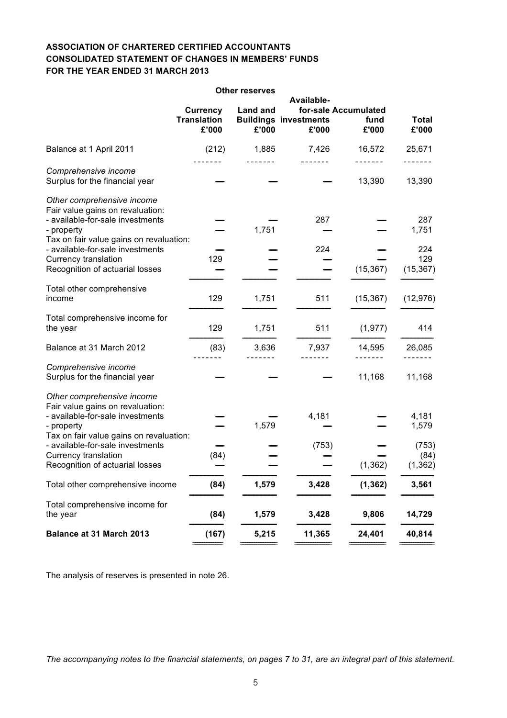## **ASSOCIATION OF CHARTERED CERTIFIED ACCOUNTANTS CONSOLIDATED STATEMENT OF CHANGES IN MEMBERS' FUNDS FOR THE YEAR ENDED 31 MARCH 2013**

|                                                                |                    | <b>Other reserves</b> |                              |                      |              |
|----------------------------------------------------------------|--------------------|-----------------------|------------------------------|----------------------|--------------|
|                                                                |                    |                       | Available-                   |                      |              |
|                                                                | <b>Currency</b>    | <b>Land and</b>       |                              | for-sale Accumulated |              |
|                                                                | <b>Translation</b> |                       | <b>Buildings investments</b> | fund                 | <b>Total</b> |
|                                                                | £'000              | £'000                 | £'000                        | £'000                | £'000        |
| Balance at 1 April 2011                                        | (212)              | 1,885                 | 7,426                        | 16,572               | 25,671       |
| Comprehensive income                                           |                    |                       |                              |                      |              |
| Surplus for the financial year                                 |                    |                       |                              | 13,390               | 13,390       |
| Other comprehensive income<br>Fair value gains on revaluation: |                    |                       |                              |                      |              |
| - available-for-sale investments                               |                    |                       | 287                          |                      | 287          |
| - property<br>Tax on fair value gains on revaluation:          |                    | 1,751                 |                              |                      | 1,751        |
| - available-for-sale investments                               |                    |                       | 224                          |                      | 224          |
| <b>Currency translation</b>                                    | 129                |                       |                              |                      | 129          |
| Recognition of actuarial losses                                |                    |                       |                              | (15, 367)            | (15, 367)    |
| Total other comprehensive                                      |                    |                       |                              |                      |              |
| income                                                         | 129                | 1,751                 | 511                          | (15, 367)            | (12, 976)    |
| Total comprehensive income for<br>the year                     | 129                | 1,751                 | 511                          | (1, 977)             | 414          |
|                                                                |                    |                       |                              |                      |              |
| Balance at 31 March 2012                                       | (83)               | 3,636                 | 7,937                        | 14,595               | 26,085       |
| Comprehensive income<br>Surplus for the financial year         |                    |                       |                              | 11,168               | 11,168       |
|                                                                |                    |                       |                              |                      |              |
| Other comprehensive income<br>Fair value gains on revaluation: |                    |                       |                              |                      |              |
| - available-for-sale investments                               |                    |                       | 4,181                        |                      | 4,181        |
| - property<br>Tax on fair value gains on revaluation:          |                    | 1,579                 |                              |                      | 1,579        |
| - available-for-sale investments                               |                    |                       | (753)                        |                      | (753)        |
| <b>Currency translation</b>                                    | (84)               |                       |                              |                      | (84)         |
| Recognition of actuarial losses                                |                    |                       |                              | (1, 362)             | (1, 362)     |
| Total other comprehensive income                               | (84)               | 1,579                 | 3,428                        | (1, 362)             | 3,561        |
| Total comprehensive income for                                 |                    |                       |                              |                      |              |
| the year                                                       | (84)               | 1,579                 | 3,428                        | 9,806                | 14,729       |
| Balance at 31 March 2013                                       | (167)              | 5,215                 | 11,365                       | 24,401               | 40,814       |
|                                                                |                    |                       |                              |                      |              |

The analysis of reserves is presented in note 26.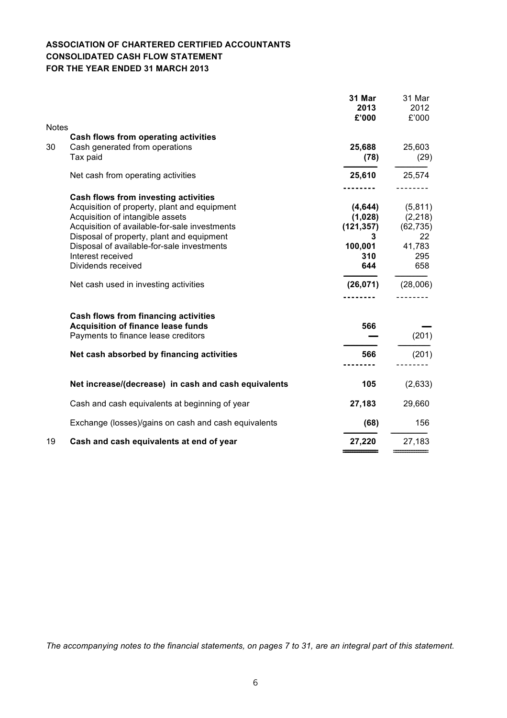## **ASSOCIATION OF CHARTERED CERTIFIED ACCOUNTANTS CONSOLIDATED CASH FLOW STATEMENT FOR THE YEAR ENDED 31 MARCH 2013**

|                                                                                                                                                                                                                                                                                                                 | £'000                                                           | 2012<br>£'000                                                  |
|-----------------------------------------------------------------------------------------------------------------------------------------------------------------------------------------------------------------------------------------------------------------------------------------------------------------|-----------------------------------------------------------------|----------------------------------------------------------------|
| <b>Notes</b>                                                                                                                                                                                                                                                                                                    |                                                                 |                                                                |
| Cash flows from operating activities<br>30<br>Cash generated from operations<br>Tax paid                                                                                                                                                                                                                        | 25,688<br>(78)                                                  | 25,603<br>(29)                                                 |
| Net cash from operating activities                                                                                                                                                                                                                                                                              | 25,610                                                          | 25,574                                                         |
| Cash flows from investing activities<br>Acquisition of property, plant and equipment<br>Acquisition of intangible assets<br>Acquisition of available-for-sale investments<br>Disposal of property, plant and equipment<br>Disposal of available-for-sale investments<br>Interest received<br>Dividends received | (4, 644)<br>(1,028)<br>(121, 357)<br>3<br>100,001<br>310<br>644 | (5,811)<br>(2, 218)<br>(62, 735)<br>22<br>41,783<br>295<br>658 |
| Net cash used in investing activities                                                                                                                                                                                                                                                                           | (26, 071)                                                       | (28,006)                                                       |
| <b>Cash flows from financing activities</b><br><b>Acquisition of finance lease funds</b><br>Payments to finance lease creditors                                                                                                                                                                                 | 566                                                             | (201)                                                          |
| Net cash absorbed by financing activities                                                                                                                                                                                                                                                                       | 566                                                             | (201)                                                          |
| Net increase/(decrease) in cash and cash equivalents                                                                                                                                                                                                                                                            | 105                                                             | (2,633)                                                        |
| Cash and cash equivalents at beginning of year                                                                                                                                                                                                                                                                  | 27,183                                                          | 29,660                                                         |
| Exchange (losses)/gains on cash and cash equivalents                                                                                                                                                                                                                                                            | (68)                                                            | 156                                                            |
| 19<br>Cash and cash equivalents at end of year                                                                                                                                                                                                                                                                  | 27,220                                                          | 27,183                                                         |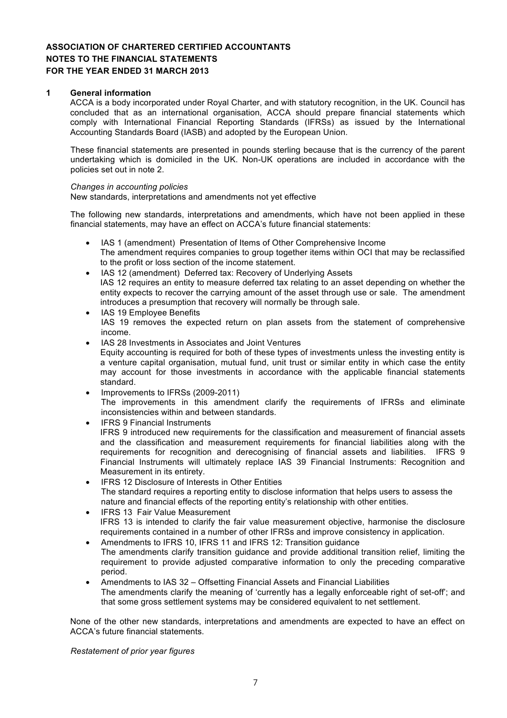#### **1 General information**

ACCA is a body incorporated under Royal Charter, and with statutory recognition, in the UK. Council has concluded that as an international organisation, ACCA should prepare financial statements which comply with International Financial Reporting Standards (IFRSs) as issued by the International Accounting Standards Board (IASB) and adopted by the European Union.

These financial statements are presented in pounds sterling because that is the currency of the parent undertaking which is domiciled in the UK. Non-UK operations are included in accordance with the policies set out in note 2.

#### *Changes in accounting policies*

New standards, interpretations and amendments not yet effective

The following new standards, interpretations and amendments, which have not been applied in these financial statements, may have an effect on ACCA's future financial statements:

- IAS 1 (amendment) Presentation of Items of Other Comprehensive Income The amendment requires companies to group together items within OCI that may be reclassified to the profit or loss section of the income statement.
- IAS 12 (amendment) Deferred tax: Recovery of Underlying Assets IAS 12 requires an entity to measure deferred tax relating to an asset depending on whether the entity expects to recover the carrying amount of the asset through use or sale. The amendment introduces a presumption that recovery will normally be through sale.
- IAS 19 Employee Benefits IAS 19 removes the expected return on plan assets from the statement of comprehensive income.
- IAS 28 Investments in Associates and Joint Ventures Equity accounting is required for both of these types of investments unless the investing entity is a venture capital organisation, mutual fund, unit trust or similar entity in which case the entity may account for those investments in accordance with the applicable financial statements standard.
- Improvements to IFRSs (2009-2011) The improvements in this amendment clarify the requirements of IFRSs and eliminate inconsistencies within and between standards.
- **IFRS 9 Financial Instruments** IFRS 9 introduced new requirements for the classification and measurement of financial assets and the classification and measurement requirements for financial liabilities along with the requirements for recognition and derecognising of financial assets and liabilities. IFRS 9 Financial Instruments will ultimately replace IAS 39 Financial Instruments: Recognition and Measurement in its entirety.
- IFRS 12 Disclosure of Interests in Other Entities The standard requires a reporting entity to disclose information that helps users to assess the nature and financial effects of the reporting entity's relationship with other entities.
- IFRS 13 Fair Value Measurement IFRS 13 is intended to clarify the fair value measurement objective, harmonise the disclosure requirements contained in a number of other IFRSs and improve consistency in application.
- Amendments to IFRS 10, IFRS 11 and IFRS 12: Transition guidance The amendments clarify transition guidance and provide additional transition relief, limiting the requirement to provide adjusted comparative information to only the preceding comparative period.
- Amendments to IAS 32 Offsetting Financial Assets and Financial Liabilities The amendments clarify the meaning of 'currently has a legally enforceable right of set-off'; and that some gross settlement systems may be considered equivalent to net settlement.

None of the other new standards, interpretations and amendments are expected to have an effect on ACCA's future financial statements.

*Restatement of prior year figures*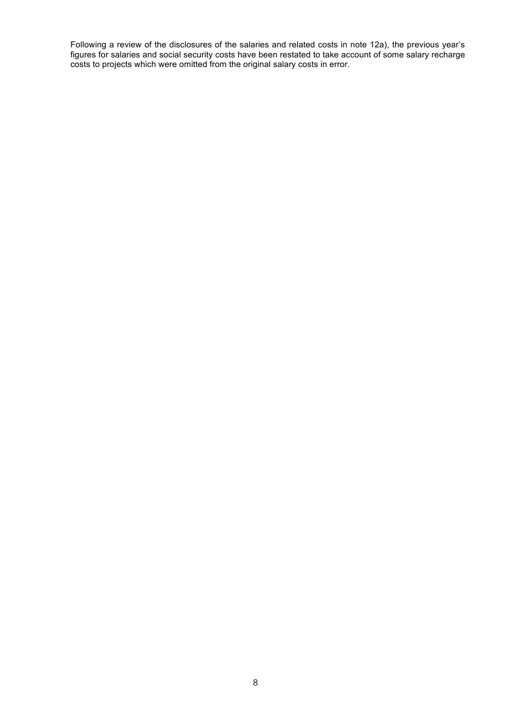Following a review of the disclosures of the salaries and related costs in note 12a), the previous year's figures for salaries and social security costs have been restated to take account of some salary recharge costs to projects which were omitted from the original salary costs in error.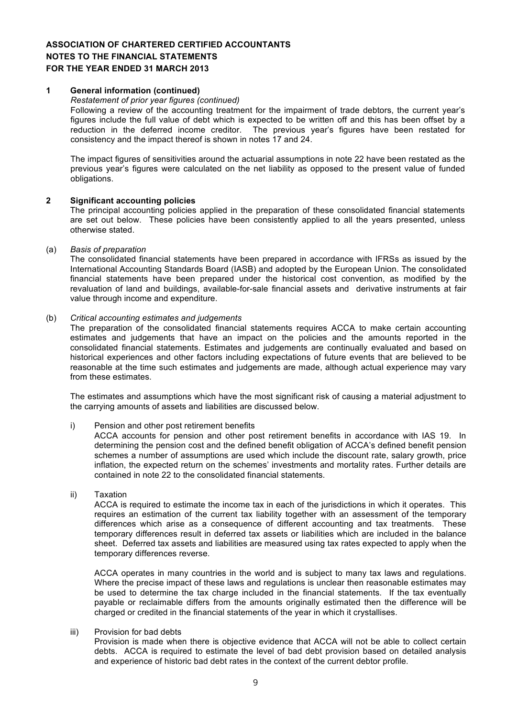#### **1 General information (continued)**

#### *Restatement of prior year figures (continued)*

Following a review of the accounting treatment for the impairment of trade debtors, the current year's figures include the full value of debt which is expected to be written off and this has been offset by a reduction in the deferred income creditor. The previous year's figures have been restated for consistency and the impact thereof is shown in notes 17 and 24.

The impact figures of sensitivities around the actuarial assumptions in note 22 have been restated as the previous year's figures were calculated on the net liability as opposed to the present value of funded obligations.

#### **2 Significant accounting policies**

The principal accounting policies applied in the preparation of these consolidated financial statements are set out below. These policies have been consistently applied to all the years presented, unless otherwise stated.

#### (a) *Basis of preparation*

The consolidated financial statements have been prepared in accordance with IFRSs as issued by the International Accounting Standards Board (IASB) and adopted by the European Union. The consolidated financial statements have been prepared under the historical cost convention, as modified by the revaluation of land and buildings, available-for-sale financial assets and derivative instruments at fair value through income and expenditure.

#### (b) *Critical accounting estimates and judgements*

The preparation of the consolidated financial statements requires ACCA to make certain accounting estimates and judgements that have an impact on the policies and the amounts reported in the consolidated financial statements. Estimates and judgements are continually evaluated and based on historical experiences and other factors including expectations of future events that are believed to be reasonable at the time such estimates and judgements are made, although actual experience may vary from these estimates.

The estimates and assumptions which have the most significant risk of causing a material adjustment to the carrying amounts of assets and liabilities are discussed below.

#### i) Pension and other post retirement benefits

ACCA accounts for pension and other post retirement benefits in accordance with IAS 19. In determining the pension cost and the defined benefit obligation of ACCA's defined benefit pension schemes a number of assumptions are used which include the discount rate, salary growth, price inflation, the expected return on the schemes' investments and mortality rates. Further details are contained in note 22 to the consolidated financial statements.

ii) Taxation

ACCA is required to estimate the income tax in each of the jurisdictions in which it operates. This requires an estimation of the current tax liability together with an assessment of the temporary differences which arise as a consequence of different accounting and tax treatments. These temporary differences result in deferred tax assets or liabilities which are included in the balance sheet. Deferred tax assets and liabilities are measured using tax rates expected to apply when the temporary differences reverse.

ACCA operates in many countries in the world and is subject to many tax laws and regulations. Where the precise impact of these laws and regulations is unclear then reasonable estimates may be used to determine the tax charge included in the financial statements. If the tax eventually payable or reclaimable differs from the amounts originally estimated then the difference will be charged or credited in the financial statements of the year in which it crystallises.

#### iii) Provision for bad debts

Provision is made when there is objective evidence that ACCA will not be able to collect certain debts. ACCA is required to estimate the level of bad debt provision based on detailed analysis and experience of historic bad debt rates in the context of the current debtor profile.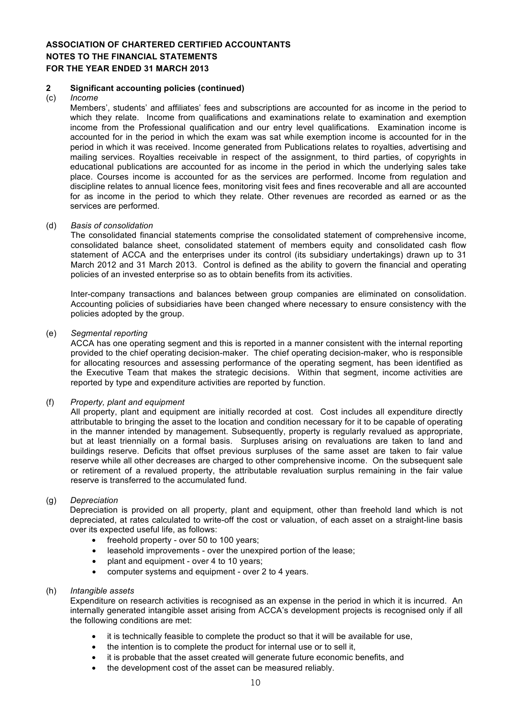#### **2 Significant accounting policies (continued)**

#### (c) *Income*

Members', students' and affiliates' fees and subscriptions are accounted for as income in the period to which they relate. Income from qualifications and examinations relate to examination and exemption income from the Professional qualification and our entry level qualifications. Examination income is accounted for in the period in which the exam was sat while exemption income is accounted for in the period in which it was received. Income generated from Publications relates to royalties, advertising and mailing services. Royalties receivable in respect of the assignment, to third parties, of copyrights in educational publications are accounted for as income in the period in which the underlying sales take place. Courses income is accounted for as the services are performed. Income from regulation and discipline relates to annual licence fees, monitoring visit fees and fines recoverable and all are accounted for as income in the period to which they relate. Other revenues are recorded as earned or as the services are performed.

#### (d) *Basis of consolidation*

The consolidated financial statements comprise the consolidated statement of comprehensive income, consolidated balance sheet, consolidated statement of members equity and consolidated cash flow statement of ACCA and the enterprises under its control (its subsidiary undertakings) drawn up to 31 March 2012 and 31 March 2013. Control is defined as the ability to govern the financial and operating policies of an invested enterprise so as to obtain benefits from its activities.

Inter-company transactions and balances between group companies are eliminated on consolidation. Accounting policies of subsidiaries have been changed where necessary to ensure consistency with the policies adopted by the group.

#### (e) *Segmental reporting*

ACCA has one operating segment and this is reported in a manner consistent with the internal reporting provided to the chief operating decision-maker. The chief operating decision-maker, who is responsible for allocating resources and assessing performance of the operating segment, has been identified as the Executive Team that makes the strategic decisions. Within that segment, income activities are reported by type and expenditure activities are reported by function.

#### (f) *Property, plant and equipment*

All property, plant and equipment are initially recorded at cost. Cost includes all expenditure directly attributable to bringing the asset to the location and condition necessary for it to be capable of operating in the manner intended by management. Subsequently, property is regularly revalued as appropriate, but at least triennially on a formal basis. Surpluses arising on revaluations are taken to land and buildings reserve. Deficits that offset previous surpluses of the same asset are taken to fair value reserve while all other decreases are charged to other comprehensive income. On the subsequent sale or retirement of a revalued property, the attributable revaluation surplus remaining in the fair value reserve is transferred to the accumulated fund.

#### (g) *Depreciation*

Depreciation is provided on all property, plant and equipment, other than freehold land which is not depreciated, at rates calculated to write-off the cost or valuation, of each asset on a straight-line basis over its expected useful life, as follows:

- freehold property over 50 to 100 years;
- leasehold improvements over the unexpired portion of the lease;
- plant and equipment over 4 to 10 years;
- computer systems and equipment over 2 to 4 years.

#### (h) *Intangible assets*

Expenditure on research activities is recognised as an expense in the period in which it is incurred. An internally generated intangible asset arising from ACCA's development projects is recognised only if all the following conditions are met:

- it is technically feasible to complete the product so that it will be available for use,
- the intention is to complete the product for internal use or to sell it,
- it is probable that the asset created will generate future economic benefits, and
- the development cost of the asset can be measured reliably.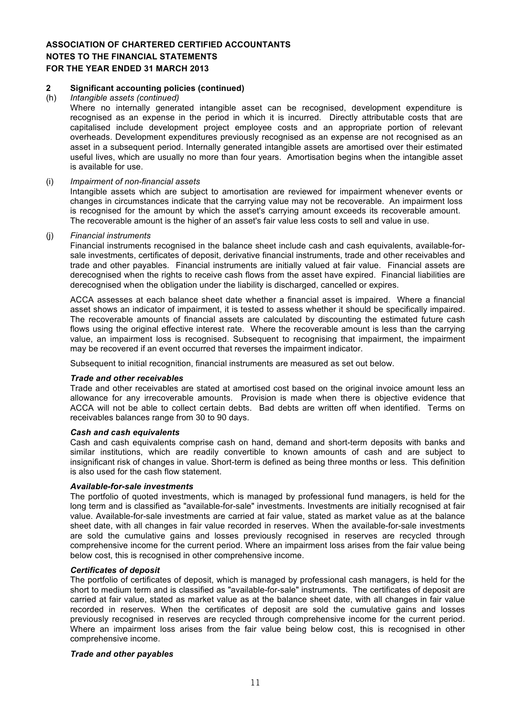#### **2 Significant accounting policies (continued)**

#### (h) *Intangible assets (continued)*

Where no internally generated intangible asset can be recognised, development expenditure is recognised as an expense in the period in which it is incurred. Directly attributable costs that are capitalised include development project employee costs and an appropriate portion of relevant overheads. Development expenditures previously recognised as an expense are not recognised as an asset in a subsequent period. Internally generated intangible assets are amortised over their estimated useful lives, which are usually no more than four years. Amortisation begins when the intangible asset is available for use.

#### (i) *Impairment of non-financial assets*

Intangible assets which are subject to amortisation are reviewed for impairment whenever events or changes in circumstances indicate that the carrying value may not be recoverable. An impairment loss is recognised for the amount by which the asset's carrying amount exceeds its recoverable amount. The recoverable amount is the higher of an asset's fair value less costs to sell and value in use.

#### (j) *Financial instruments*

Financial instruments recognised in the balance sheet include cash and cash equivalents, available-forsale investments, certificates of deposit, derivative financial instruments, trade and other receivables and trade and other payables. Financial instruments are initially valued at fair value. Financial assets are derecognised when the rights to receive cash flows from the asset have expired. Financial liabilities are derecognised when the obligation under the liability is discharged, cancelled or expires.

ACCA assesses at each balance sheet date whether a financial asset is impaired. Where a financial asset shows an indicator of impairment, it is tested to assess whether it should be specifically impaired. The recoverable amounts of financial assets are calculated by discounting the estimated future cash flows using the original effective interest rate. Where the recoverable amount is less than the carrying value, an impairment loss is recognised. Subsequent to recognising that impairment, the impairment may be recovered if an event occurred that reverses the impairment indicator.

Subsequent to initial recognition, financial instruments are measured as set out below.

#### *Trade and other receivables*

Trade and other receivables are stated at amortised cost based on the original invoice amount less an allowance for any irrecoverable amounts. Provision is made when there is objective evidence that ACCA will not be able to collect certain debts. Bad debts are written off when identified. Terms on receivables balances range from 30 to 90 days.

#### *Cash and cash equivalents*

Cash and cash equivalents comprise cash on hand, demand and short-term deposits with banks and similar institutions, which are readily convertible to known amounts of cash and are subject to insignificant risk of changes in value. Short-term is defined as being three months or less. This definition is also used for the cash flow statement.

#### *Available-for-sale investments*

The portfolio of quoted investments, which is managed by professional fund managers, is held for the long term and is classified as "available-for-sale" investments. Investments are initially recognised at fair value. Available-for-sale investments are carried at fair value, stated as market value as at the balance sheet date, with all changes in fair value recorded in reserves. When the available-for-sale investments are sold the cumulative gains and losses previously recognised in reserves are recycled through comprehensive income for the current period. Where an impairment loss arises from the fair value being below cost, this is recognised in other comprehensive income.

#### *Certificates of deposit*

The portfolio of certificates of deposit, which is managed by professional cash managers, is held for the short to medium term and is classified as "available-for-sale" instruments. The certificates of deposit are carried at fair value, stated as market value as at the balance sheet date, with all changes in fair value recorded in reserves. When the certificates of deposit are sold the cumulative gains and losses previously recognised in reserves are recycled through comprehensive income for the current period. Where an impairment loss arises from the fair value being below cost, this is recognised in other comprehensive income.

#### *Trade and other payables*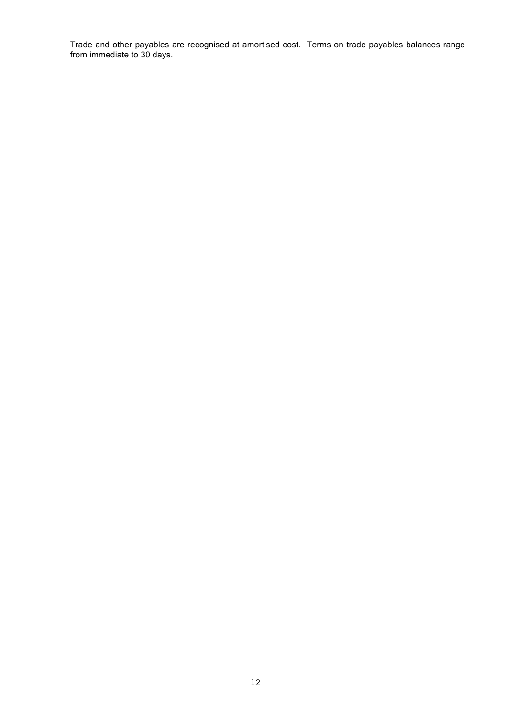Trade and other payables are recognised at amortised cost. Terms on trade payables balances range from immediate to 30 days.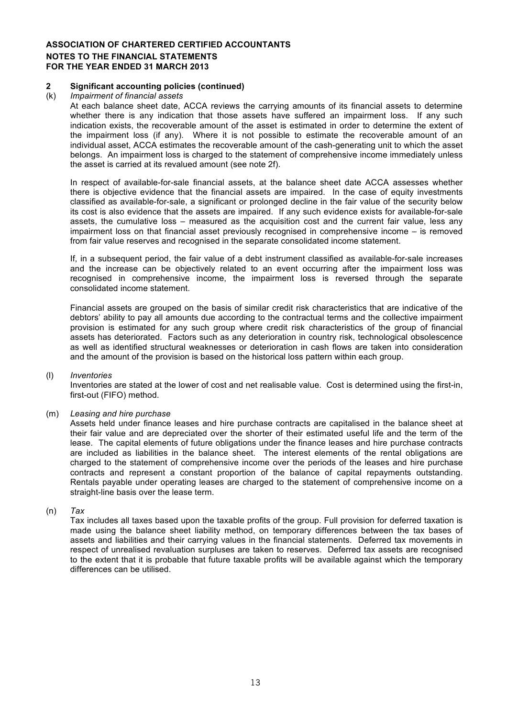#### **2 Significant accounting policies (continued)**

#### (k) *Impairment of financial assets*

At each balance sheet date, ACCA reviews the carrying amounts of its financial assets to determine whether there is any indication that those assets have suffered an impairment loss. If any such indication exists, the recoverable amount of the asset is estimated in order to determine the extent of the impairment loss (if any). Where it is not possible to estimate the recoverable amount of an individual asset, ACCA estimates the recoverable amount of the cash-generating unit to which the asset belongs. An impairment loss is charged to the statement of comprehensive income immediately unless the asset is carried at its revalued amount (see note 2f).

In respect of available-for-sale financial assets, at the balance sheet date ACCA assesses whether there is objective evidence that the financial assets are impaired. In the case of equity investments classified as available-for-sale, a significant or prolonged decline in the fair value of the security below its cost is also evidence that the assets are impaired. If any such evidence exists for available-for-sale assets, the cumulative loss – measured as the acquisition cost and the current fair value, less any impairment loss on that financial asset previously recognised in comprehensive income – is removed from fair value reserves and recognised in the separate consolidated income statement.

If, in a subsequent period, the fair value of a debt instrument classified as available-for-sale increases and the increase can be objectively related to an event occurring after the impairment loss was recognised in comprehensive income, the impairment loss is reversed through the separate consolidated income statement.

Financial assets are grouped on the basis of similar credit risk characteristics that are indicative of the debtors' ability to pay all amounts due according to the contractual terms and the collective impairment provision is estimated for any such group where credit risk characteristics of the group of financial assets has deteriorated. Factors such as any deterioration in country risk, technological obsolescence as well as identified structural weaknesses or deterioration in cash flows are taken into consideration and the amount of the provision is based on the historical loss pattern within each group.

#### (l) *Inventories*

Inventories are stated at the lower of cost and net realisable value. Cost is determined using the first-in, first-out (FIFO) method.

#### (m) *Leasing and hire purchase*

Assets held under finance leases and hire purchase contracts are capitalised in the balance sheet at their fair value and are depreciated over the shorter of their estimated useful life and the term of the lease. The capital elements of future obligations under the finance leases and hire purchase contracts are included as liabilities in the balance sheet. The interest elements of the rental obligations are charged to the statement of comprehensive income over the periods of the leases and hire purchase contracts and represent a constant proportion of the balance of capital repayments outstanding. Rentals payable under operating leases are charged to the statement of comprehensive income on a straight-line basis over the lease term.

#### (n) *Tax*

Tax includes all taxes based upon the taxable profits of the group. Full provision for deferred taxation is made using the balance sheet liability method, on temporary differences between the tax bases of assets and liabilities and their carrying values in the financial statements. Deferred tax movements in respect of unrealised revaluation surpluses are taken to reserves. Deferred tax assets are recognised to the extent that it is probable that future taxable profits will be available against which the temporary differences can be utilised.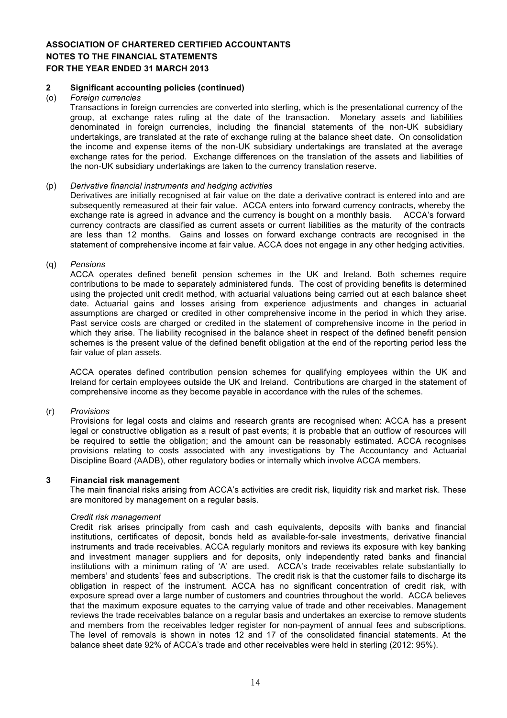#### **2 Significant accounting policies (continued)**

#### (o) *Foreign currencies*

Transactions in foreign currencies are converted into sterling, which is the presentational currency of the group, at exchange rates ruling at the date of the transaction. Monetary assets and liabilities denominated in foreign currencies, including the financial statements of the non-UK subsidiary undertakings, are translated at the rate of exchange ruling at the balance sheet date. On consolidation the income and expense items of the non-UK subsidiary undertakings are translated at the average exchange rates for the period. Exchange differences on the translation of the assets and liabilities of the non-UK subsidiary undertakings are taken to the currency translation reserve.

#### (p) *Derivative financial instruments and hedging activities*

Derivatives are initially recognised at fair value on the date a derivative contract is entered into and are subsequently remeasured at their fair value. ACCA enters into forward currency contracts, whereby the exchange rate is agreed in advance and the currency is bought on a monthly basis. ACCA's forward currency contracts are classified as current assets or current liabilities as the maturity of the contracts are less than 12 months. Gains and losses on forward exchange contracts are recognised in the statement of comprehensive income at fair value. ACCA does not engage in any other hedging activities.

#### (q) *Pensions*

ACCA operates defined benefit pension schemes in the UK and Ireland. Both schemes require contributions to be made to separately administered funds. The cost of providing benefits is determined using the projected unit credit method, with actuarial valuations being carried out at each balance sheet date. Actuarial gains and losses arising from experience adjustments and changes in actuarial assumptions are charged or credited in other comprehensive income in the period in which they arise. Past service costs are charged or credited in the statement of comprehensive income in the period in which they arise. The liability recognised in the balance sheet in respect of the defined benefit pension schemes is the present value of the defined benefit obligation at the end of the reporting period less the fair value of plan assets.

ACCA operates defined contribution pension schemes for qualifying employees within the UK and Ireland for certain employees outside the UK and Ireland. Contributions are charged in the statement of comprehensive income as they become payable in accordance with the rules of the schemes.

#### (r) *Provisions*

Provisions for legal costs and claims and research grants are recognised when: ACCA has a present legal or constructive obligation as a result of past events; it is probable that an outflow of resources will be required to settle the obligation; and the amount can be reasonably estimated. ACCA recognises provisions relating to costs associated with any investigations by The Accountancy and Actuarial Discipline Board (AADB), other regulatory bodies or internally which involve ACCA members.

#### **3 Financial risk management**

The main financial risks arising from ACCA's activities are credit risk, liquidity risk and market risk. These are monitored by management on a regular basis.

#### *Credit risk management*

Credit risk arises principally from cash and cash equivalents, deposits with banks and financial institutions, certificates of deposit, bonds held as available-for-sale investments, derivative financial instruments and trade receivables. ACCA regularly monitors and reviews its exposure with key banking and investment manager suppliers and for deposits, only independently rated banks and financial institutions with a minimum rating of 'A' are used. ACCA's trade receivables relate substantially to members' and students' fees and subscriptions. The credit risk is that the customer fails to discharge its obligation in respect of the instrument. ACCA has no significant concentration of credit risk, with exposure spread over a large number of customers and countries throughout the world. ACCA believes that the maximum exposure equates to the carrying value of trade and other receivables. Management reviews the trade receivables balance on a regular basis and undertakes an exercise to remove students and members from the receivables ledger register for non-payment of annual fees and subscriptions. The level of removals is shown in notes 12 and 17 of the consolidated financial statements. At the balance sheet date 92% of ACCA's trade and other receivables were held in sterling (2012: 95%).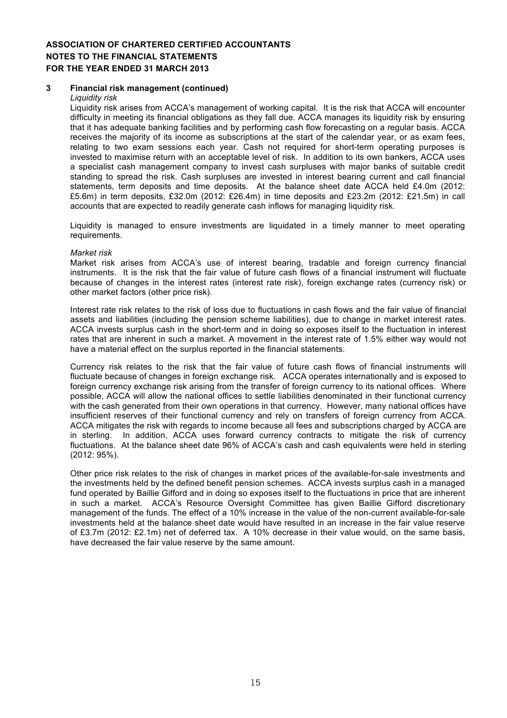#### **3 Financial risk management (continued)**

#### *Liquidity risk*

Liquidity risk arises from ACCA's management of working capital. It is the risk that ACCA will encounter difficulty in meeting its financial obligations as they fall due. ACCA manages its liquidity risk by ensuring that it has adequate banking facilities and by performing cash flow forecasting on a regular basis. ACCA receives the majority of its income as subscriptions at the start of the calendar year, or as exam fees, relating to two exam sessions each year. Cash not required for short-term operating purposes is invested to maximise return with an acceptable level of risk. In addition to its own bankers, ACCA uses a specialist cash management company to invest cash surpluses with major banks of suitable credit standing to spread the risk. Cash surpluses are invested in interest bearing current and call financial statements, term deposits and time deposits. At the balance sheet date ACCA held £4.0m (2012: £5.6m) in term deposits, £32.0m (2012: £26.4m) in time deposits and £23.2m (2012: £21.5m) in call accounts that are expected to readily generate cash inflows for managing liquidity risk.

Liquidity is managed to ensure investments are liquidated in a timely manner to meet operating requirements.

#### *Market risk*

Market risk arises from ACCA's use of interest bearing, tradable and foreign currency financial instruments. It is the risk that the fair value of future cash flows of a financial instrument will fluctuate because of changes in the interest rates (interest rate risk), foreign exchange rates (currency risk) or other market factors (other price risk).

Interest rate risk relates to the risk of loss due to fluctuations in cash flows and the fair value of financial assets and liabilities (including the pension scheme liabilities), due to change in market interest rates. ACCA invests surplus cash in the short-term and in doing so exposes itself to the fluctuation in interest rates that are inherent in such a market. A movement in the interest rate of 1.5% either way would not have a material effect on the surplus reported in the financial statements.

Currency risk relates to the risk that the fair value of future cash flows of financial instruments will fluctuate because of changes in foreign exchange risk. ACCA operates internationally and is exposed to foreign currency exchange risk arising from the transfer of foreign currency to its national offices. Where possible, ACCA will allow the national offices to settle liabilities denominated in their functional currency with the cash generated from their own operations in that currency. However, many national offices have insufficient reserves of their functional currency and rely on transfers of foreign currency from ACCA. ACCA mitigates the risk with regards to income because all fees and subscriptions charged by ACCA are in sterling. In addition, ACCA uses forward currency contracts to mitigate the risk of currency fluctuations. At the balance sheet date 96% of ACCA's cash and cash equivalents were held in sterling (2012: 95%).

Other price risk relates to the risk of changes in market prices of the available-for-sale investments and the investments held by the defined benefit pension schemes. ACCA invests surplus cash in a managed fund operated by Baillie Gifford and in doing so exposes itself to the fluctuations in price that are inherent in such a market. ACCA's Resource Oversight Committee has given Baillie Gifford discretionary management of the funds. The effect of a 10% increase in the value of the non-current available-for-sale investments held at the balance sheet date would have resulted in an increase in the fair value reserve of £3.7m (2012: £2.1m) net of deferred tax. A 10% decrease in their value would, on the same basis, have decreased the fair value reserve by the same amount.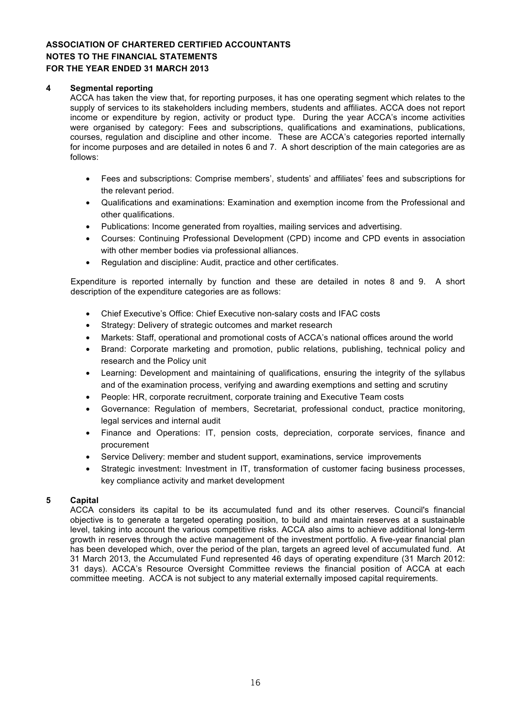## **4 Segmental reporting**

ACCA has taken the view that, for reporting purposes, it has one operating segment which relates to the supply of services to its stakeholders including members, students and affiliates. ACCA does not report income or expenditure by region, activity or product type. During the year ACCA's income activities were organised by category: Fees and subscriptions, qualifications and examinations, publications, courses, regulation and discipline and other income. These are ACCA's categories reported internally for income purposes and are detailed in notes 6 and 7. A short description of the main categories are as follows:

- Fees and subscriptions: Comprise members', students' and affiliates' fees and subscriptions for the relevant period.
- Qualifications and examinations: Examination and exemption income from the Professional and other qualifications.
- Publications: Income generated from royalties, mailing services and advertising.
- Courses: Continuing Professional Development (CPD) income and CPD events in association with other member bodies via professional alliances.
- Regulation and discipline: Audit, practice and other certificates.

Expenditure is reported internally by function and these are detailed in notes 8 and 9. A short description of the expenditure categories are as follows:

- Chief Executive's Office: Chief Executive non-salary costs and IFAC costs
- Strategy: Delivery of strategic outcomes and market research
- Markets: Staff, operational and promotional costs of ACCA's national offices around the world
- Brand: Corporate marketing and promotion, public relations, publishing, technical policy and research and the Policy unit
- Learning: Development and maintaining of qualifications, ensuring the integrity of the syllabus and of the examination process, verifying and awarding exemptions and setting and scrutiny
- People: HR, corporate recruitment, corporate training and Executive Team costs
- Governance: Regulation of members, Secretariat, professional conduct, practice monitoring, legal services and internal audit
- Finance and Operations: IT, pension costs, depreciation, corporate services, finance and procurement
- Service Delivery: member and student support, examinations, service improvements
- Strategic investment: Investment in IT, transformation of customer facing business processes, key compliance activity and market development

## **5 Capital**

ACCA considers its capital to be its accumulated fund and its other reserves. Council's financial objective is to generate a targeted operating position, to build and maintain reserves at a sustainable level, taking into account the various competitive risks. ACCA also aims to achieve additional long-term growth in reserves through the active management of the investment portfolio. A five-year financial plan has been developed which, over the period of the plan, targets an agreed level of accumulated fund. At 31 March 2013, the Accumulated Fund represented 46 days of operating expenditure (31 March 2012: 31 days). ACCA's Resource Oversight Committee reviews the financial position of ACCA at each committee meeting. ACCA is not subject to any material externally imposed capital requirements.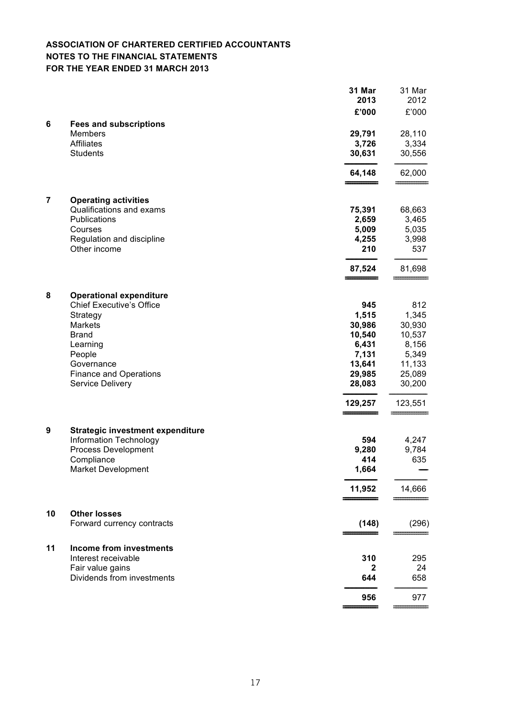|                         |                                                                                         | 31 Mar<br>2013            | 31 Mar<br>2012            |
|-------------------------|-----------------------------------------------------------------------------------------|---------------------------|---------------------------|
|                         |                                                                                         | £'000                     | £'000                     |
| 6                       | <b>Fees and subscriptions</b><br><b>Members</b><br><b>Affiliates</b><br><b>Students</b> | 29,791<br>3,726<br>30,631 | 28,110<br>3,334<br>30,556 |
|                         |                                                                                         | 64,148                    | 62,000                    |
| $\overline{\mathbf{r}}$ | <b>Operating activities</b><br>Qualifications and exams                                 | 75,391                    | 68,663                    |
|                         | Publications                                                                            | 2,659                     | 3,465                     |
|                         | Courses                                                                                 | 5,009                     | 5,035                     |
|                         | Regulation and discipline<br>Other income                                               | 4,255<br>210              | 3,998<br>537              |
|                         |                                                                                         | 87,524                    | 81,698                    |
|                         |                                                                                         |                           |                           |
| 8                       | <b>Operational expenditure</b><br><b>Chief Executive's Office</b>                       | 945                       | 812                       |
|                         | Strategy                                                                                | 1,515                     | 1,345                     |
|                         | <b>Markets</b>                                                                          | 30,986                    | 30,930                    |
|                         | <b>Brand</b>                                                                            | 10,540                    | 10,537                    |
|                         | Learning                                                                                | 6,431                     | 8,156                     |
|                         | People                                                                                  | 7,131                     | 5,349                     |
|                         | Governance                                                                              | 13,641                    | 11,133                    |
|                         | <b>Finance and Operations</b>                                                           | 29,985                    | 25,089                    |
|                         | <b>Service Delivery</b>                                                                 | 28,083                    | 30,200                    |
|                         |                                                                                         | 129,257                   | 123,551                   |
| 9                       | <b>Strategic investment expenditure</b>                                                 |                           |                           |
|                         | <b>Information Technology</b>                                                           | 594                       | 4,247                     |
|                         | <b>Process Development</b>                                                              | 9,280                     | 9,784                     |
|                         | Compliance<br><b>Market Development</b>                                                 | 414<br>1,664              | 635                       |
|                         |                                                                                         | 11,952                    | 14,666                    |
| 10                      | <b>Other losses</b>                                                                     |                           |                           |
|                         | Forward currency contracts                                                              | (148)                     | (296)                     |
| 11                      | <b>Income from investments</b><br>Interest receivable                                   |                           |                           |
|                         | Fair value gains                                                                        | 310<br>2                  | 295<br>24                 |
|                         | Dividends from investments                                                              | 644                       | 658                       |
|                         |                                                                                         | 956                       | 977                       |
|                         |                                                                                         |                           |                           |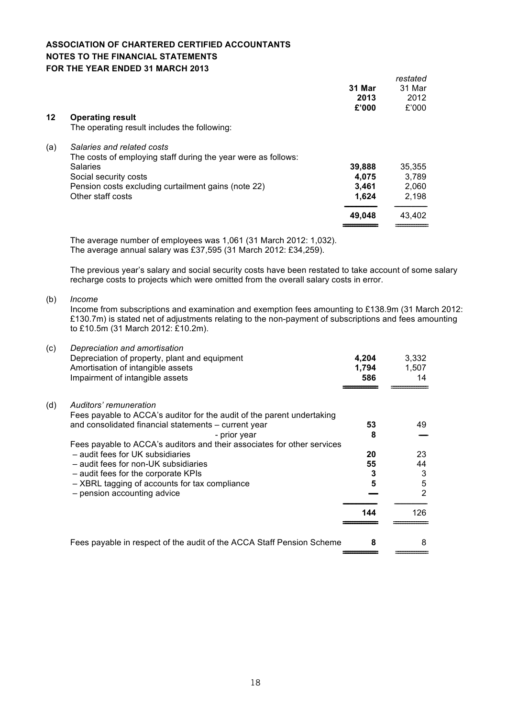|     |                                                               | 31 Mar<br>2013<br>£'000 | restated<br>31 Mar<br>2012<br>£'000 |
|-----|---------------------------------------------------------------|-------------------------|-------------------------------------|
| 12  | <b>Operating result</b>                                       |                         |                                     |
|     | The operating result includes the following:                  |                         |                                     |
| (a) | Salaries and related costs                                    |                         |                                     |
|     | The costs of employing staff during the year were as follows: |                         |                                     |
|     | <b>Salaries</b>                                               | 39,888                  | 35,355                              |
|     | Social security costs                                         | 4.075                   | 3,789                               |
|     | Pension costs excluding curtailment gains (note 22)           | 3,461                   | 2,060                               |
|     | Other staff costs                                             | 1,624                   | 2,198                               |
|     |                                                               | 49,048                  | 43,402                              |
|     |                                                               |                         |                                     |

The average number of employees was 1,061 (31 March 2012: 1,032). The average annual salary was £37,595 (31 March 2012: £34,259).

The previous year's salary and social security costs have been restated to take account of some salary recharge costs to projects which were omitted from the overall salary costs in error.

(b) *Income*

Income from subscriptions and examination and exemption fees amounting to £138.9m (31 March 2012: £130.7m) is stated net of adjustments relating to the non-payment of subscriptions and fees amounting to £10.5m (31 March 2012: £10.2m).

| (c) | Depreciation and amortisation<br>Depreciation of property, plant and equipment                   | 4,204 | 3,332         |
|-----|--------------------------------------------------------------------------------------------------|-------|---------------|
|     | Amortisation of intangible assets                                                                | 1,794 | 1,507         |
|     | Impairment of intangible assets                                                                  | 586   | 14            |
| (d) | Auditors' remuneration<br>Fees payable to ACCA's auditor for the audit of the parent undertaking |       |               |
|     | and consolidated financial statements – current year                                             | 53    | 49            |
|     | - prior year                                                                                     | 8     |               |
|     | Fees payable to ACCA's auditors and their associates for other services                          |       |               |
|     | - audit fees for UK subsidiaries                                                                 | 20    | 23            |
|     | - audit fees for non-UK subsidiaries                                                             | 55    | 44            |
|     | - audit fees for the corporate KPIs                                                              | 3     | 3             |
|     | - XBRL tagging of accounts for tax compliance                                                    | 5     | 5             |
|     | - pension accounting advice                                                                      |       | $\mathcal{P}$ |
|     |                                                                                                  | 144   | 126           |
|     | Fees payable in respect of the audit of the ACCA Staff Pension Scheme                            | 8     | 8             |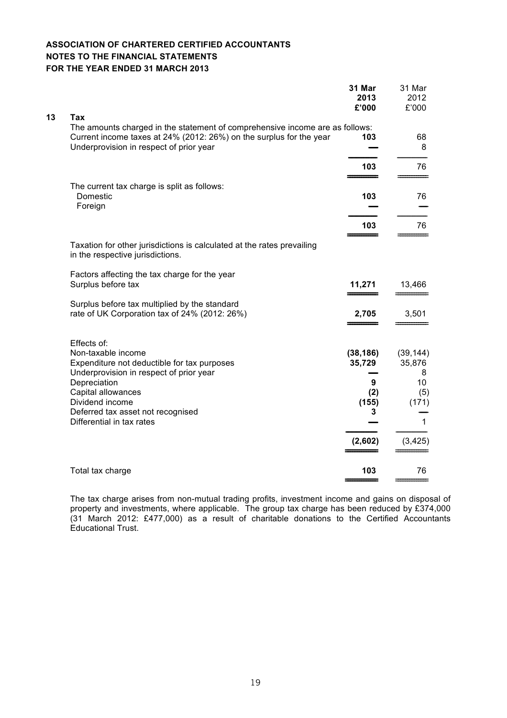|    |                                                                                                                                                                                                                                                        | 31 Mar<br>2013<br>£'000                                  | 31 Mar<br>2012<br>£'000                                         |
|----|--------------------------------------------------------------------------------------------------------------------------------------------------------------------------------------------------------------------------------------------------------|----------------------------------------------------------|-----------------------------------------------------------------|
| 13 | Tax<br>The amounts charged in the statement of comprehensive income are as follows:<br>Current income taxes at 24% (2012: 26%) on the surplus for the year<br>Underprovision in respect of prior year                                                  | 103                                                      | 68<br>8                                                         |
|    |                                                                                                                                                                                                                                                        | 103                                                      | 76                                                              |
|    | The current tax charge is split as follows:<br>Domestic<br>Foreign                                                                                                                                                                                     | 103                                                      | 76                                                              |
|    |                                                                                                                                                                                                                                                        | 103                                                      | 76                                                              |
|    | Taxation for other jurisdictions is calculated at the rates prevailing<br>in the respective jurisdictions.                                                                                                                                             |                                                          |                                                                 |
|    | Factors affecting the tax charge for the year<br>Surplus before tax                                                                                                                                                                                    | 11,271                                                   | 13,466                                                          |
|    | Surplus before tax multiplied by the standard<br>rate of UK Corporation tax of 24% (2012: 26%)                                                                                                                                                         | 2,705                                                    | 3,501                                                           |
|    | Effects of:<br>Non-taxable income<br>Expenditure not deductible for tax purposes<br>Underprovision in respect of prior year<br>Depreciation<br>Capital allowances<br>Dividend income<br>Deferred tax asset not recognised<br>Differential in tax rates | (38, 186)<br>35,729<br>9<br>(2)<br>(155)<br>3<br>(2,602) | (39, 144)<br>35,876<br>8<br>10<br>(5)<br>(171)<br>1<br>(3, 425) |
|    | Total tax charge                                                                                                                                                                                                                                       | 103                                                      | 76                                                              |
|    |                                                                                                                                                                                                                                                        |                                                          |                                                                 |

The tax charge arises from non-mutual trading profits, investment income and gains on disposal of property and investments, where applicable. The group tax charge has been reduced by £374,000 (31 March 2012: £477,000) as a result of charitable donations to the Certified Accountants Educational Trust.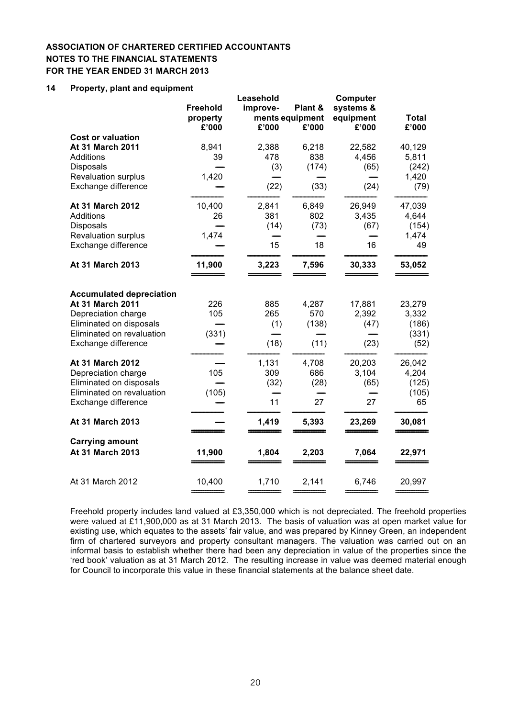## **14 Property, plant and equipment**

|                                                                                                                                                           |                     | Leasehold                  |                               | Computer                        |                                           |
|-----------------------------------------------------------------------------------------------------------------------------------------------------------|---------------------|----------------------------|-------------------------------|---------------------------------|-------------------------------------------|
|                                                                                                                                                           | <b>Freehold</b>     | improve-                   | Plant &                       | systems &                       |                                           |
|                                                                                                                                                           | property            |                            | ments equipment               | equipment                       | <b>Total</b>                              |
|                                                                                                                                                           | £'000               | £'000                      | £'000                         | £'000                           | £'000                                     |
| <b>Cost or valuation</b>                                                                                                                                  |                     |                            |                               |                                 |                                           |
| At 31 March 2011                                                                                                                                          | 8,941               | 2,388                      | 6,218                         | 22,582                          | 40,129                                    |
| Additions                                                                                                                                                 | 39                  | 478                        | 838                           | 4,456                           | 5,811                                     |
| <b>Disposals</b>                                                                                                                                          |                     | (3)                        | (174)                         | (65)                            | (242)                                     |
| Revaluation surplus                                                                                                                                       | 1,420               |                            |                               |                                 | 1,420                                     |
| Exchange difference                                                                                                                                       |                     | (22)                       | (33)                          | (24)                            | (79)                                      |
| At 31 March 2012                                                                                                                                          | 10,400              | 2,841                      | 6,849                         | 26,949                          | 47,039                                    |
| <b>Additions</b>                                                                                                                                          | 26                  | 381                        | 802                           | 3,435                           | 4,644                                     |
| <b>Disposals</b>                                                                                                                                          |                     | (14)                       | (73)                          | (67)                            | (154)                                     |
| Revaluation surplus                                                                                                                                       | 1,474               |                            |                               |                                 | 1,474                                     |
| Exchange difference                                                                                                                                       |                     | 15                         | 18                            | 16                              | 49                                        |
| At 31 March 2013                                                                                                                                          | 11,900              | 3,223                      | 7,596                         | 30,333                          | 53,052                                    |
| <b>Accumulated depreciation</b><br>At 31 March 2011<br>Depreciation charge<br>Eliminated on disposals<br>Eliminated on revaluation<br>Exchange difference | 226<br>105<br>(331) | 885<br>265<br>(1)<br>(18)  | 4,287<br>570<br>(138)<br>(11) | 17,881<br>2,392<br>(47)<br>(23) | 23,279<br>3,332<br>(186)<br>(331)<br>(52) |
| At 31 March 2012<br>Depreciation charge<br>Eliminated on disposals<br>Eliminated on revaluation<br>Exchange difference                                    | 105<br>(105)        | 1,131<br>309<br>(32)<br>11 | 4,708<br>686<br>(28)<br>27    | 20,203<br>3,104<br>(65)<br>27   | 26,042<br>4,204<br>(125)<br>(105)<br>65   |
| At 31 March 2013                                                                                                                                          |                     | 1,419                      | 5,393                         | 23,269                          | 30,081                                    |
| <b>Carrying amount</b><br>At 31 March 2013                                                                                                                | 11,900              | 1,804                      | 2,203                         | 7,064                           | 22,971                                    |
| At 31 March 2012                                                                                                                                          | 10,400              | 1,710                      | 2,141                         | 6,746                           | 20,997                                    |
|                                                                                                                                                           |                     |                            |                               |                                 |                                           |

Freehold property includes land valued at £3,350,000 which is not depreciated. The freehold properties were valued at £11,900,000 as at 31 March 2013. The basis of valuation was at open market value for existing use, which equates to the assets' fair value, and was prepared by Kinney Green, an independent firm of chartered surveyors and property consultant managers. The valuation was carried out on an informal basis to establish whether there had been any depreciation in value of the properties since the 'red book' valuation as at 31 March 2012. The resulting increase in value was deemed material enough for Council to incorporate this value in these financial statements at the balance sheet date.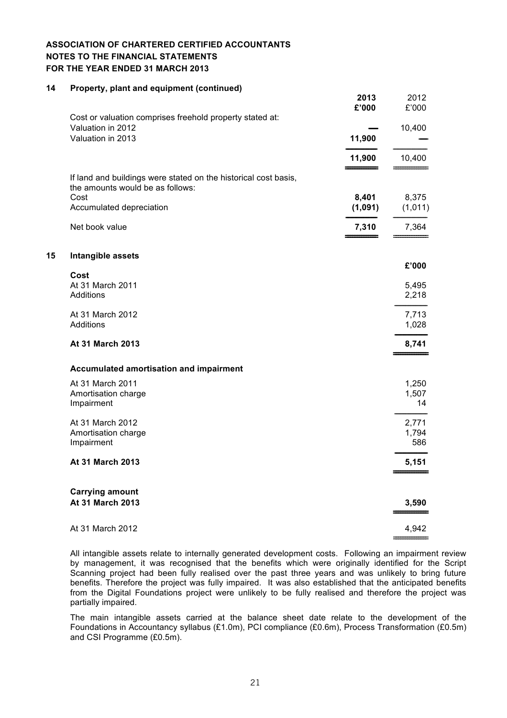#### **14 Property, plant and equipment (continued)**

**15 Intangible assets**

|                                                                                                                                                           | 2013<br>£'000             | 2012<br>£'000             |
|-----------------------------------------------------------------------------------------------------------------------------------------------------------|---------------------------|---------------------------|
| Cost or valuation comprises freehold property stated at:<br>Valuation in 2012<br>Valuation in 2013                                                        | 11,900                    | 10,400                    |
|                                                                                                                                                           | 11,900                    | 10,400                    |
| If land and buildings were stated on the historical cost basis,<br>the amounts would be as follows:<br>Cost<br>Accumulated depreciation<br>Net book value | 8,401<br>(1,091)<br>7,310 | 8,375<br>(1,011)<br>7,364 |
| Intangible assets                                                                                                                                         |                           |                           |
| Cost<br>At 31 March 2011<br>Additions                                                                                                                     |                           | £'000<br>5,495<br>2,218   |
| At 31 March 2012<br>Additions                                                                                                                             |                           | 7,713<br>1,028            |
| At 31 March 2013                                                                                                                                          |                           | 8,741                     |
| Accumulated amortisation and impairment                                                                                                                   |                           |                           |
| At 31 March 2011<br>Amortisation charge<br>Impairment                                                                                                     |                           | 1,250<br>1,507<br>14      |
| At 31 March 2012<br>Amortisation charge<br>Impairment                                                                                                     |                           | 2,771<br>1,794<br>586     |
| At 31 March 2013                                                                                                                                          |                           | 5,151                     |
| <b>Carrying amount</b><br>At 31 March 2013                                                                                                                |                           | 3,590                     |
| At 31 March 2012                                                                                                                                          |                           | 4,942                     |
|                                                                                                                                                           |                           |                           |

All intangible assets relate to internally generated development costs. Following an impairment review by management, it was recognised that the benefits which were originally identified for the Script Scanning project had been fully realised over the past three years and was unlikely to bring future benefits. Therefore the project was fully impaired. It was also established that the anticipated benefits from the Digital Foundations project were unlikely to be fully realised and therefore the project was partially impaired.

The main intangible assets carried at the balance sheet date relate to the development of the Foundations in Accountancy syllabus (£1.0m), PCI compliance (£0.6m), Process Transformation (£0.5m) and CSI Programme (£0.5m).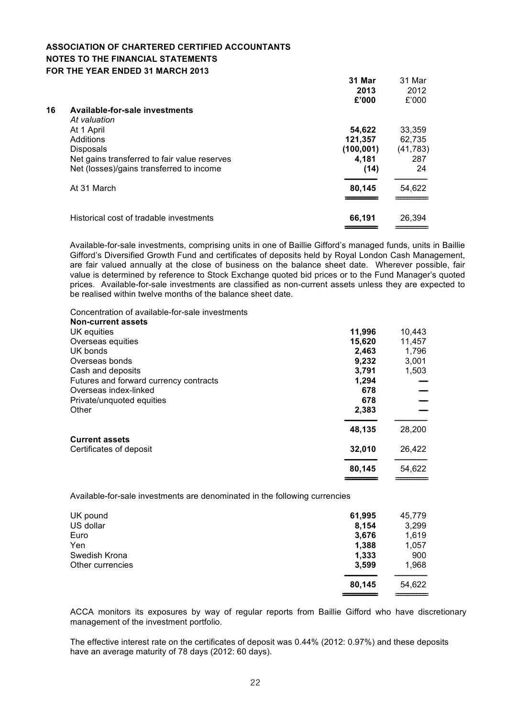|    |                                              | 31 Mar     | 31 Mar    |
|----|----------------------------------------------|------------|-----------|
|    |                                              | 2013       | 2012      |
|    |                                              | £'000      | £'000     |
| 16 | Available-for-sale investments               |            |           |
|    | At valuation                                 |            |           |
|    | At 1 April                                   | 54,622     | 33,359    |
|    | Additions                                    | 121,357    | 62,735    |
|    | <b>Disposals</b>                             | (100, 001) | (41, 783) |
|    | Net gains transferred to fair value reserves | 4,181      | 287       |
|    | Net (losses)/gains transferred to income     | (14)       | 24        |
|    | At 31 March                                  | 80,145     | 54,622    |
|    |                                              |            |           |
|    | Historical cost of tradable investments      | 66,191     | 26,394    |
|    |                                              |            |           |

Available-for-sale investments, comprising units in one of Baillie Gifford's managed funds, units in Baillie Gifford's Diversified Growth Fund and certificates of deposits held by Royal London Cash Management, are fair valued annually at the close of business on the balance sheet date. Wherever possible, fair value is determined by reference to Stock Exchange quoted bid prices or to the Fund Manager's quoted prices. Available-for-sale investments are classified as non-current assets unless they are expected to be realised within twelve months of the balance sheet date.

Concentration of available-for-sale investments

| <b>Non-current assets</b>              |        |        |
|----------------------------------------|--------|--------|
| UK equities                            | 11,996 | 10,443 |
| Overseas equities                      | 15,620 | 11,457 |
| UK bonds                               | 2,463  | 1,796  |
| Overseas bonds                         | 9,232  | 3,001  |
| Cash and deposits                      | 3,791  | 1,503  |
| Futures and forward currency contracts | 1,294  |        |
| Overseas index-linked                  | 678    |        |
| Private/unquoted equities              | 678    |        |
| Other                                  | 2,383  |        |
|                                        | 48,135 | 28,200 |
| <b>Current assets</b>                  |        |        |
| Certificates of deposit                | 32,010 | 26,422 |
|                                        | 80,145 | 54,622 |
|                                        |        |        |

Available-for-sale investments are denominated in the following currencies

| UK pound         | 61,995 | 45,779 |
|------------------|--------|--------|
| US dollar        | 8,154  | 3,299  |
| Euro             | 3,676  | 1,619  |
| Yen              | 1,388  | 1,057  |
| Swedish Krona    | 1,333  | 900    |
| Other currencies | 3,599  | 1,968  |
|                  | 80,145 | 54,622 |
|                  |        |        |

ACCA monitors its exposures by way of regular reports from Baillie Gifford who have discretionary management of the investment portfolio.

The effective interest rate on the certificates of deposit was 0.44% (2012: 0.97%) and these deposits have an average maturity of 78 days (2012: 60 days).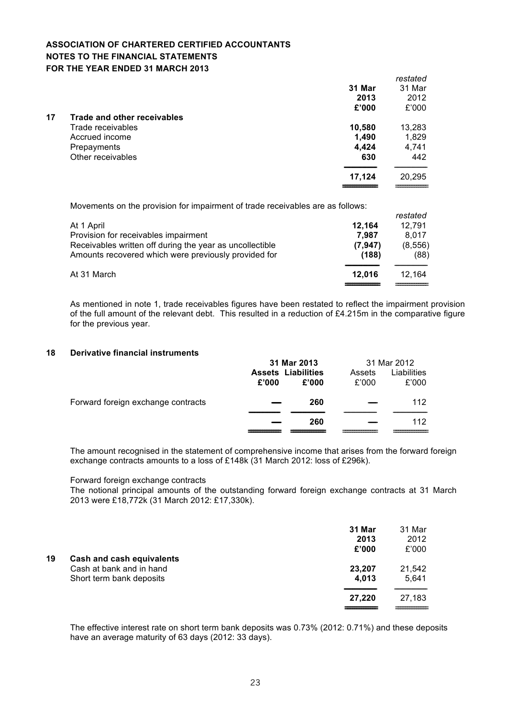|    |                             |        | restated |
|----|-----------------------------|--------|----------|
|    |                             | 31 Mar | 31 Mar   |
|    |                             | 2013   | 2012     |
|    |                             | £'000  | £'000    |
| 17 | Trade and other receivables |        |          |
|    | Trade receivables           | 10,580 | 13,283   |
|    | Accrued income              | 1,490  | 1,829    |
|    | Prepayments                 | 4,424  | 4,741    |
|    | Other receivables           | 630    | 442      |
|    |                             | 17,124 | 20,295   |
|    |                             |        |          |

Movements on the provision for impairment of trade receivables are as follows:

|                                                          |          | restated |
|----------------------------------------------------------|----------|----------|
| At 1 April                                               | 12.164   | 12.791   |
| Provision for receivables impairment                     | 7.987    | 8.017    |
| Receivables written off during the year as uncollectible | (7, 947) | (8, 556) |
| Amounts recovered which were previously provided for     | (188)    | (88)     |
| At 31 March                                              | 12.016   | 12.164   |
|                                                          |          |          |

As mentioned in note 1, trade receivables figures have been restated to reflect the impairment provision of the full amount of the relevant debt. This resulted in a reduction of £4.215m in the comparative figure for the previous year.

#### **18 Derivative financial instruments**

|                                    |       | 31 Mar 2013               |        | 31 Mar 2012 |
|------------------------------------|-------|---------------------------|--------|-------------|
|                                    |       | <b>Assets Liabilities</b> | Assets | Liabilities |
|                                    | £'000 | £'000                     | £'000  | £'000       |
| Forward foreign exchange contracts |       | 260                       |        | 112         |
|                                    |       |                           |        |             |
|                                    |       | 260                       |        | 112         |
|                                    |       |                           |        |             |

The amount recognised in the statement of comprehensive income that arises from the forward foreign exchange contracts amounts to a loss of £148k (31 March 2012: loss of £296k).

## Forward foreign exchange contracts

The notional principal amounts of the outstanding forward foreign exchange contracts at 31 March 2013 were £18,772k (31 March 2012: £17,330k).

|    |                                                                                   | 31 Mar<br>2013<br>£'000 | 31 Mar<br>2012<br>£'000 |
|----|-----------------------------------------------------------------------------------|-------------------------|-------------------------|
| 19 | Cash and cash equivalents<br>Cash at bank and in hand<br>Short term bank deposits | 23,207<br>4,013         | 21,542<br>5,641         |
|    |                                                                                   | 27,220                  | 27,183                  |

The effective interest rate on short term bank deposits was 0.73% (2012: 0.71%) and these deposits have an average maturity of 63 days (2012: 33 days).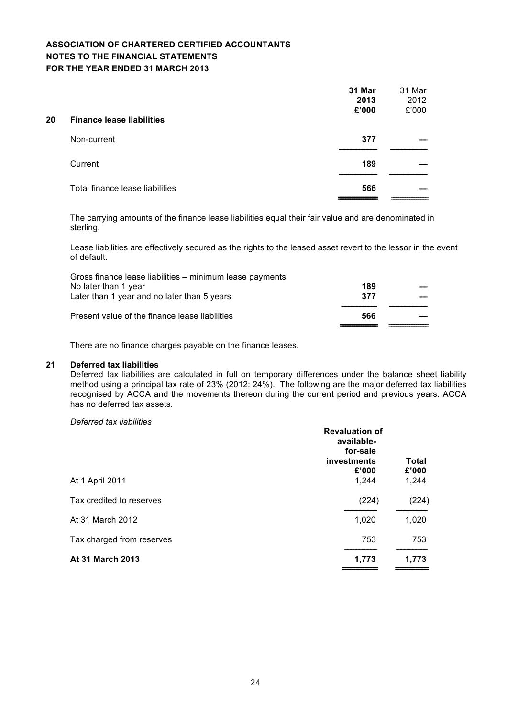| 20 | <b>Finance lease liabilities</b> | 31 Mar<br>2013<br>£'000 | 31 Mar<br>2012<br>£'000 |
|----|----------------------------------|-------------------------|-------------------------|
|    | Non-current                      | 377                     |                         |
|    | Current                          | 189                     |                         |
|    | Total finance lease liabilities  | 566                     |                         |

The carrying amounts of the finance lease liabilities equal their fair value and are denominated in sterling.

Lease liabilities are effectively secured as the rights to the leased asset revert to the lessor in the event of default.

| Gross finance lease liabilities – minimum lease payments |     |  |
|----------------------------------------------------------|-----|--|
| No later than 1 year                                     | 189 |  |
| Later than 1 year and no later than 5 years              | 377 |  |
| Present value of the finance lease liabilities           | 566 |  |
|                                                          |     |  |

There are no finance charges payable on the finance leases.

#### **21 Deferred tax liabilities**

Deferred tax liabilities are calculated in full on temporary differences under the balance sheet liability method using a principal tax rate of 23% (2012: 24%). The following are the major deferred tax liabilities recognised by ACCA and the movements thereon during the current period and previous years. ACCA has no deferred tax assets.

*Deferred tax liabilities*

| <b>Revaluation of</b><br>available-<br>for-sale<br>investments<br>£'000 | <b>Total</b><br>£'000 |
|-------------------------------------------------------------------------|-----------------------|
| 1,244                                                                   | 1,244                 |
| (224)                                                                   | (224)                 |
| 1,020                                                                   | 1,020                 |
| 753                                                                     | 753                   |
| 1,773                                                                   | 1,773                 |
|                                                                         |                       |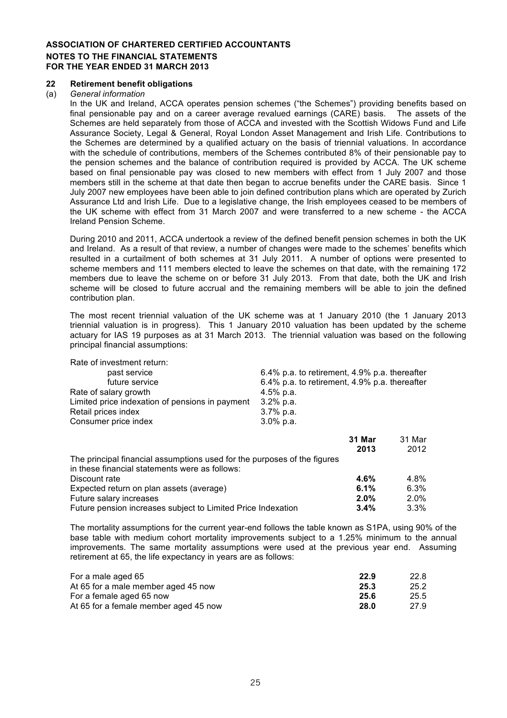#### **22 Retirement benefit obligations**

#### (a) *General information*

In the UK and Ireland, ACCA operates pension schemes ("the Schemes") providing benefits based on final pensionable pay and on a career average revalued earnings (CARE) basis. The assets of the Schemes are held separately from those of ACCA and invested with the Scottish Widows Fund and Life Assurance Society, Legal & General, Royal London Asset Management and Irish Life. Contributions to the Schemes are determined by a qualified actuary on the basis of triennial valuations. In accordance with the schedule of contributions, members of the Schemes contributed 8% of their pensionable pay to the pension schemes and the balance of contribution required is provided by ACCA. The UK scheme based on final pensionable pay was closed to new members with effect from 1 July 2007 and those members still in the scheme at that date then began to accrue benefits under the CARE basis. Since 1 July 2007 new employees have been able to join defined contribution plans which are operated by Zurich Assurance Ltd and Irish Life. Due to a legislative change, the Irish employees ceased to be members of the UK scheme with effect from 31 March 2007 and were transferred to a new scheme - the ACCA Ireland Pension Scheme.

During 2010 and 2011, ACCA undertook a review of the defined benefit pension schemes in both the UK and Ireland. As a result of that review, a number of changes were made to the schemes' benefits which resulted in a curtailment of both schemes at 31 July 2011. A number of options were presented to scheme members and 111 members elected to leave the schemes on that date, with the remaining 172 members due to leave the scheme on or before 31 July 2013. From that date, both the UK and Irish scheme will be closed to future accrual and the remaining members will be able to join the defined contribution plan.

The most recent triennial valuation of the UK scheme was at 1 January 2010 (the 1 January 2013 triennial valuation is in progress). This 1 January 2010 valuation has been updated by the scheme actuary for IAS 19 purposes as at 31 March 2013. The triennial valuation was based on the following principal financial assumptions:

| Rate of investment return:                                               |                                               |        |
|--------------------------------------------------------------------------|-----------------------------------------------|--------|
| past service                                                             | 6.4% p.a. to retirement, 4.9% p.a. thereafter |        |
| future service                                                           | 6.4% p.a. to retirement, 4.9% p.a. thereafter |        |
| Rate of salary growth                                                    | 4.5% p.a.                                     |        |
| Limited price indexation of pensions in payment                          | $3.2\%$ p.a.                                  |        |
| Retail prices index                                                      | $3.7\%$ p.a.                                  |        |
| Consumer price index                                                     | $3.0\%$ p.a.                                  |        |
|                                                                          | 31 Mar                                        | 31 Mar |
|                                                                          | 2013                                          | 2012   |
| The principal financial assumptions used for the purposes of the figures |                                               |        |
| in these financial statements were as follows:                           |                                               |        |
| Discount rate                                                            | 4.6%                                          | 4.8%   |
| Expected return on plan assets (average)                                 | 6.1%                                          | 6.3%   |
| Future salary increases                                                  | 2.0%                                          | 2.0%   |
| Future pension increases subject to Limited Price Indexation             | 3.4%                                          | 3.3%   |

The mortality assumptions for the current year-end follows the table known as S1PA, using 90% of the base table with medium cohort mortality improvements subject to a 1.25% minimum to the annual improvements. The same mortality assumptions were used at the previous year end. Assuming retirement at 65, the life expectancy in years are as follows:

| For a male aged 65                    | 22.9 | 22.8 |
|---------------------------------------|------|------|
| At 65 for a male member aged 45 now   | 25.3 | 25.2 |
| For a female aged 65 now              | 25.6 | 25.5 |
| At 65 for a female member aged 45 now | 28.0 | 27.9 |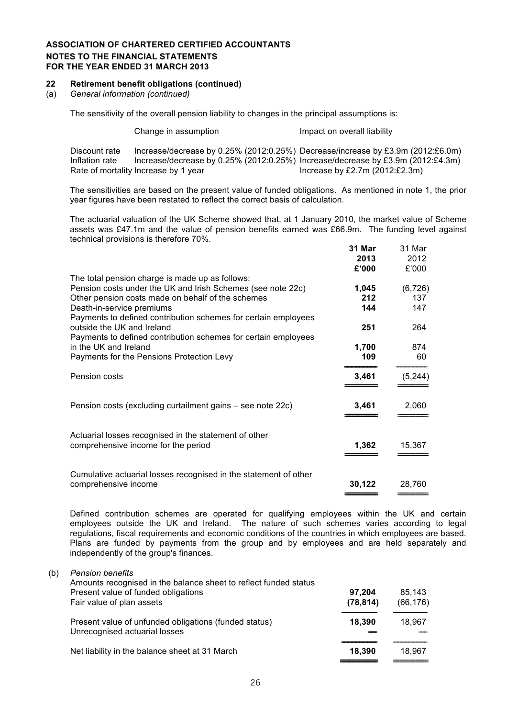#### **22 Retirement benefit obligations (continued)**

(a) *General information (continued)*

The sensitivity of the overall pension liability to changes in the principal assumptions is:

|                                 | Change in assumption                 | Impact on overall liability                                                                                                                                           |
|---------------------------------|--------------------------------------|-----------------------------------------------------------------------------------------------------------------------------------------------------------------------|
| Discount rate<br>Inflation rate |                                      | Increase/decrease by $0.25\%$ (2012:0.25%) Decrease/increase by £3.9m (2012:£6.0m)<br>Increase/decrease by 0.25% (2012:0.25%) Increase/decrease by £3.9m (2012:£4.3m) |
|                                 | Rate of mortality Increase by 1 year | Increase by £2.7m $(2012:£2.3m)$                                                                                                                                      |

The sensitivities are based on the present value of funded obligations. As mentioned in note 1, the prior year figures have been restated to reflect the correct basis of calculation.

The actuarial valuation of the UK Scheme showed that, at 1 January 2010, the market value of Scheme assets was £47.1m and the value of pension benefits earned was £66.9m. The funding level against technical provisions is therefore 70%.

|                                                                                                                                                                     | 31 Mar<br>2013 | 31 Mar<br>2012  |
|---------------------------------------------------------------------------------------------------------------------------------------------------------------------|----------------|-----------------|
|                                                                                                                                                                     | £'000          | £'000           |
| The total pension charge is made up as follows:<br>Pension costs under the UK and Irish Schemes (see note 22c)<br>Other pension costs made on behalf of the schemes | 1,045<br>212   | (6, 726)<br>137 |
| Death-in-service premiums                                                                                                                                           | 144            | 147             |
| Payments to defined contribution schemes for certain employees<br>outside the UK and Ireland                                                                        | 251            | 264             |
| Payments to defined contribution schemes for certain employees                                                                                                      |                |                 |
| in the UK and Ireland<br>Payments for the Pensions Protection Levy                                                                                                  | 1,700<br>109   | 874<br>60       |
|                                                                                                                                                                     |                |                 |
| Pension costs                                                                                                                                                       | 3,461          | (5, 244)        |
| Pension costs (excluding curtailment gains – see note 22c)                                                                                                          | 3,461          | 2,060           |
| Actuarial losses recognised in the statement of other<br>comprehensive income for the period                                                                        | 1,362          | 15,367          |
| Cumulative actuarial losses recognised in the statement of other<br>comprehensive income                                                                            | 30,122         | 28.760          |

Defined contribution schemes are operated for qualifying employees within the UK and certain employees outside the UK and Ireland. The nature of such schemes varies according to legal regulations, fiscal requirements and economic conditions of the countries in which employees are based. Plans are funded by payments from the group and by employees and are held separately and independently of the group's finances.

(b) *Pension benefits*

| 97.204<br>(78, 814) | 85.143<br>(66, 176) |
|---------------------|---------------------|
| 18,390              | 18.967              |
| 18.390              | 18.967              |
|                     |                     |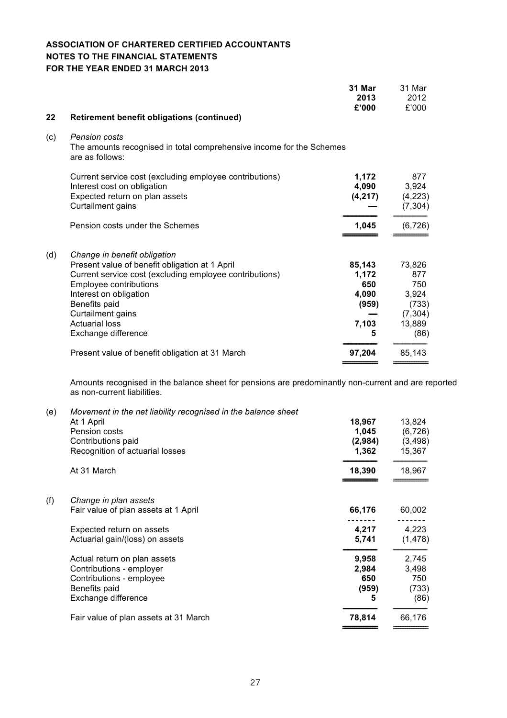|     |                                                                                                                                                                                                                                                                                            | 31 Mar<br>2013<br>£'000                                | 31 Mar<br>2012<br>£'000                                              |
|-----|--------------------------------------------------------------------------------------------------------------------------------------------------------------------------------------------------------------------------------------------------------------------------------------------|--------------------------------------------------------|----------------------------------------------------------------------|
| 22  | <b>Retirement benefit obligations (continued)</b>                                                                                                                                                                                                                                          |                                                        |                                                                      |
| (c) | <b>Pension costs</b><br>The amounts recognised in total comprehensive income for the Schemes<br>are as follows:                                                                                                                                                                            |                                                        |                                                                      |
|     | Current service cost (excluding employee contributions)<br>Interest cost on obligation<br>Expected return on plan assets<br>Curtailment gains                                                                                                                                              | 1,172<br>4,090<br>(4, 217)                             | 877<br>3,924<br>(4,223)<br>(7, 304)                                  |
|     | Pension costs under the Schemes                                                                                                                                                                                                                                                            | 1,045                                                  | (6, 726)                                                             |
| (d) | Change in benefit obligation<br>Present value of benefit obligation at 1 April<br>Current service cost (excluding employee contributions)<br><b>Employee contributions</b><br>Interest on obligation<br>Benefits paid<br>Curtailment gains<br><b>Actuarial loss</b><br>Exchange difference | 85,143<br>1,172<br>650<br>4,090<br>(959)<br>7,103<br>5 | 73,826<br>877<br>750<br>3,924<br>(733)<br>(7, 304)<br>13,889<br>(86) |
|     | Present value of benefit obligation at 31 March                                                                                                                                                                                                                                            | 97,204                                                 | 85,143                                                               |

Amounts recognised in the balance sheet for pensions are predominantly non-current and are reported as non-current liabilities.

| (e) | Movement in the net liability recognised in the balance sheet |         |          |
|-----|---------------------------------------------------------------|---------|----------|
|     | At 1 April                                                    | 18,967  | 13,824   |
|     | Pension costs                                                 | 1,045   | (6, 726) |
|     | Contributions paid                                            | (2,984) | (3, 498) |
|     | Recognition of actuarial losses                               | 1,362   | 15,367   |
|     | At 31 March                                                   | 18,390  | 18,967   |
| (f) | Change in plan assets                                         |         |          |
|     | Fair value of plan assets at 1 April                          | 66,176  | 60,002   |
|     | Expected return on assets                                     | 4,217   | 4,223    |
|     | Actuarial gain/(loss) on assets                               | 5,741   | (1, 478) |
|     | Actual return on plan assets                                  | 9,958   | 2,745    |
|     | Contributions - employer                                      | 2,984   | 3,498    |
|     | Contributions - employee                                      | 650     | 750      |
|     | Benefits paid                                                 | (959)   | (733)    |
|     | Exchange difference                                           | 5       | (86)     |
|     | Fair value of plan assets at 31 March                         | 78,814  | 66,176   |
|     |                                                               |         |          |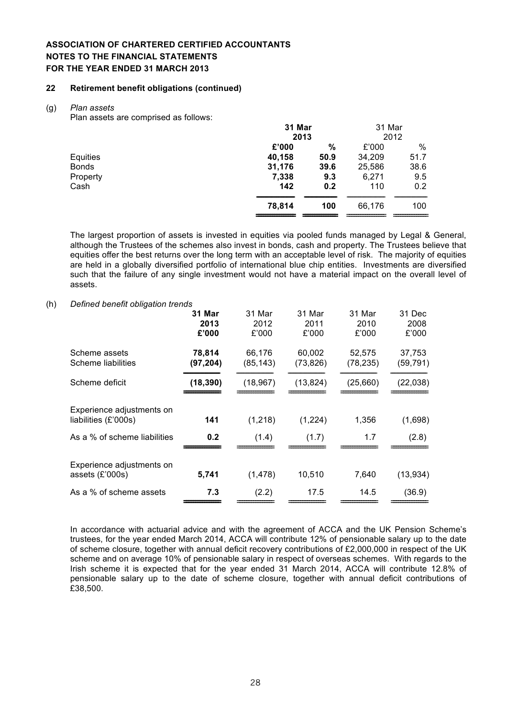#### **22 Retirement benefit obligations (continued)**

#### (g) *Plan assets*

Plan assets are comprised as follows:

|              | 31 Mar |      | 31 Mar |      |  |
|--------------|--------|------|--------|------|--|
|              |        | 2013 |        | 2012 |  |
|              | £'000  | $\%$ | £'000  | $\%$ |  |
| Equities     | 40,158 | 50.9 | 34,209 | 51.7 |  |
| <b>Bonds</b> | 31,176 | 39.6 | 25,586 | 38.6 |  |
| Property     | 7,338  | 9.3  | 6,271  | 9.5  |  |
| Cash         | 142    | 0.2  | 110    | 0.2  |  |
|              | 78,814 | 100  | 66,176 | 100  |  |
|              |        |      |        |      |  |

The largest proportion of assets is invested in equities via pooled funds managed by Legal & General, although the Trustees of the schemes also invest in bonds, cash and property. The Trustees believe that equities offer the best returns over the long term with an acceptable level of risk. The majority of equities are held in a globally diversified portfolio of international blue chip entities. Investments are diversified such that the failure of any single investment would not have a material impact on the overall level of assets.

#### (h) *Defined benefit obligation trends*

|                                                   | 31 Mar<br>2013<br>£'000 | 31 Mar<br>2012<br>£'000 | 31 Mar<br>2011<br>£'000 | 31 Mar<br>2010<br>£'000 | 31 Dec<br>2008<br>£'000 |
|---------------------------------------------------|-------------------------|-------------------------|-------------------------|-------------------------|-------------------------|
| Scheme assets<br>Scheme liabilities               | 78,814<br>(97, 204)     | 66,176<br>(85,143)      | 60,002<br>(73,826)      | 52,575<br>(78, 235)     | 37,753<br>(59, 791)     |
| Scheme deficit                                    | (18, 390)               | (18, 967)               | (13, 824)               | (25,660)                | (22, 038)               |
| Experience adjustments on<br>liabilities (£'000s) | 141                     | (1, 218)                | (1,224)                 | 1,356                   | (1,698)                 |
| As a % of scheme liabilities                      | 0.2                     | (1.4)                   | (1.7)                   | 1.7                     | (2.8)                   |
| Experience adjustments on<br>assets (£'000s)      | 5,741                   | (1, 478)                | 10,510                  | 7,640                   | (13, 934)               |
| As a % of scheme assets                           | 7.3                     | (2.2)                   | 17.5                    | 14.5                    | (36.9)                  |
|                                                   |                         |                         |                         |                         |                         |

In accordance with actuarial advice and with the agreement of ACCA and the UK Pension Scheme's trustees, for the year ended March 2014, ACCA will contribute 12% of pensionable salary up to the date of scheme closure, together with annual deficit recovery contributions of £2,000,000 in respect of the UK scheme and on average 10% of pensionable salary in respect of overseas schemes. With regards to the Irish scheme it is expected that for the year ended 31 March 2014, ACCA will contribute 12.8% of pensionable salary up to the date of scheme closure, together with annual deficit contributions of £38,500.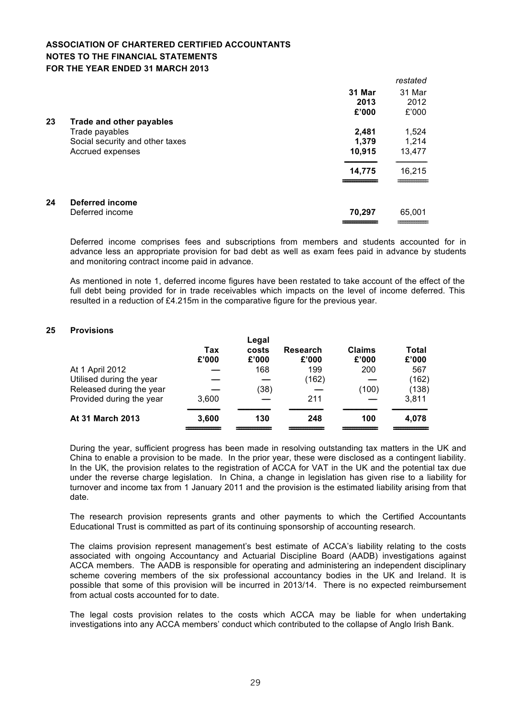|    |                                 |        | restated |
|----|---------------------------------|--------|----------|
|    |                                 | 31 Mar | 31 Mar   |
|    |                                 | 2013   | 2012     |
|    |                                 | £'000  | £'000    |
| 23 | Trade and other payables        |        |          |
|    | Trade payables                  | 2,481  | 1,524    |
|    | Social security and other taxes | 1.379  | 1,214    |
|    | Accrued expenses                | 10,915 | 13,477   |
|    |                                 | 14,775 | 16,215   |
|    |                                 |        |          |
| 24 | Deferred income                 |        |          |
|    | Deferred income                 | 70,297 | 65,001   |
|    |                                 |        |          |

Deferred income comprises fees and subscriptions from members and students accounted for in advance less an appropriate provision for bad debt as well as exam fees paid in advance by students and monitoring contract income paid in advance.

As mentioned in note 1, deferred income figures have been restated to take account of the effect of the full debt being provided for in trade receivables which impacts on the level of income deferred. This resulted in a reduction of £4.215m in the comparative figure for the previous year.

#### **25 Provisions**

|                          | Tax<br>£'000 | Legal<br>costs<br>£'000 | <b>Research</b><br>£'000 | <b>Claims</b><br>£'000 | <b>Total</b><br>£'000 |
|--------------------------|--------------|-------------------------|--------------------------|------------------------|-----------------------|
| At 1 April 2012          |              | 168                     | 199                      | 200                    | 567                   |
| Utilised during the year |              |                         | (162)                    |                        | (162)                 |
| Released during the year |              | (38)                    |                          | (100)                  | (138)                 |
| Provided during the year | 3,600        |                         | 211                      |                        | 3,811                 |
| At 31 March 2013         | 3,600        | 130                     | 248                      | 100                    | 4,078                 |

During the year, sufficient progress has been made in resolving outstanding tax matters in the UK and China to enable a provision to be made. In the prior year, these were disclosed as a contingent liability. In the UK, the provision relates to the registration of ACCA for VAT in the UK and the potential tax due under the reverse charge legislation. In China, a change in legislation has given rise to a liability for turnover and income tax from 1 January 2011 and the provision is the estimated liability arising from that date.

The research provision represents grants and other payments to which the Certified Accountants Educational Trust is committed as part of its continuing sponsorship of accounting research.

The claims provision represent management's best estimate of ACCA's liability relating to the costs associated with ongoing Accountancy and Actuarial Discipline Board (AADB) investigations against ACCA members. The AADB is responsible for operating and administering an independent disciplinary scheme covering members of the six professional accountancy bodies in the UK and Ireland. It is possible that some of this provision will be incurred in 2013/14. There is no expected reimbursement from actual costs accounted for to date.

The legal costs provision relates to the costs which ACCA may be liable for when undertaking investigations into any ACCA members' conduct which contributed to the collapse of Anglo Irish Bank.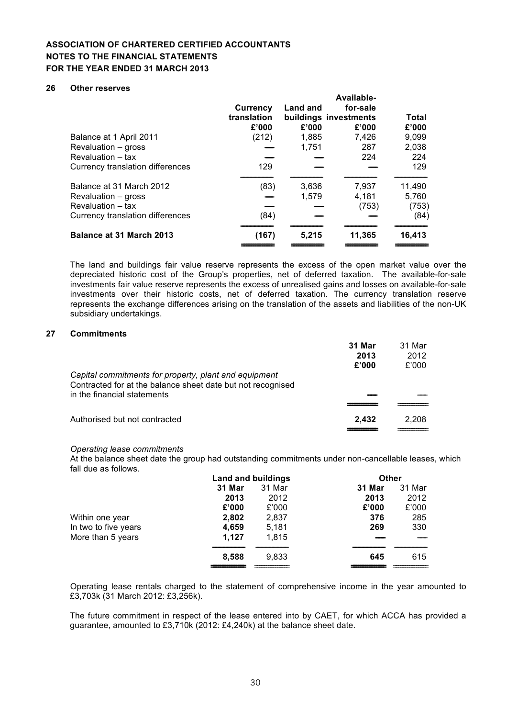#### **26 Other reserves**

| Balance at 1 April 2011<br>Revaluation – gross<br>Revaluation - tax<br>Currency translation differences                                     | Currency<br>translation<br>£'000<br>(212)<br>129 | <b>Land and</b><br>£'000<br>1,885<br>1.751 | Available-<br>for-sale<br>buildings investments<br>£'000<br>7,426<br>287<br>224 | Total<br>£'000<br>9,099<br>2,038<br>224<br>129 |
|---------------------------------------------------------------------------------------------------------------------------------------------|--------------------------------------------------|--------------------------------------------|---------------------------------------------------------------------------------|------------------------------------------------|
| Balance at 31 March 2012<br>Revaluation – gross<br>Revaluation – tax<br>Currency translation differences<br><b>Balance at 31 March 2013</b> | (83)<br>(84)<br>(167)                            | 3,636<br>1.579<br>5,215                    | 7,937<br>4.181<br>(753)<br>11,365                                               | 11,490<br>5,760<br>(753)<br>(84)<br>16,413     |

The land and buildings fair value reserve represents the excess of the open market value over the depreciated historic cost of the Group's properties, net of deferred taxation. The available-for-sale investments fair value reserve represents the excess of unrealised gains and losses on available-for-sale investments over their historic costs, net of deferred taxation. The currency translation reserve represents the exchange differences arising on the translation of the assets and liabilities of the non-UK subsidiary undertakings.

#### **27 Commitments**

|                                                                                                                                                     | 31 Mar<br>2013<br>£'000 | 31 Mar<br>2012<br>£'000 |
|-----------------------------------------------------------------------------------------------------------------------------------------------------|-------------------------|-------------------------|
| Capital commitments for property, plant and equipment<br>Contracted for at the balance sheet date but not recognised<br>in the financial statements |                         |                         |
|                                                                                                                                                     |                         |                         |
| Authorised but not contracted                                                                                                                       | 2.432                   | 2.208                   |

#### *Operating lease commitments*

At the balance sheet date the group had outstanding commitments under non-cancellable leases, which fall due as follows.

|                      |        | Land and buildings |        | <b>Other</b> |
|----------------------|--------|--------------------|--------|--------------|
|                      | 31 Mar | 31 Mar             | 31 Mar | 31 Mar       |
|                      | 2013   | 2012               | 2013   | 2012         |
|                      | £'000  | £'000              | £'000  | £'000        |
| Within one year      | 2,802  | 2,837              | 376    | 285          |
| In two to five years | 4,659  | 5,181              | 269    | 330          |
| More than 5 years    | 1.127  | 1.815              |        |              |
|                      | 8,588  | 9.833              | 645    | 615          |
|                      |        |                    |        |              |

Operating lease rentals charged to the statement of comprehensive income in the year amounted to £3,703k (31 March 2012: £3,256k).

The future commitment in respect of the lease entered into by CAET, for which ACCA has provided a guarantee, amounted to £3,710k (2012: £4,240k) at the balance sheet date.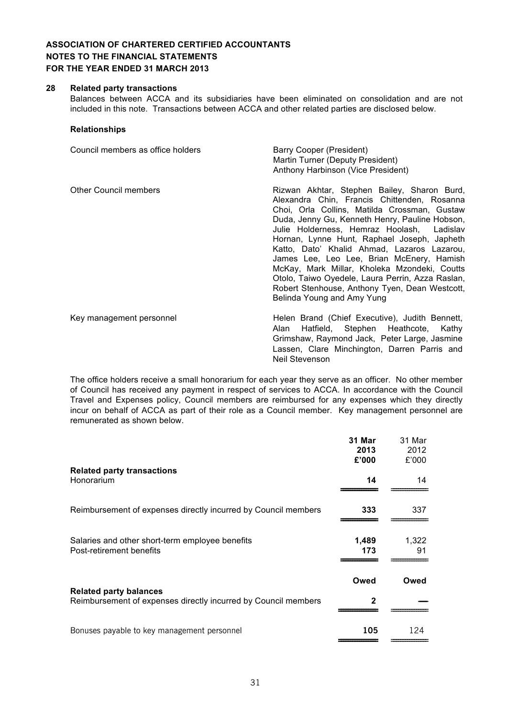#### **28 Related party transactions**

Balances between ACCA and its subsidiaries have been eliminated on consolidation and are not included in this note. Transactions between ACCA and other related parties are disclosed below.

#### **Relationships**

| Council members as office holders | Barry Cooper (President)<br>Martin Turner (Deputy President)<br>Anthony Harbinson (Vice President)                                                                                                                                                                                                                                                                                                                                                                                                                                                                        |  |  |
|-----------------------------------|---------------------------------------------------------------------------------------------------------------------------------------------------------------------------------------------------------------------------------------------------------------------------------------------------------------------------------------------------------------------------------------------------------------------------------------------------------------------------------------------------------------------------------------------------------------------------|--|--|
| <b>Other Council members</b>      | Rizwan Akhtar, Stephen Bailey, Sharon Burd,<br>Alexandra Chin, Francis Chittenden, Rosanna<br>Choi, Orla Collins, Matilda Crossman, Gustaw<br>Duda, Jenny Gu, Kenneth Henry, Pauline Hobson,<br>Julie Holderness, Hemraz Hoolash, Ladislav<br>Hornan, Lynne Hunt, Raphael Joseph, Japheth<br>Katto, Dato' Khalid Ahmad, Lazaros Lazarou,<br>James Lee, Leo Lee, Brian McEnery, Hamish<br>McKay, Mark Millar, Kholeka Mzondeki, Coutts<br>Otolo, Taiwo Oyedele, Laura Perrin, Azza Raslan,<br>Robert Stenhouse, Anthony Tyen, Dean Westcott,<br>Belinda Young and Amy Yung |  |  |
| Key management personnel          | Helen Brand (Chief Executive), Judith Bennett,<br>Alan Hatfield, Stephen Heathcote, Kathy<br>Grimshaw, Raymond Jack, Peter Large, Jasmine                                                                                                                                                                                                                                                                                                                                                                                                                                 |  |  |

The office holders receive a small honorarium for each year they serve as an officer. No other member of Council has received any payment in respect of services to ACCA. In accordance with the Council Travel and Expenses policy, Council members are reimbursed for any expenses which they directly incur on behalf of ACCA as part of their role as a Council member. Key management personnel are remunerated as shown below.

Neil Stevenson

Lassen, Clare Minchington, Darren Parris and

|                                                                                                 | 31 Mar<br>2013 | 31 Mar<br>2012 |
|-------------------------------------------------------------------------------------------------|----------------|----------------|
| <b>Related party transactions</b><br>Honorarium                                                 | £'000<br>14    | £'000<br>14    |
| Reimbursement of expenses directly incurred by Council members                                  | 333            | 337            |
| Salaries and other short-term employee benefits<br>Post-retirement benefits                     | 1,489<br>173   | 1,322<br>91    |
|                                                                                                 | Owed           | Owed           |
| <b>Related party balances</b><br>Reimbursement of expenses directly incurred by Council members | $\mathbf{2}$   |                |
| Bonuses payable to key management personnel                                                     | 105            | 124            |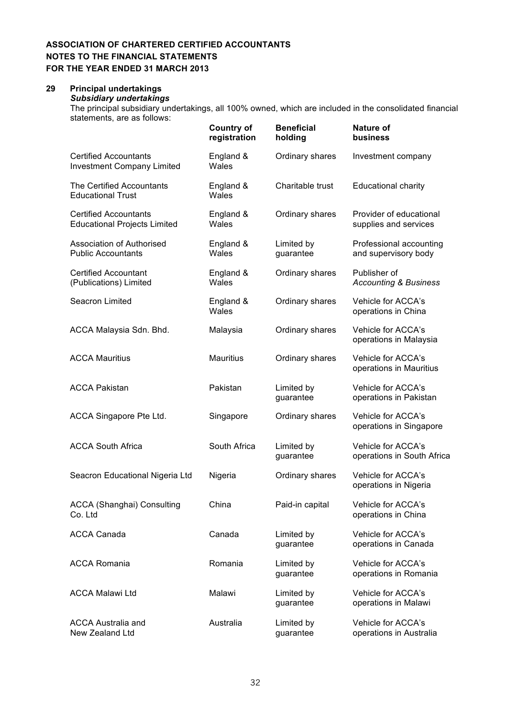## **29 Principal undertakings**

*Subsidiary undertakings*

The principal subsidiary undertakings, all 100% owned, which are included in the consolidated financial statements, are as follows:

|                                                                     | <b>Country of</b><br>registration | <b>Beneficial</b><br>holding | <b>Nature of</b><br>business                     |
|---------------------------------------------------------------------|-----------------------------------|------------------------------|--------------------------------------------------|
| <b>Certified Accountants</b><br><b>Investment Company Limited</b>   | England &<br>Wales                | Ordinary shares              | Investment company                               |
| The Certified Accountants<br><b>Educational Trust</b>               | England &<br>Wales                | Charitable trust             | <b>Educational charity</b>                       |
| <b>Certified Accountants</b><br><b>Educational Projects Limited</b> | England &<br>Wales                | Ordinary shares              | Provider of educational<br>supplies and services |
| <b>Association of Authorised</b><br><b>Public Accountants</b>       | England &<br>Wales                | Limited by<br>guarantee      | Professional accounting<br>and supervisory body  |
| <b>Certified Accountant</b><br>(Publications) Limited               | England &<br>Wales                | Ordinary shares              | Publisher of<br><b>Accounting &amp; Business</b> |
| Seacron Limited                                                     | England &<br>Wales                | Ordinary shares              | Vehicle for ACCA's<br>operations in China        |
| ACCA Malaysia Sdn. Bhd.                                             | Malaysia                          | Ordinary shares              | Vehicle for ACCA's<br>operations in Malaysia     |
| <b>ACCA Mauritius</b>                                               | <b>Mauritius</b>                  | Ordinary shares              | Vehicle for ACCA's<br>operations in Mauritius    |
| <b>ACCA Pakistan</b>                                                | Pakistan                          | Limited by<br>guarantee      | Vehicle for ACCA's<br>operations in Pakistan     |
| ACCA Singapore Pte Ltd.                                             | Singapore                         | Ordinary shares              | Vehicle for ACCA's<br>operations in Singapore    |
| <b>ACCA South Africa</b>                                            | South Africa                      | Limited by<br>guarantee      | Vehicle for ACCA's<br>operations in South Africa |
| Seacron Educational Nigeria Ltd                                     | Nigeria                           | Ordinary shares              | Vehicle for ACCA's<br>operations in Nigeria      |
| <b>ACCA (Shanghai) Consulting</b><br>Co. Ltd                        | China                             | Paid-in capital              | Vehicle for ACCA's<br>operations in China        |
| <b>ACCA Canada</b>                                                  | Canada                            | Limited by<br>guarantee      | Vehicle for ACCA's<br>operations in Canada       |
| <b>ACCA Romania</b>                                                 | Romania                           | Limited by<br>guarantee      | Vehicle for ACCA's<br>operations in Romania      |
| <b>ACCA Malawi Ltd</b>                                              | Malawi                            | Limited by<br>guarantee      | Vehicle for ACCA's<br>operations in Malawi       |
| <b>ACCA Australia and</b><br>New Zealand Ltd                        | Australia                         | Limited by<br>guarantee      | Vehicle for ACCA's<br>operations in Australia    |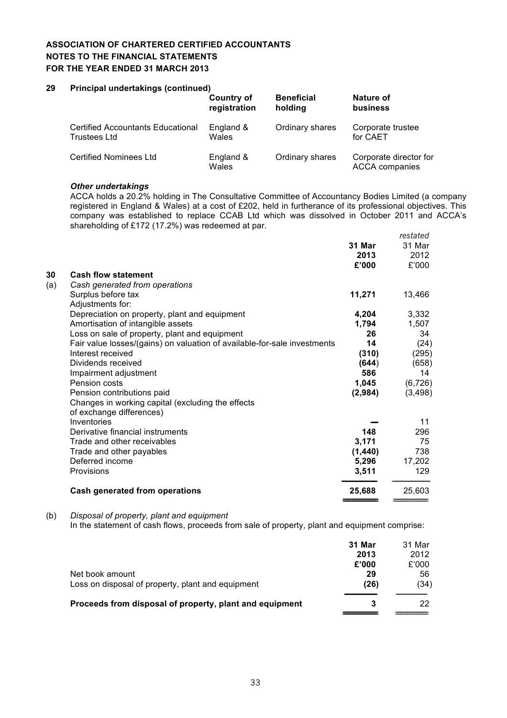## **29 Principal undertakings (continued)**

|                                          | <b>Country of</b>  | <b>Beneficial</b> | Nature of                                       |
|------------------------------------------|--------------------|-------------------|-------------------------------------------------|
|                                          | registration       | holding           | <b>business</b>                                 |
| <b>Certified Accountants Educational</b> | England &          | Ordinary shares   | Corporate trustee                               |
| <b>Trustees Ltd</b>                      | Wales              |                   | for CAET                                        |
| <b>Certified Nominees Ltd</b>            | England &<br>Wales | Ordinary shares   | Corporate director for<br><b>ACCA</b> companies |

#### *Other undertakings*

ACCA holds a 20.2% holding in The Consultative Committee of Accountancy Bodies Limited (a company registered in England & Wales) at a cost of £202, held in furtherance of its professional objectives. This company was established to replace CCAB Ltd which was dissolved in October 2011 and ACCA's shareholding of £172 (17.2%) was redeemed at par. *restated*

|     |                                                                          |          | resiated |
|-----|--------------------------------------------------------------------------|----------|----------|
|     |                                                                          | 31 Mar   | 31 Mar   |
|     |                                                                          | 2013     | 2012     |
|     |                                                                          | £'000    | £'000    |
| 30  | <b>Cash flow statement</b>                                               |          |          |
| (a) | Cash generated from operations                                           |          |          |
|     | Surplus before tax                                                       | 11,271   | 13,466   |
|     | Adjustments for:                                                         |          |          |
|     | Depreciation on property, plant and equipment                            | 4,204    | 3,332    |
|     | Amortisation of intangible assets                                        | 1,794    | 1,507    |
|     | Loss on sale of property, plant and equipment                            | 26       | 34       |
|     | Fair value losses/(gains) on valuation of available-for-sale investments | 14       | (24)     |
|     | Interest received                                                        | (310)    | (295)    |
|     | Dividends received                                                       | (644)    | (658)    |
|     | Impairment adjustment                                                    | 586      | 14       |
|     | Pension costs                                                            | 1,045    | (6, 726) |
|     | Pension contributions paid                                               | (2,984)  | (3, 498) |
|     | Changes in working capital (excluding the effects                        |          |          |
|     | of exchange differences)                                                 |          |          |
|     | Inventories                                                              |          | 11       |
|     | Derivative financial instruments                                         | 148      | 296      |
|     | Trade and other receivables                                              | 3,171    | 75       |
|     | Trade and other payables                                                 | (1, 440) | 738      |
|     | Deferred income                                                          | 5,296    | 17,202   |
|     | Provisions                                                               | 3,511    | 129      |
|     | <b>Cash generated from operations</b>                                    | 25,688   | 25,603   |
|     |                                                                          |          |          |

(b) *Disposal of property, plant and equipment*

In the statement of cash flows, proceeds from sale of property, plant and equipment comprise:

|                                                         | 31 Mar | 31 Mar |
|---------------------------------------------------------|--------|--------|
|                                                         | 2013   | 2012   |
|                                                         | £'000  | £'000  |
| Net book amount                                         | 29     | 56     |
| Loss on disposal of property, plant and equipment       | (26)   | (34)   |
| Proceeds from disposal of property, plant and equipment | 3      | 22     |
|                                                         |        |        |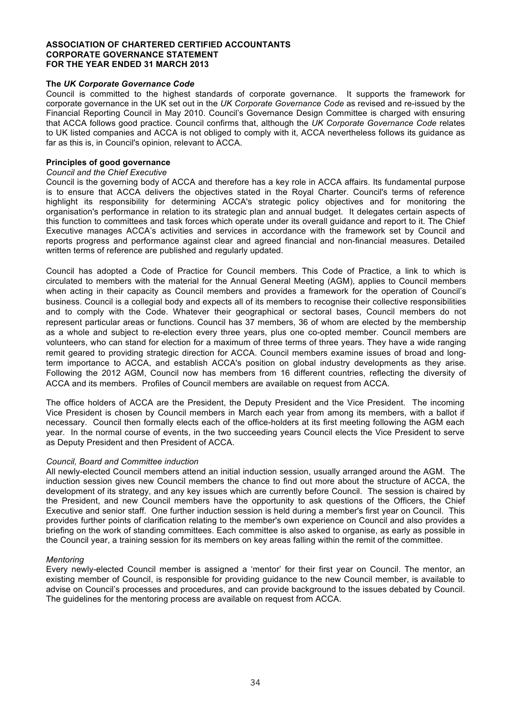#### **The** *UK Corporate Governance Code*

Council is committed to the highest standards of corporate governance. It supports the framework for corporate governance in the UK set out in the *UK Corporate Governance Code* as revised and re-issued by the Financial Reporting Council in May 2010. Council's Governance Design Committee is charged with ensuring that ACCA follows good practice. Council confirms that, although the *UK Corporate Governance Code* relates to UK listed companies and ACCA is not obliged to comply with it, ACCA nevertheless follows its guidance as far as this is, in Council's opinion, relevant to ACCA.

#### **Principles of good governance**

#### *Council and the Chief Executive*

Council is the governing body of ACCA and therefore has a key role in ACCA affairs. Its fundamental purpose is to ensure that ACCA delivers the objectives stated in the Royal Charter. Council's terms of reference highlight its responsibility for determining ACCA's strategic policy objectives and for monitoring the organisation's performance in relation to its strategic plan and annual budget. It delegates certain aspects of this function to committees and task forces which operate under its overall guidance and report to it. The Chief Executive manages ACCA's activities and services in accordance with the framework set by Council and reports progress and performance against clear and agreed financial and non-financial measures. Detailed written terms of reference are published and regularly updated.

Council has adopted a Code of Practice for Council members. This Code of Practice, a link to which is circulated to members with the material for the Annual General Meeting (AGM), applies to Council members when acting in their capacity as Council members and provides a framework for the operation of Council's business. Council is a collegial body and expects all of its members to recognise their collective responsibilities and to comply with the Code. Whatever their geographical or sectoral bases, Council members do not represent particular areas or functions. Council has 37 members, 36 of whom are elected by the membership as a whole and subject to re-election every three years, plus one co-opted member. Council members are volunteers, who can stand for election for a maximum of three terms of three years. They have a wide ranging remit geared to providing strategic direction for ACCA. Council members examine issues of broad and longterm importance to ACCA, and establish ACCA's position on global industry developments as they arise. Following the 2012 AGM, Council now has members from 16 different countries, reflecting the diversity of ACCA and its members. Profiles of Council members are available on request from ACCA.

The office holders of ACCA are the President, the Deputy President and the Vice President. The incoming Vice President is chosen by Council members in March each year from among its members, with a ballot if necessary. Council then formally elects each of the office-holders at its first meeting following the AGM each year. In the normal course of events, in the two succeeding years Council elects the Vice President to serve as Deputy President and then President of ACCA.

#### *Council, Board and Committee induction*

All newly-elected Council members attend an initial induction session, usually arranged around the AGM. The induction session gives new Council members the chance to find out more about the structure of ACCA, the development of its strategy, and any key issues which are currently before Council. The session is chaired by the President, and new Council members have the opportunity to ask questions of the Officers, the Chief Executive and senior staff. One further induction session is held during a member's first year on Council. This provides further points of clarification relating to the member's own experience on Council and also provides a briefing on the work of standing committees. Each committee is also asked to organise, as early as possible in the Council year, a training session for its members on key areas falling within the remit of the committee.

#### *Mentoring*

Every newly-elected Council member is assigned a 'mentor' for their first year on Council. The mentor, an existing member of Council, is responsible for providing guidance to the new Council member, is available to advise on Council's processes and procedures, and can provide background to the issues debated by Council. The guidelines for the mentoring process are available on request from ACCA.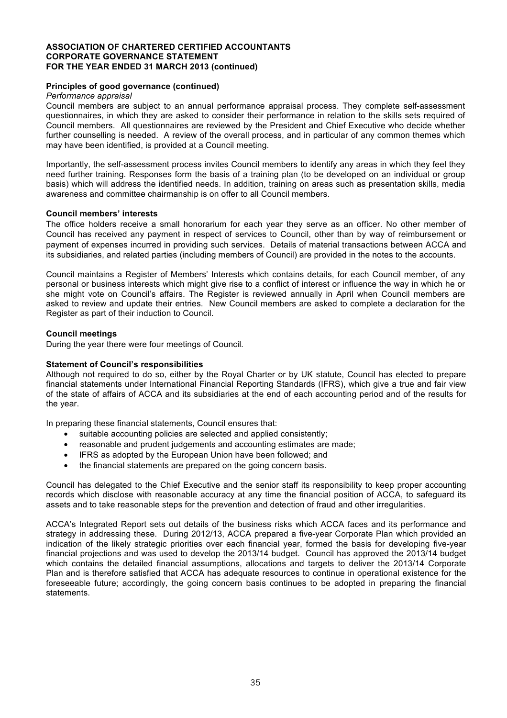#### **Principles of good governance (continued)**

#### *Performance appraisal*

Council members are subject to an annual performance appraisal process. They complete self-assessment questionnaires, in which they are asked to consider their performance in relation to the skills sets required of Council members. All questionnaires are reviewed by the President and Chief Executive who decide whether further counselling is needed. A review of the overall process, and in particular of any common themes which may have been identified, is provided at a Council meeting.

Importantly, the self-assessment process invites Council members to identify any areas in which they feel they need further training. Responses form the basis of a training plan (to be developed on an individual or group basis) which will address the identified needs. In addition, training on areas such as presentation skills, media awareness and committee chairmanship is on offer to all Council members.

#### **Council members' interests**

The office holders receive a small honorarium for each year they serve as an officer. No other member of Council has received any payment in respect of services to Council, other than by way of reimbursement or payment of expenses incurred in providing such services. Details of material transactions between ACCA and its subsidiaries, and related parties (including members of Council) are provided in the notes to the accounts.

Council maintains a Register of Members' Interests which contains details, for each Council member, of any personal or business interests which might give rise to a conflict of interest or influence the way in which he or she might vote on Council's affairs. The Register is reviewed annually in April when Council members are asked to review and update their entries. New Council members are asked to complete a declaration for the Register as part of their induction to Council.

#### **Council meetings**

During the year there were four meetings of Council.

#### **Statement of Council's responsibilities**

Although not required to do so, either by the Royal Charter or by UK statute, Council has elected to prepare financial statements under International Financial Reporting Standards (IFRS), which give a true and fair view of the state of affairs of ACCA and its subsidiaries at the end of each accounting period and of the results for the year.

In preparing these financial statements, Council ensures that:

- suitable accounting policies are selected and applied consistently;
- reasonable and prudent judgements and accounting estimates are made;
- IFRS as adopted by the European Union have been followed; and
- the financial statements are prepared on the going concern basis.

Council has delegated to the Chief Executive and the senior staff its responsibility to keep proper accounting records which disclose with reasonable accuracy at any time the financial position of ACCA, to safeguard its assets and to take reasonable steps for the prevention and detection of fraud and other irregularities.

ACCA's Integrated Report sets out details of the business risks which ACCA faces and its performance and strategy in addressing these. During 2012/13, ACCA prepared a five-year Corporate Plan which provided an indication of the likely strategic priorities over each financial year, formed the basis for developing five-year financial projections and was used to develop the 2013/14 budget. Council has approved the 2013/14 budget which contains the detailed financial assumptions, allocations and targets to deliver the 2013/14 Corporate Plan and is therefore satisfied that ACCA has adequate resources to continue in operational existence for the foreseeable future; accordingly, the going concern basis continues to be adopted in preparing the financial statements.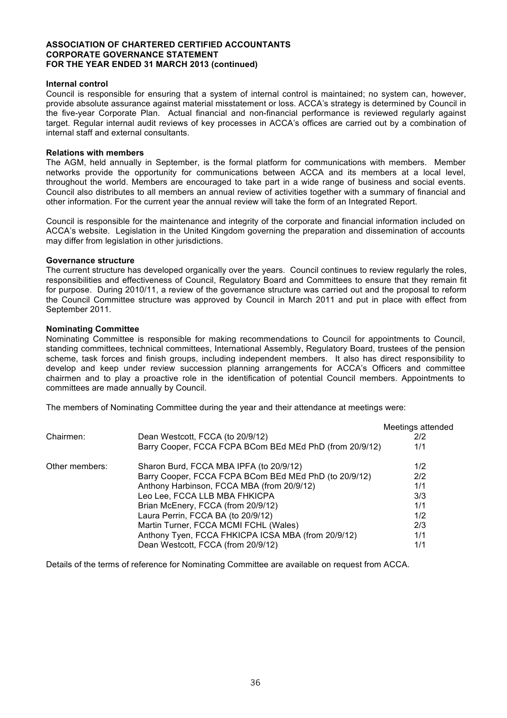#### **Internal control**

Council is responsible for ensuring that a system of internal control is maintained; no system can, however, provide absolute assurance against material misstatement or loss. ACCA's strategy is determined by Council in the five-year Corporate Plan. Actual financial and non-financial performance is reviewed regularly against target. Regular internal audit reviews of key processes in ACCA's offices are carried out by a combination of internal staff and external consultants.

#### **Relations with members**

The AGM, held annually in September, is the formal platform for communications with members. Member networks provide the opportunity for communications between ACCA and its members at a local level, throughout the world. Members are encouraged to take part in a wide range of business and social events. Council also distributes to all members an annual review of activities together with a summary of financial and other information. For the current year the annual review will take the form of an Integrated Report.

Council is responsible for the maintenance and integrity of the corporate and financial information included on ACCA's website. Legislation in the United Kingdom governing the preparation and dissemination of accounts may differ from legislation in other jurisdictions.

#### **Governance structure**

The current structure has developed organically over the years. Council continues to review regularly the roles, responsibilities and effectiveness of Council, Regulatory Board and Committees to ensure that they remain fit for purpose. During 2010/11, a review of the governance structure was carried out and the proposal to reform the Council Committee structure was approved by Council in March 2011 and put in place with effect from September 2011.

#### **Nominating Committee**

Nominating Committee is responsible for making recommendations to Council for appointments to Council, standing committees, technical committees, International Assembly, Regulatory Board, trustees of the pension scheme, task forces and finish groups, including independent members. It also has direct responsibility to develop and keep under review succession planning arrangements for ACCA's Officers and committee chairmen and to play a proactive role in the identification of potential Council members. Appointments to committees are made annually by Council.

The members of Nominating Committee during the year and their attendance at meetings were:

| Meetings attended |
|-------------------|
| 2/2               |
| 1/1               |
| 1/2               |
| 2/2               |
| 1/1               |
| 3/3               |
| 1/1               |
| 1/2               |
| 2/3               |
| 1/1               |
| 1/1               |
|                   |

Details of the terms of reference for Nominating Committee are available on request from ACCA.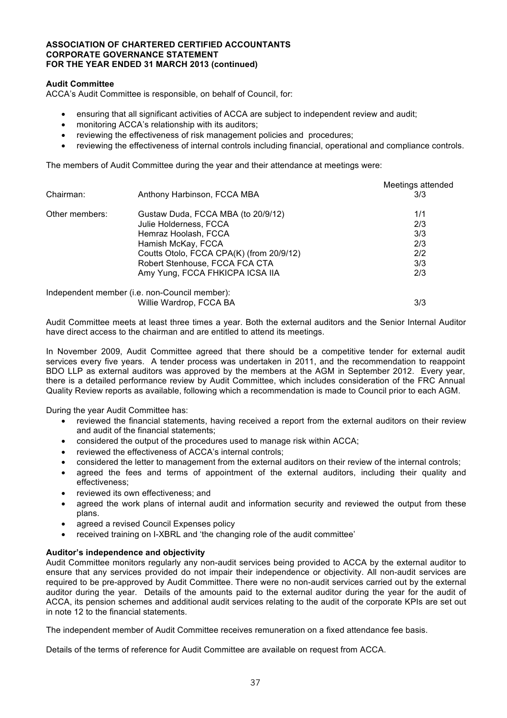#### **Audit Committee**

ACCA's Audit Committee is responsible, on behalf of Council, for:

- ensuring that all significant activities of ACCA are subject to independent review and audit;
- monitoring ACCA's relationship with its auditors;
- reviewing the effectiveness of risk management policies and procedures;
- reviewing the effectiveness of internal controls including financial, operational and compliance controls.

The members of Audit Committee during the year and their attendance at meetings were:

|                |                                               | Meetings attended |
|----------------|-----------------------------------------------|-------------------|
| Chairman:      | Anthony Harbinson, FCCA MBA                   | 3/3               |
| Other members: | Gustaw Duda, FCCA MBA (to 20/9/12)            | 1/1               |
|                | Julie Holderness, FCCA                        | 2/3               |
|                | Hemraz Hoolash, FCCA                          | 3/3               |
|                | Hamish McKay, FCCA                            | 2/3               |
|                | Coutts Otolo, FCCA CPA(K) (from 20/9/12)      | 2/2               |
|                | Robert Stenhouse, FCCA FCA CTA                | 3/3               |
|                | Amy Yung, FCCA FHKICPA ICSA IIA               | 2/3               |
|                | Independent member (i.e. non-Council member): |                   |
|                | Willie Wardrop, FCCA BA                       | 3/3               |

Audit Committee meets at least three times a year. Both the external auditors and the Senior Internal Auditor have direct access to the chairman and are entitled to attend its meetings.

In November 2009, Audit Committee agreed that there should be a competitive tender for external audit services every five years. A tender process was undertaken in 2011, and the recommendation to reappoint BDO LLP as external auditors was approved by the members at the AGM in September 2012. Every year, there is a detailed performance review by Audit Committee, which includes consideration of the FRC Annual Quality Review reports as available, following which a recommendation is made to Council prior to each AGM.

During the year Audit Committee has:

- reviewed the financial statements, having received a report from the external auditors on their review and audit of the financial statements;
- considered the output of the procedures used to manage risk within ACCA;
- reviewed the effectiveness of ACCA's internal controls;
- considered the letter to management from the external auditors on their review of the internal controls;
- agreed the fees and terms of appointment of the external auditors, including their quality and effectiveness;
- reviewed its own effectiveness; and
- agreed the work plans of internal audit and information security and reviewed the output from these plans.
- agreed a revised Council Expenses policy
- received training on I-XBRL and 'the changing role of the audit committee'

## **Auditor's independence and objectivity**

Audit Committee monitors regularly any non-audit services being provided to ACCA by the external auditor to ensure that any services provided do not impair their independence or objectivity. All non-audit services are required to be pre-approved by Audit Committee. There were no non-audit services carried out by the external auditor during the year. Details of the amounts paid to the external auditor during the year for the audit of ACCA, its pension schemes and additional audit services relating to the audit of the corporate KPIs are set out in note 12 to the financial statements.

The independent member of Audit Committee receives remuneration on a fixed attendance fee basis.

Details of the terms of reference for Audit Committee are available on request from ACCA.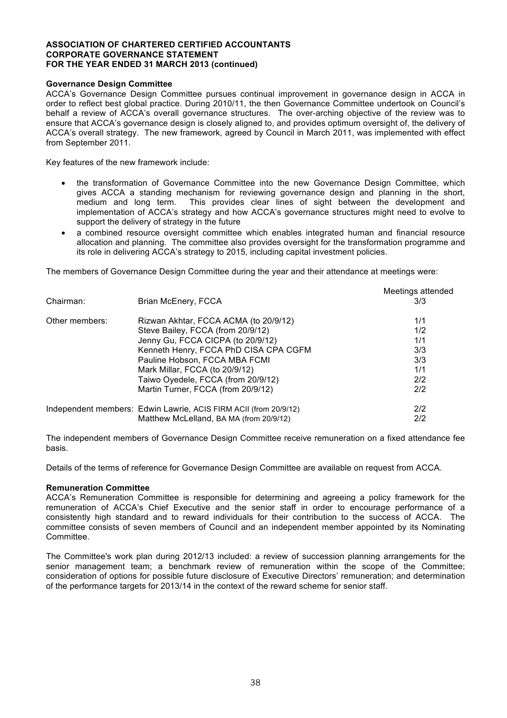## **Governance Design Committee**

ACCA's Governance Design Committee pursues continual improvement in governance design in ACCA in order to reflect best global practice. During 2010/11, the then Governance Committee undertook on Council's behalf a review of ACCA's overall governance structures. The over-arching objective of the review was to ensure that ACCA's governance design is closely aligned to, and provides optimum oversight of, the delivery of ACCA's overall strategy. The new framework, agreed by Council in March 2011, was implemented with effect from September 2011.

Key features of the new framework include:

- the transformation of Governance Committee into the new Governance Design Committee, which gives ACCA a standing mechanism for reviewing governance design and planning in the short, medium and long term. This provides clear lines of sight between the development and implementation of ACCA's strategy and how ACCA's governance structures might need to evolve to support the delivery of strategy in the future
- a combined resource oversight committee which enables integrated human and financial resource allocation and planning. The committee also provides oversight for the transformation programme and its role in delivering ACCA's strategy to 2015, including capital investment policies.

The members of Governance Design Committee during the year and their attendance at meetings were:

| Chairman:      | Brian McEnery, FCCA                                              | Meetings attended<br>3/3 |
|----------------|------------------------------------------------------------------|--------------------------|
| Other members: | Rizwan Akhtar, FCCA ACMA (to 20/9/12)                            | 1/1                      |
|                | Steve Bailey, FCCA (from 20/9/12)                                | 1/2                      |
|                | Jenny Gu, FCCA CICPA (to 20/9/12)                                | 1/1                      |
|                | Kenneth Henry, FCCA PhD CISA CPA CGFM                            | 3/3                      |
|                | Pauline Hobson, FCCA MBA FCMI                                    | 3/3                      |
|                | Mark Millar, FCCA (to 20/9/12)                                   | 1/1                      |
|                | Taiwo Oyedele, FCCA (from 20/9/12)                               | 2/2                      |
|                | Martin Turner, FCCA (from 20/9/12)                               | 2/2                      |
|                | Independent members: Edwin Lawrie, ACIS FIRM ACII (from 20/9/12) | 2/2                      |
|                | Matthew McLelland, BA MA (from 20/9/12)                          | 2/2                      |

The independent members of Governance Design Committee receive remuneration on a fixed attendance fee basis.

Details of the terms of reference for Governance Design Committee are available on request from ACCA.

#### **Remuneration Committee**

ACCA's Remuneration Committee is responsible for determining and agreeing a policy framework for the remuneration of ACCA's Chief Executive and the senior staff in order to encourage performance of a consistently high standard and to reward individuals for their contribution to the success of ACCA. The committee consists of seven members of Council and an independent member appointed by its Nominating Committee.

The Committee's work plan during 2012/13 included: a review of succession planning arrangements for the senior management team; a benchmark review of remuneration within the scope of the Committee; consideration of options for possible future disclosure of Executive Directors' remuneration; and determination of the performance targets for 2013/14 in the context of the reward scheme for senior staff.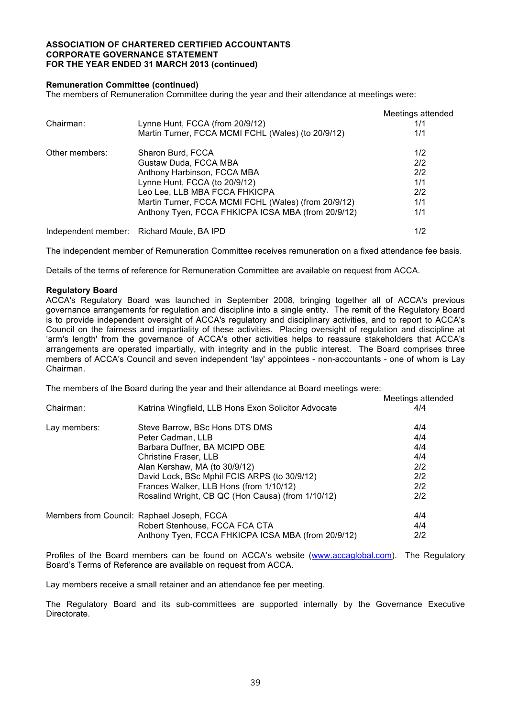#### **Remuneration Committee (continued)**

The members of Remuneration Committee during the year and their attendance at meetings were:

|                |                                                      | Meetings attended |
|----------------|------------------------------------------------------|-------------------|
| Chairman:      | Lynne Hunt, FCCA (from 20/9/12)                      | 1/1               |
|                | Martin Turner, FCCA MCMI FCHL (Wales) (to 20/9/12)   | 1/1               |
| Other members: | Sharon Burd, FCCA                                    | 1/2               |
|                | Gustaw Duda, FCCA MBA                                | 2/2               |
|                | Anthony Harbinson, FCCA MBA                          | 2/2               |
|                | Lynne Hunt, FCCA (to 20/9/12)                        | 1/1               |
|                | Leo Lee, LLB MBA FCCA FHKICPA                        | 2/2               |
|                | Martin Turner, FCCA MCMI FCHL (Wales) (from 20/9/12) | 1/1               |
|                | Anthony Tyen, FCCA FHKICPA ICSA MBA (from 20/9/12)   | 1/1               |
|                | Independent member: Richard Moule, BA IPD            | 1/2               |

The independent member of Remuneration Committee receives remuneration on a fixed attendance fee basis.

Details of the terms of reference for Remuneration Committee are available on request from ACCA.

#### **Regulatory Board**

ACCA's Regulatory Board was launched in September 2008, bringing together all of ACCA's previous governance arrangements for regulation and discipline into a single entity. The remit of the Regulatory Board is to provide independent oversight of ACCA's regulatory and disciplinary activities, and to report to ACCA's Council on the fairness and impartiality of these activities. Placing oversight of regulation and discipline at 'arm's length' from the governance of ACCA's other activities helps to reassure stakeholders that ACCA's arrangements are operated impartially, with integrity and in the public interest. The Board comprises three members of ACCA's Council and seven independent 'lay' appointees - non-accountants - one of whom is Lay Chairman.

The members of the Board during the year and their attendance at Board meetings were:

|              |                                                     | Meetings attended |
|--------------|-----------------------------------------------------|-------------------|
| Chairman:    | Katrina Wingfield, LLB Hons Exon Solicitor Advocate | 4/4               |
| Lay members: | Steve Barrow, BSc Hons DTS DMS                      | 4/4               |
|              | Peter Cadman, LLB                                   | 4/4               |
|              | Barbara Duffner, BA MCIPD OBE                       | 4/4               |
|              | Christine Fraser, LLB                               | 4/4               |
|              | Alan Kershaw, MA (to 30/9/12)                       | 2/2               |
|              | David Lock, BSc Mphil FCIS ARPS (to 30/9/12)        | 2/2               |
|              | Frances Walker, LLB Hons (from 1/10/12)             | 2/2               |
|              | Rosalind Wright, CB QC (Hon Causa) (from 1/10/12)   | 2/2               |
|              | Members from Council: Raphael Joseph, FCCA          | 4/4               |
|              | Robert Stenhouse, FCCA FCA CTA                      | 4/4               |
|              | Anthony Tyen, FCCA FHKICPA ICSA MBA (from 20/9/12)  | 2/2               |

Profiles of the Board members can be found on ACCA's website (www.accaglobal.com). The Regulatory Board's Terms of Reference are available on request from ACCA.

Lay members receive a small retainer and an attendance fee per meeting.

The Regulatory Board and its sub-committees are supported internally by the Governance Executive **Directorate**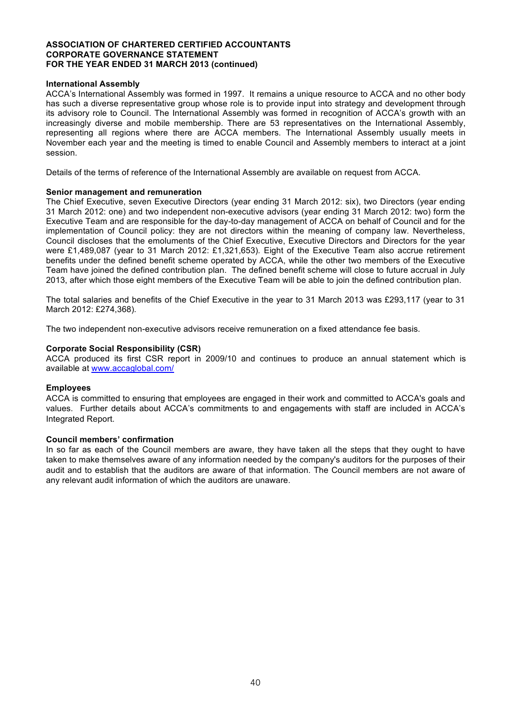#### **International Assembly**

ACCA's International Assembly was formed in 1997. It remains a unique resource to ACCA and no other body has such a diverse representative group whose role is to provide input into strategy and development through its advisory role to Council. The International Assembly was formed in recognition of ACCA's growth with an increasingly diverse and mobile membership. There are 53 representatives on the International Assembly, representing all regions where there are ACCA members. The International Assembly usually meets in November each year and the meeting is timed to enable Council and Assembly members to interact at a joint session.

Details of the terms of reference of the International Assembly are available on request from ACCA.

#### **Senior management and remuneration**

The Chief Executive, seven Executive Directors (year ending 31 March 2012: six), two Directors (year ending 31 March 2012: one) and two independent non-executive advisors (year ending 31 March 2012: two) form the Executive Team and are responsible for the day-to-day management of ACCA on behalf of Council and for the implementation of Council policy: they are not directors within the meaning of company law. Nevertheless, Council discloses that the emoluments of the Chief Executive, Executive Directors and Directors for the year were £1,489,087 (year to 31 March 2012: £1,321,653)*.* Eight of the Executive Team also accrue retirement benefits under the defined benefit scheme operated by ACCA, while the other two members of the Executive Team have joined the defined contribution plan. The defined benefit scheme will close to future accrual in July 2013, after which those eight members of the Executive Team will be able to join the defined contribution plan.

The total salaries and benefits of the Chief Executive in the year to 31 March 2013 was £293,117 (year to 31 March 2012: £274,368)*.*

The two independent non-executive advisors receive remuneration on a fixed attendance fee basis.

#### **Corporate Social Responsibility (CSR)**

ACCA produced its first CSR report in 2009/10 and continues to produce an annual statement which is available at www.accaglobal.com/

## **Employees**

ACCA is committed to ensuring that employees are engaged in their work and committed to ACCA's goals and values. Further details about ACCA's commitments to and engagements with staff are included in ACCA's Integrated Report.

## **Council members' confirmation**

In so far as each of the Council members are aware, they have taken all the steps that they ought to have taken to make themselves aware of any information needed by the company's auditors for the purposes of their audit and to establish that the auditors are aware of that information. The Council members are not aware of any relevant audit information of which the auditors are unaware.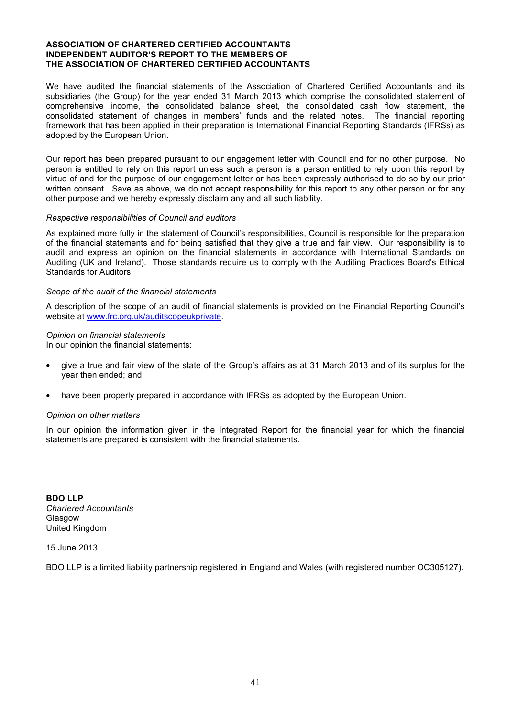#### **ASSOCIATION OF CHARTERED CERTIFIED ACCOUNTANTS INDEPENDENT AUDITOR'S REPORT TO THE MEMBERS OF THE ASSOCIATION OF CHARTERED CERTIFIED ACCOUNTANTS**

We have audited the financial statements of the Association of Chartered Certified Accountants and its subsidiaries (the Group) for the year ended 31 March 2013 which comprise the consolidated statement of comprehensive income, the consolidated balance sheet, the consolidated cash flow statement, the consolidated statement of changes in members' funds and the related notes. The financial reporting framework that has been applied in their preparation is International Financial Reporting Standards (IFRSs) as adopted by the European Union.

Our report has been prepared pursuant to our engagement letter with Council and for no other purpose. No person is entitled to rely on this report unless such a person is a person entitled to rely upon this report by virtue of and for the purpose of our engagement letter or has been expressly authorised to do so by our prior written consent. Save as above, we do not accept responsibility for this report to any other person or for any other purpose and we hereby expressly disclaim any and all such liability.

#### *Respective responsibilities of Council and auditors*

As explained more fully in the statement of Council's responsibilities, Council is responsible for the preparation of the financial statements and for being satisfied that they give a true and fair view. Our responsibility is to audit and express an opinion on the financial statements in accordance with International Standards on Auditing (UK and Ireland). Those standards require us to comply with the Auditing Practices Board's Ethical Standards for Auditors.

#### *Scope of the audit of the financial statements*

A description of the scope of an audit of financial statements is provided on the Financial Reporting Council's website at www.frc.org.uk/auditscopeukprivate.

#### *Opinion on financial statements*

In our opinion the financial statements:

- give a true and fair view of the state of the Group's affairs as at 31 March 2013 and of its surplus for the year then ended; and
- have been properly prepared in accordance with IFRSs as adopted by the European Union.

#### *Opinion on other matters*

In our opinion the information given in the Integrated Report for the financial year for which the financial statements are prepared is consistent with the financial statements.

**BDO LLP** *Chartered Accountants*  Glasgow United Kingdom

15 June 2013

BDO LLP is a limited liability partnership registered in England and Wales (with registered number OC305127).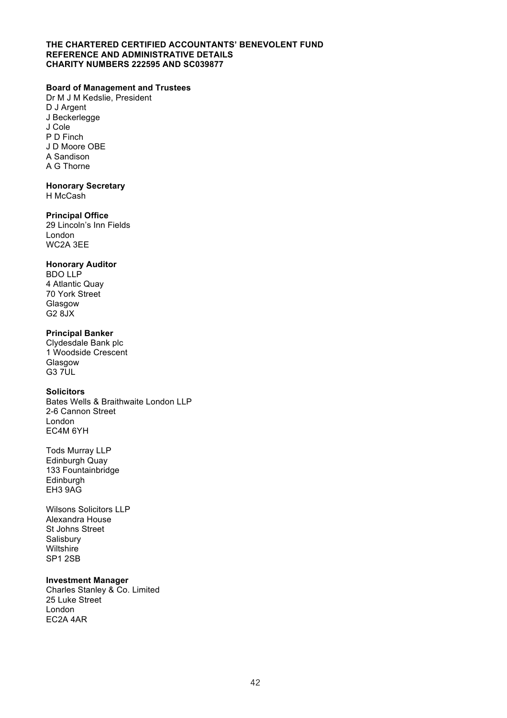#### **THE CHARTERED CERTIFIED ACCOUNTANTS' BENEVOLENT FUND REFERENCE AND ADMINISTRATIVE DETAILS CHARITY NUMBERS 222595 AND SC039877**

## **Board of Management and Trustees**

Dr M J M Kedslie, President D J Argent J Beckerlegge J Cole P D Finch J D Moore OBE A Sandison A G Thorne

#### **Honorary Secretary**

H McCash

#### **Principal Office**

29 Lincoln's Inn Fields London WC2A 3EE

## **Honorary Auditor**

BDO LLP 4 Atlantic Quay 70 York Street Glasgow G2 8JX

## **Principal Banker**

Clydesdale Bank plc 1 Woodside Crescent Glasgow G3 7UL

#### **Solicitors**

Bates Wells & Braithwaite London LLP 2-6 Cannon Street London EC4M 6YH

Tods Murray LLP Edinburgh Quay 133 Fountainbridge Edinburgh EH3 9AG

Wilsons Solicitors LLP Alexandra House St Johns Street **Salisbury Wiltshire** SP1 2SB

## **Investment Manager**

Charles Stanley & Co. Limited 25 Luke Street London EC2A 4AR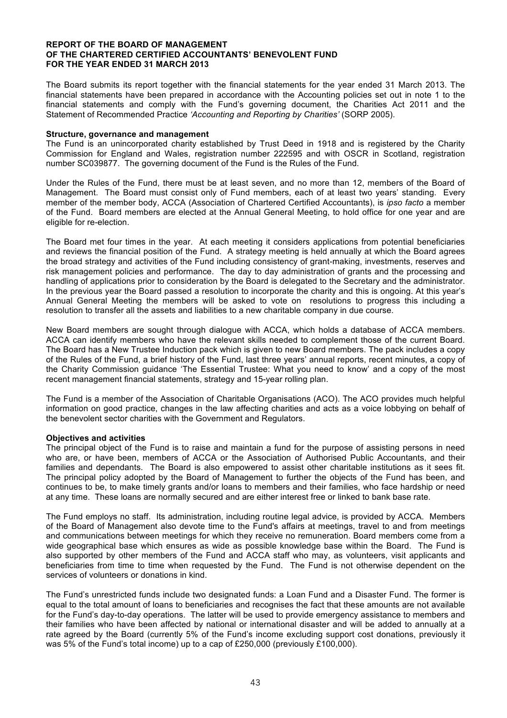The Board submits its report together with the financial statements for the year ended 31 March 2013. The financial statements have been prepared in accordance with the Accounting policies set out in note 1 to the financial statements and comply with the Fund's governing document, the Charities Act 2011 and the Statement of Recommended Practice *'Accounting and Reporting by Charities'* (SORP 2005).

#### **Structure, governance and management**

The Fund is an unincorporated charity established by Trust Deed in 1918 and is registered by the Charity Commission for England and Wales, registration number 222595 and with OSCR in Scotland, registration number SC039877. The governing document of the Fund is the Rules of the Fund.

Under the Rules of the Fund, there must be at least seven, and no more than 12, members of the Board of Management. The Board must consist only of Fund members, each of at least two years' standing. Every member of the member body, ACCA (Association of Chartered Certified Accountants), is *ipso facto* a member of the Fund. Board members are elected at the Annual General Meeting, to hold office for one year and are eligible for re-election.

The Board met four times in the year. At each meeting it considers applications from potential beneficiaries and reviews the financial position of the Fund. A strategy meeting is held annually at which the Board agrees the broad strategy and activities of the Fund including consistency of grant-making, investments, reserves and risk management policies and performance. The day to day administration of grants and the processing and handling of applications prior to consideration by the Board is delegated to the Secretary and the administrator. In the previous year the Board passed a resolution to incorporate the charity and this is ongoing. At this year's Annual General Meeting the members will be asked to vote on resolutions to progress this including a resolution to transfer all the assets and liabilities to a new charitable company in due course.

New Board members are sought through dialogue with ACCA, which holds a database of ACCA members. ACCA can identify members who have the relevant skills needed to complement those of the current Board. The Board has a New Trustee Induction pack which is given to new Board members. The pack includes a copy of the Rules of the Fund, a brief history of the Fund, last three years' annual reports, recent minutes, a copy of the Charity Commission guidance 'The Essential Trustee: What you need to know' and a copy of the most recent management financial statements, strategy and 15-year rolling plan.

The Fund is a member of the Association of Charitable Organisations (ACO). The ACO provides much helpful information on good practice, changes in the law affecting charities and acts as a voice lobbying on behalf of the benevolent sector charities with the Government and Regulators.

#### **Objectives and activities**

The principal object of the Fund is to raise and maintain a fund for the purpose of assisting persons in need who are, or have been, members of ACCA or the Association of Authorised Public Accountants, and their families and dependants. The Board is also empowered to assist other charitable institutions as it sees fit. The principal policy adopted by the Board of Management to further the objects of the Fund has been, and continues to be, to make timely grants and/or loans to members and their families, who face hardship or need at any time. These loans are normally secured and are either interest free or linked to bank base rate.

The Fund employs no staff. Its administration, including routine legal advice, is provided by ACCA. Members of the Board of Management also devote time to the Fund's affairs at meetings, travel to and from meetings and communications between meetings for which they receive no remuneration. Board members come from a wide geographical base which ensures as wide as possible knowledge base within the Board. The Fund is also supported by other members of the Fund and ACCA staff who may, as volunteers, visit applicants and beneficiaries from time to time when requested by the Fund. The Fund is not otherwise dependent on the services of volunteers or donations in kind.

The Fund's unrestricted funds include two designated funds: a Loan Fund and a Disaster Fund. The former is equal to the total amount of loans to beneficiaries and recognises the fact that these amounts are not available for the Fund's day-to-day operations. The latter will be used to provide emergency assistance to members and their families who have been affected by national or international disaster and will be added to annually at a rate agreed by the Board (currently 5% of the Fund's income excluding support cost donations, previously it was 5% of the Fund's total income) up to a cap of £250,000 (previously £100,000).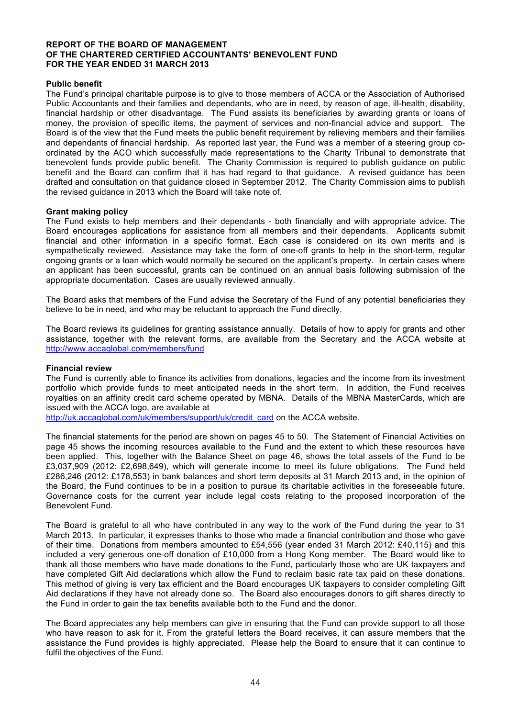#### **Public benefit**

The Fund's principal charitable purpose is to give to those members of ACCA or the Association of Authorised Public Accountants and their families and dependants, who are in need, by reason of age, ill-health, disability, financial hardship or other disadvantage. The Fund assists its beneficiaries by awarding grants or loans of money, the provision of specific items, the payment of services and non-financial advice and support. The Board is of the view that the Fund meets the public benefit requirement by relieving members and their families and dependants of financial hardship. As reported last year, the Fund was a member of a steering group coordinated by the ACO which successfully made representations to the Charity Tribunal to demonstrate that benevolent funds provide public benefit. The Charity Commission is required to publish guidance on public benefit and the Board can confirm that it has had regard to that guidance. A revised guidance has been drafted and consultation on that guidance closed in September 2012. The Charity Commission aims to publish the revised guidance in 2013 which the Board will take note of.

#### **Grant making policy**

The Fund exists to help members and their dependants - both financially and with appropriate advice. The Board encourages applications for assistance from all members and their dependants. Applicants submit financial and other information in a specific format. Each case is considered on its own merits and is sympathetically reviewed. Assistance may take the form of one-off grants to help in the short-term, regular ongoing grants or a loan which would normally be secured on the applicant's property. In certain cases where an applicant has been successful, grants can be continued on an annual basis following submission of the appropriate documentation. Cases are usually reviewed annually.

The Board asks that members of the Fund advise the Secretary of the Fund of any potential beneficiaries they believe to be in need, and who may be reluctant to approach the Fund directly.

The Board reviews its guidelines for granting assistance annually. Details of how to apply for grants and other assistance, together with the relevant forms, are available from the Secretary and the ACCA website at http://www.accaglobal.com/members/fund

#### **Financial review**

The Fund is currently able to finance its activities from donations, legacies and the income from its investment portfolio which provide funds to meet anticipated needs in the short term. In addition, the Fund receives royalties on an affinity credit card scheme operated by MBNA. Details of the MBNA MasterCards, which are issued with the ACCA logo, are available at

http://uk.accaglobal.com/uk/members/support/uk/credit\_card on the ACCA website.

The financial statements for the period are shown on pages 45 to 50. The Statement of Financial Activities on page 45 shows the incoming resources available to the Fund and the extent to which these resources have been applied. This, together with the Balance Sheet on page 46, shows the total assets of the Fund to be £3,037,909 (2012: £2,698,649), which will generate income to meet its future obligations. The Fund held £286,246 (2012: £178,553) in bank balances and short term deposits at 31 March 2013 and, in the opinion of the Board, the Fund continues to be in a position to pursue its charitable activities in the foreseeable future. Governance costs for the current year include legal costs relating to the proposed incorporation of the Benevolent Fund.

The Board is grateful to all who have contributed in any way to the work of the Fund during the year to 31 March 2013. In particular, it expresses thanks to those who made a financial contribution and those who gave of their time. Donations from members amounted to £54,556 (year ended 31 March 2012: £40,115) and this included a very generous one-off donation of £10,000 from a Hong Kong member. The Board would like to thank all those members who have made donations to the Fund, particularly those who are UK taxpayers and have completed Gift Aid declarations which allow the Fund to reclaim basic rate tax paid on these donations. This method of giving is very tax efficient and the Board encourages UK taxpayers to consider completing Gift Aid declarations if they have not already done so. The Board also encourages donors to gift shares directly to the Fund in order to gain the tax benefits available both to the Fund and the donor.

The Board appreciates any help members can give in ensuring that the Fund can provide support to all those who have reason to ask for it. From the grateful letters the Board receives, it can assure members that the assistance the Fund provides is highly appreciated. Please help the Board to ensure that it can continue to fulfil the objectives of the Fund.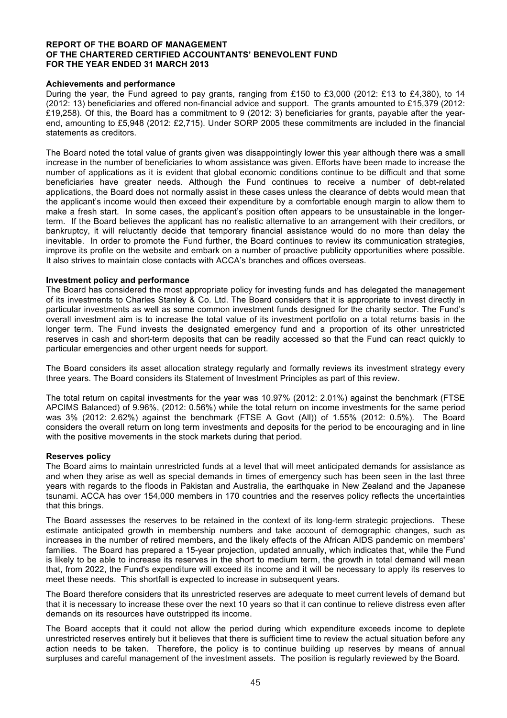#### **Achievements and performance**

During the year, the Fund agreed to pay grants, ranging from £150 to £3,000 (2012: £13 to £4,380), to 14 (2012: 13) beneficiaries and offered non-financial advice and support. The grants amounted to £15,379 (2012: £19,258). Of this, the Board has a commitment to 9 (2012: 3) beneficiaries for grants, payable after the yearend, amounting to £5,948 (2012: £2,715). Under SORP 2005 these commitments are included in the financial statements as creditors.

The Board noted the total value of grants given was disappointingly lower this year although there was a small increase in the number of beneficiaries to whom assistance was given. Efforts have been made to increase the number of applications as it is evident that global economic conditions continue to be difficult and that some beneficiaries have greater needs. Although the Fund continues to receive a number of debt-related applications, the Board does not normally assist in these cases unless the clearance of debts would mean that the applicant's income would then exceed their expenditure by a comfortable enough margin to allow them to make a fresh start. In some cases, the applicant's position often appears to be unsustainable in the longerterm. If the Board believes the applicant has no realistic alternative to an arrangement with their creditors, or bankruptcy, it will reluctantly decide that temporary financial assistance would do no more than delay the inevitable. In order to promote the Fund further, the Board continues to review its communication strategies, improve its profile on the website and embark on a number of proactive publicity opportunities where possible. It also strives to maintain close contacts with ACCA's branches and offices overseas.

#### **Investment policy and performance**

The Board has considered the most appropriate policy for investing funds and has delegated the management of its investments to Charles Stanley & Co. Ltd. The Board considers that it is appropriate to invest directly in particular investments as well as some common investment funds designed for the charity sector. The Fund's overall investment aim is to increase the total value of its investment portfolio on a total returns basis in the longer term. The Fund invests the designated emergency fund and a proportion of its other unrestricted reserves in cash and short-term deposits that can be readily accessed so that the Fund can react quickly to particular emergencies and other urgent needs for support.

The Board considers its asset allocation strategy regularly and formally reviews its investment strategy every three years. The Board considers its Statement of Investment Principles as part of this review.

The total return on capital investments for the year was 10.97% (2012: 2.01%) against the benchmark (FTSE APCIMS Balanced) of 9.96%, (2012: 0.56%) while the total return on income investments for the same period was 3% (2012: 2.62%) against the benchmark (FTSE A Govt (All)) of 1.55% (2012: 0.5%). The Board considers the overall return on long term investments and deposits for the period to be encouraging and in line with the positive movements in the stock markets during that period.

#### **Reserves policy**

The Board aims to maintain unrestricted funds at a level that will meet anticipated demands for assistance as and when they arise as well as special demands in times of emergency such has been seen in the last three years with regards to the floods in Pakistan and Australia, the earthquake in New Zealand and the Japanese tsunami. ACCA has over 154,000 members in 170 countries and the reserves policy reflects the uncertainties that this brings.

The Board assesses the reserves to be retained in the context of its long-term strategic projections. These estimate anticipated growth in membership numbers and take account of demographic changes, such as increases in the number of retired members, and the likely effects of the African AIDS pandemic on members' families. The Board has prepared a 15-year projection, updated annually, which indicates that, while the Fund is likely to be able to increase its reserves in the short to medium term, the growth in total demand will mean that, from 2022, the Fund's expenditure will exceed its income and it will be necessary to apply its reserves to meet these needs. This shortfall is expected to increase in subsequent years.

The Board therefore considers that its unrestricted reserves are adequate to meet current levels of demand but that it is necessary to increase these over the next 10 years so that it can continue to relieve distress even after demands on its resources have outstripped its income.

The Board accepts that it could not allow the period during which expenditure exceeds income to deplete unrestricted reserves entirely but it believes that there is sufficient time to review the actual situation before any action needs to be taken. Therefore, the policy is to continue building up reserves by means of annual surpluses and careful management of the investment assets. The position is regularly reviewed by the Board.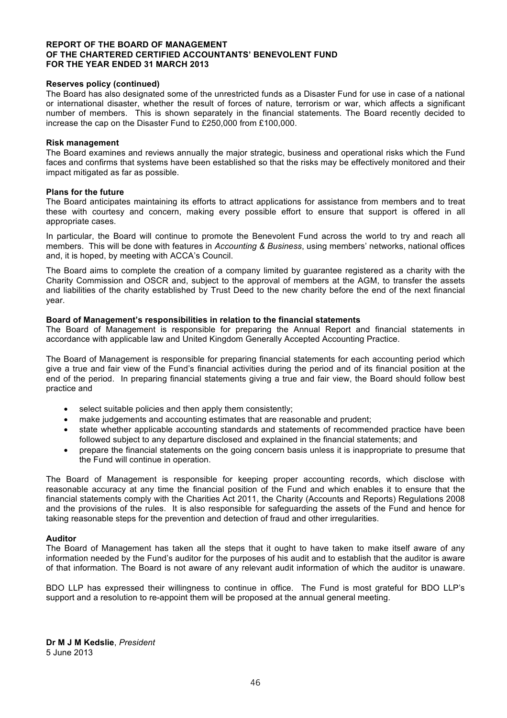#### **Reserves policy (continued)**

The Board has also designated some of the unrestricted funds as a Disaster Fund for use in case of a national or international disaster, whether the result of forces of nature, terrorism or war, which affects a significant number of members. This is shown separately in the financial statements. The Board recently decided to increase the cap on the Disaster Fund to £250,000 from £100,000.

#### **Risk management**

The Board examines and reviews annually the major strategic, business and operational risks which the Fund faces and confirms that systems have been established so that the risks may be effectively monitored and their impact mitigated as far as possible.

#### **Plans for the future**

The Board anticipates maintaining its efforts to attract applications for assistance from members and to treat these with courtesy and concern, making every possible effort to ensure that support is offered in all appropriate cases.

In particular, the Board will continue to promote the Benevolent Fund across the world to try and reach all members. This will be done with features in *Accounting & Business*, using members' networks, national offices and, it is hoped, by meeting with ACCA's Council.

The Board aims to complete the creation of a company limited by guarantee registered as a charity with the Charity Commission and OSCR and, subject to the approval of members at the AGM, to transfer the assets and liabilities of the charity established by Trust Deed to the new charity before the end of the next financial year.

#### **Board of Management's responsibilities in relation to the financial statements**

The Board of Management is responsible for preparing the Annual Report and financial statements in accordance with applicable law and United Kingdom Generally Accepted Accounting Practice.

The Board of Management is responsible for preparing financial statements for each accounting period which give a true and fair view of the Fund's financial activities during the period and of its financial position at the end of the period. In preparing financial statements giving a true and fair view, the Board should follow best practice and

- select suitable policies and then apply them consistently;
- make judgements and accounting estimates that are reasonable and prudent;
- state whether applicable accounting standards and statements of recommended practice have been followed subject to any departure disclosed and explained in the financial statements; and
- prepare the financial statements on the going concern basis unless it is inappropriate to presume that the Fund will continue in operation.

The Board of Management is responsible for keeping proper accounting records, which disclose with reasonable accuracy at any time the financial position of the Fund and which enables it to ensure that the financial statements comply with the Charities Act 2011, the Charity (Accounts and Reports) Regulations 2008 and the provisions of the rules. It is also responsible for safeguarding the assets of the Fund and hence for taking reasonable steps for the prevention and detection of fraud and other irregularities.

#### **Auditor**

The Board of Management has taken all the steps that it ought to have taken to make itself aware of any information needed by the Fund's auditor for the purposes of his audit and to establish that the auditor is aware of that information. The Board is not aware of any relevant audit information of which the auditor is unaware.

BDO LLP has expressed their willingness to continue in office. The Fund is most grateful for BDO LLP's support and a resolution to re-appoint them will be proposed at the annual general meeting.

**Dr M J M Kedslie**, *President*  5 June 2013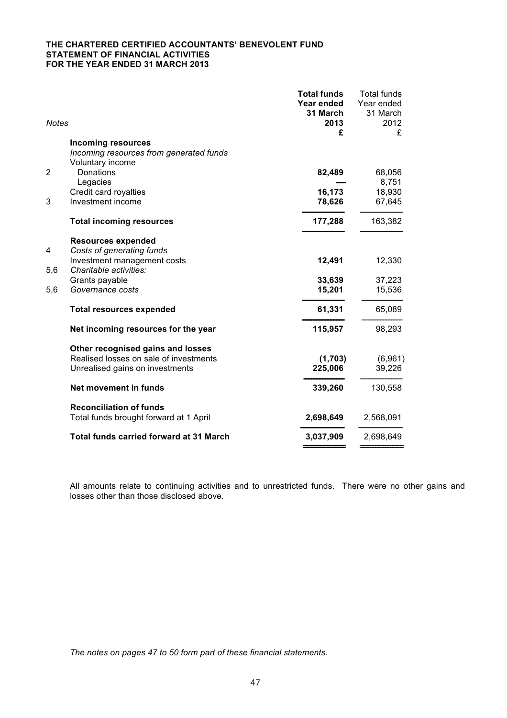#### **THE CHARTERED CERTIFIED ACCOUNTANTS' BENEVOLENT FUND STATEMENT OF FINANCIAL ACTIVITIES FOR THE YEAR ENDED 31 MARCH 2013**

| <b>Notes</b>   |                                                | <b>Total funds</b><br>Year ended<br>31 March<br>2013<br>£ | <b>Total funds</b><br>Year ended<br>31 March<br>2012<br>£ |
|----------------|------------------------------------------------|-----------------------------------------------------------|-----------------------------------------------------------|
|                | <b>Incoming resources</b>                      |                                                           |                                                           |
|                | Incoming resources from generated funds        |                                                           |                                                           |
|                | Voluntary income                               |                                                           |                                                           |
| $\overline{2}$ | <b>Donations</b>                               | 82,489                                                    | 68,056                                                    |
|                | Legacies<br>Credit card royalties              | 16,173                                                    | 8,751<br>18,930                                           |
| 3              | Investment income                              | 78,626                                                    | 67,645                                                    |
|                |                                                |                                                           |                                                           |
|                | <b>Total incoming resources</b>                | 177,288                                                   | 163,382                                                   |
|                | <b>Resources expended</b>                      |                                                           |                                                           |
| 4              | Costs of generating funds                      |                                                           |                                                           |
|                | Investment management costs                    | 12,491                                                    | 12,330                                                    |
| 5,6            | Charitable activities:                         |                                                           |                                                           |
| 5,6            | Grants payable<br>Governance costs             | 33,639<br>15,201                                          | 37,223<br>15,536                                          |
|                |                                                |                                                           |                                                           |
|                | <b>Total resources expended</b>                | 61,331                                                    | 65,089                                                    |
|                | Net incoming resources for the year            | 115,957                                                   | 98,293                                                    |
|                | Other recognised gains and losses              |                                                           |                                                           |
|                | Realised losses on sale of investments         | (1,703)                                                   | (6,961)                                                   |
|                | Unrealised gains on investments                | 225,006                                                   | 39,226                                                    |
|                | Net movement in funds                          | 339,260                                                   | 130,558                                                   |
|                | <b>Reconciliation of funds</b>                 |                                                           |                                                           |
|                | Total funds brought forward at 1 April         | 2,698,649                                                 | 2,568,091                                                 |
|                | <b>Total funds carried forward at 31 March</b> | 3,037,909                                                 | 2,698,649                                                 |
|                |                                                |                                                           |                                                           |

All amounts relate to continuing activities and to unrestricted funds. There were no other gains and losses other than those disclosed above.

*The notes on pages 47 to 50 form part of these financial statements.*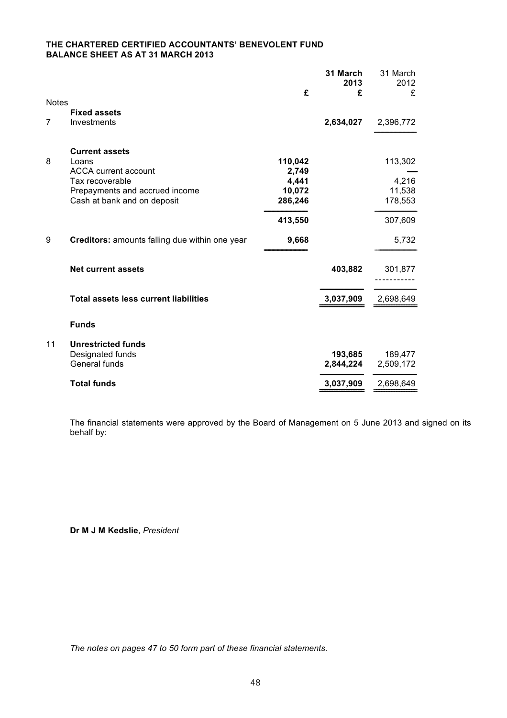## **THE CHARTERED CERTIFIED ACCOUNTANTS' BENEVOLENT FUND BALANCE SHEET AS AT 31 MARCH 2013**

|                |                                                |         | 31 March<br>2013 | 31 March<br>2012 |
|----------------|------------------------------------------------|---------|------------------|------------------|
|                |                                                | £       | £                | £                |
| <b>Notes</b>   |                                                |         |                  |                  |
|                | <b>Fixed assets</b>                            |         |                  |                  |
| $\overline{7}$ | Investments                                    |         | 2,634,027        | 2,396,772        |
|                |                                                |         |                  |                  |
|                | <b>Current assets</b>                          |         |                  |                  |
| 8              | Loans                                          | 110,042 |                  | 113,302          |
|                | <b>ACCA</b> current account                    | 2,749   |                  |                  |
|                | Tax recoverable                                | 4,441   |                  | 4,216            |
|                | Prepayments and accrued income                 | 10,072  |                  | 11,538           |
|                | Cash at bank and on deposit                    | 286,246 |                  | 178,553          |
|                |                                                | 413,550 |                  | 307,609          |
| 9              | Creditors: amounts falling due within one year | 9,668   |                  | 5,732            |
|                |                                                |         |                  |                  |
|                | <b>Net current assets</b>                      |         | 403,882          | 301,877          |
|                |                                                |         |                  |                  |
|                | <b>Total assets less current liabilities</b>   |         | 3,037,909        |                  |
|                |                                                |         |                  | 2,698,649        |
|                | <b>Funds</b>                                   |         |                  |                  |
|                |                                                |         |                  |                  |
| 11             | <b>Unrestricted funds</b>                      |         |                  |                  |
|                | Designated funds                               |         | 193,685          | 189,477          |
|                | General funds                                  |         | 2,844,224        | 2,509,172        |
|                | <b>Total funds</b>                             |         | 3,037,909        | 2,698,649        |
|                |                                                |         |                  |                  |

The financial statements were approved by the Board of Management on 5 June 2013 and signed on its behalf by:

**Dr M J M Kedslie**, *President*

*The notes on pages 47 to 50 form part of these financial statements.*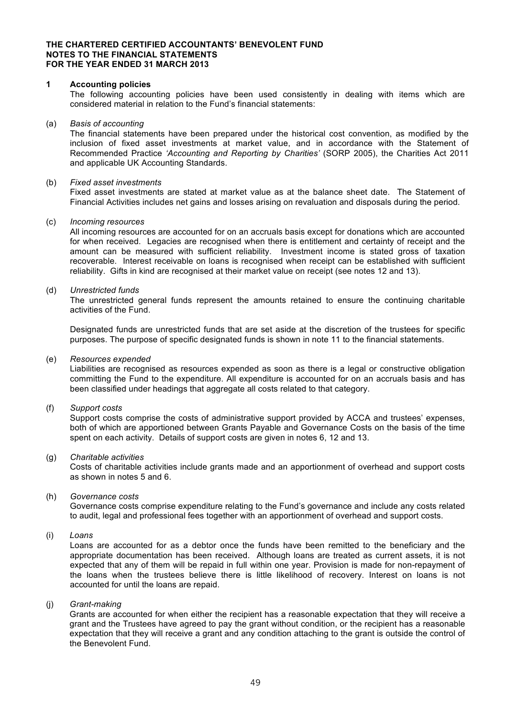#### **THE CHARTERED CERTIFIED ACCOUNTANTS' BENEVOLENT FUND NOTES TO THE FINANCIAL STATEMENTS FOR THE YEAR ENDED 31 MARCH 2013**

#### **1 Accounting policies**

The following accounting policies have been used consistently in dealing with items which are considered material in relation to the Fund's financial statements:

#### (a) *Basis of accounting*

The financial statements have been prepared under the historical cost convention, as modified by the inclusion of fixed asset investments at market value, and in accordance with the Statement of Recommended Practice *'Accounting and Reporting by Charities'* (SORP 2005), the Charities Act 2011 and applicable UK Accounting Standards.

#### (b) *Fixed asset investments*

Fixed asset investments are stated at market value as at the balance sheet date. The Statement of Financial Activities includes net gains and losses arising on revaluation and disposals during the period.

#### (c) *Incoming resources*

All incoming resources are accounted for on an accruals basis except for donations which are accounted for when received. Legacies are recognised when there is entitlement and certainty of receipt and the amount can be measured with sufficient reliability. Investment income is stated gross of taxation recoverable. Interest receivable on loans is recognised when receipt can be established with sufficient reliability. Gifts in kind are recognised at their market value on receipt (see notes 12 and 13).

#### (d) *Unrestricted funds*

The unrestricted general funds represent the amounts retained to ensure the continuing charitable activities of the Fund.

Designated funds are unrestricted funds that are set aside at the discretion of the trustees for specific purposes. The purpose of specific designated funds is shown in note 11 to the financial statements.

#### (e) *Resources expended*

Liabilities are recognised as resources expended as soon as there is a legal or constructive obligation committing the Fund to the expenditure. All expenditure is accounted for on an accruals basis and has been classified under headings that aggregate all costs related to that category.

#### (f) *Support costs*

Support costs comprise the costs of administrative support provided by ACCA and trustees' expenses, both of which are apportioned between Grants Payable and Governance Costs on the basis of the time spent on each activity. Details of support costs are given in notes 6, 12 and 13.

#### (g) *Charitable activities*

Costs of charitable activities include grants made and an apportionment of overhead and support costs as shown in notes 5 and 6.

#### (h) *Governance costs*

Governance costs comprise expenditure relating to the Fund's governance and include any costs related to audit, legal and professional fees together with an apportionment of overhead and support costs.

(i) *Loans*

Loans are accounted for as a debtor once the funds have been remitted to the beneficiary and the appropriate documentation has been received. Although loans are treated as current assets, it is not expected that any of them will be repaid in full within one year. Provision is made for non-repayment of the loans when the trustees believe there is little likelihood of recovery. Interest on loans is not accounted for until the loans are repaid.

#### (j) *Grant-making*

Grants are accounted for when either the recipient has a reasonable expectation that they will receive a grant and the Trustees have agreed to pay the grant without condition, or the recipient has a reasonable expectation that they will receive a grant and any condition attaching to the grant is outside the control of the Benevolent Fund.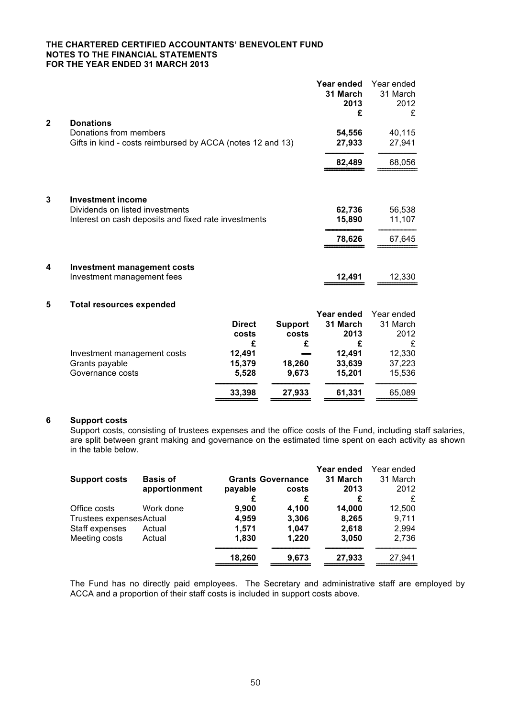#### **THE CHARTERED CERTIFIED ACCOUNTANTS' BENEVOLENT FUND NOTES TO THE FINANCIAL STATEMENTS FOR THE YEAR ENDED 31 MARCH 2013**

|              |                                                                                                                     |                             |                              | Year ended<br>31 March<br>2013<br>£ | Year ended<br>31 March<br>2012<br>£ |
|--------------|---------------------------------------------------------------------------------------------------------------------|-----------------------------|------------------------------|-------------------------------------|-------------------------------------|
| $\mathbf{2}$ | <b>Donations</b><br>Donations from members<br>Gifts in kind - costs reimbursed by ACCA (notes 12 and 13)            |                             |                              | 54,556<br>27,933                    | 40,115<br>27,941                    |
|              |                                                                                                                     |                             |                              | 82,489                              | 68,056                              |
| 3            | <b>Investment income</b><br>Dividends on listed investments<br>Interest on cash deposits and fixed rate investments |                             |                              | 62,736<br>15,890<br>78,626          | 56,538<br>11,107<br>67,645          |
| 4            | <b>Investment management costs</b><br>Investment management fees                                                    |                             |                              | 12,491                              | 12,330                              |
| 5            | <b>Total resources expended</b>                                                                                     |                             |                              | Year ended                          | Year ended                          |
|              |                                                                                                                     | <b>Direct</b><br>costs<br>£ | <b>Support</b><br>costs<br>£ | 31 March<br>2013<br>£               | 31 March<br>2012<br>£               |
|              | Investment management costs<br>Grants payable<br>Governance costs                                                   | 12,491<br>15,379<br>5,528   | 18,260<br>9,673              | 12,491<br>33,639<br>15,201          | 12,330<br>37,223<br>15,536          |
|              |                                                                                                                     | 33,398                      | 27,933                       | 61,331                              | 65,089                              |

#### **6 Support costs**

Support costs, consisting of trustees expenses and the office costs of the Fund, including staff salaries, are split between grant making and governance on the estimated time spent on each activity as shown in the table below.

|                          |                 |         |                          | Year ended | Year ended |
|--------------------------|-----------------|---------|--------------------------|------------|------------|
| <b>Support costs</b>     | <b>Basis of</b> |         | <b>Grants Governance</b> | 31 March   | 31 March   |
|                          | apportionment   | payable | costs                    | 2013       | 2012       |
|                          |                 | £       | £                        | £          | £          |
| Office costs             | Work done       | 9,900   | 4.100                    | 14,000     | 12,500     |
| Trustees expenses Actual |                 | 4,959   | 3,306                    | 8,265      | 9,711      |
| Staff expenses           | Actual          | 1,571   | 1,047                    | 2,618      | 2,994      |
| Meeting costs            | Actual          | 1,830   | 1,220                    | 3,050      | 2,736      |
|                          |                 | 18,260  | 9,673                    | 27,933     | 27,941     |

The Fund has no directly paid employees. The Secretary and administrative staff are employed by ACCA and a proportion of their staff costs is included in support costs above.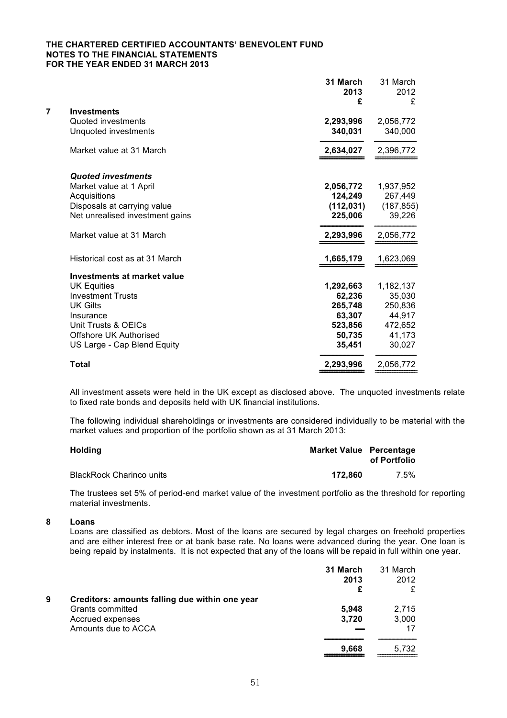#### **THE CHARTERED CERTIFIED ACCOUNTANTS' BENEVOLENT FUND NOTES TO THE FINANCIAL STATEMENTS FOR THE YEAR ENDED 31 MARCH 2013**

| 7<br><b>Investments</b><br>Quoted investments<br>2,293,996<br>Unquoted investments<br>340,031<br>Market value at 31 March<br>2,634,027<br><b>Quoted investments</b><br>Market value at 1 April<br>2,056,772<br>124,249<br>Acquisitions<br>Disposals at carrying value<br>(112, 031)<br>Net unrealised investment gains<br>225,006<br>Market value at 31 March<br>2,293,996<br>Historical cost as at 31 March<br>1,665,179<br>Investments at market value<br><b>UK Equities</b><br>1,292,663<br><b>Investment Trusts</b><br>62,236<br><b>UK Gilts</b><br>265,748<br>63,307<br>Insurance<br>Unit Trusts & OEICs<br>523,856<br><b>Offshore UK Authorised</b><br>50,735<br>35,451<br>US Large - Cap Blend Equity |              | 31 March<br>2013<br>£ | 31 March<br>2012<br>£ |
|--------------------------------------------------------------------------------------------------------------------------------------------------------------------------------------------------------------------------------------------------------------------------------------------------------------------------------------------------------------------------------------------------------------------------------------------------------------------------------------------------------------------------------------------------------------------------------------------------------------------------------------------------------------------------------------------------------------|--------------|-----------------------|-----------------------|
|                                                                                                                                                                                                                                                                                                                                                                                                                                                                                                                                                                                                                                                                                                              |              |                       |                       |
|                                                                                                                                                                                                                                                                                                                                                                                                                                                                                                                                                                                                                                                                                                              |              |                       | 2,056,772             |
|                                                                                                                                                                                                                                                                                                                                                                                                                                                                                                                                                                                                                                                                                                              |              |                       | 340,000               |
|                                                                                                                                                                                                                                                                                                                                                                                                                                                                                                                                                                                                                                                                                                              |              |                       | 2,396,772             |
|                                                                                                                                                                                                                                                                                                                                                                                                                                                                                                                                                                                                                                                                                                              |              |                       |                       |
|                                                                                                                                                                                                                                                                                                                                                                                                                                                                                                                                                                                                                                                                                                              |              |                       | 1,937,952             |
|                                                                                                                                                                                                                                                                                                                                                                                                                                                                                                                                                                                                                                                                                                              |              |                       | 267,449               |
|                                                                                                                                                                                                                                                                                                                                                                                                                                                                                                                                                                                                                                                                                                              |              |                       | (187, 855)            |
|                                                                                                                                                                                                                                                                                                                                                                                                                                                                                                                                                                                                                                                                                                              |              |                       | 39,226                |
|                                                                                                                                                                                                                                                                                                                                                                                                                                                                                                                                                                                                                                                                                                              |              |                       | 2,056,772             |
|                                                                                                                                                                                                                                                                                                                                                                                                                                                                                                                                                                                                                                                                                                              |              |                       | 1,623,069             |
|                                                                                                                                                                                                                                                                                                                                                                                                                                                                                                                                                                                                                                                                                                              |              |                       |                       |
|                                                                                                                                                                                                                                                                                                                                                                                                                                                                                                                                                                                                                                                                                                              |              |                       | 1,182,137             |
|                                                                                                                                                                                                                                                                                                                                                                                                                                                                                                                                                                                                                                                                                                              |              |                       | 35,030                |
|                                                                                                                                                                                                                                                                                                                                                                                                                                                                                                                                                                                                                                                                                                              |              |                       | 250,836               |
|                                                                                                                                                                                                                                                                                                                                                                                                                                                                                                                                                                                                                                                                                                              |              |                       | 44,917                |
|                                                                                                                                                                                                                                                                                                                                                                                                                                                                                                                                                                                                                                                                                                              |              |                       | 472,652               |
|                                                                                                                                                                                                                                                                                                                                                                                                                                                                                                                                                                                                                                                                                                              |              |                       | 41,173                |
|                                                                                                                                                                                                                                                                                                                                                                                                                                                                                                                                                                                                                                                                                                              |              |                       | 30,027                |
|                                                                                                                                                                                                                                                                                                                                                                                                                                                                                                                                                                                                                                                                                                              | <b>Total</b> | 2,293,996             | 2,056,772             |

All investment assets were held in the UK except as disclosed above. The unquoted investments relate to fixed rate bonds and deposits held with UK financial institutions.

The following individual shareholdings or investments are considered individually to be material with the market values and proportion of the portfolio shown as at 31 March 2013:

| <b>Holding</b>                  | <b>Market Value</b> Percentage | of Portfolio |
|---------------------------------|--------------------------------|--------------|
| <b>BlackRock Charinco units</b> | 172.860                        | $7.5\%$      |

The trustees set 5% of period-end market value of the investment portfolio as the threshold for reporting material investments.

**8 Loans**

Loans are classified as debtors. Most of the loans are secured by legal charges on freehold properties and are either interest free or at bank base rate. No loans were advanced during the year. One loan is being repaid by instalments. It is not expected that any of the loans will be repaid in full within one year.

|   |                                                | 31 March<br>2013 | 31 March<br>2012 |
|---|------------------------------------------------|------------------|------------------|
|   |                                                | £                |                  |
| 9 | Creditors: amounts falling due within one year |                  |                  |
|   | Grants committed                               | 5,948            | 2,715            |
|   | Accrued expenses                               | 3,720            | 3,000            |
|   | Amounts due to ACCA                            |                  | 17               |
|   |                                                | 9,668            | 5.732            |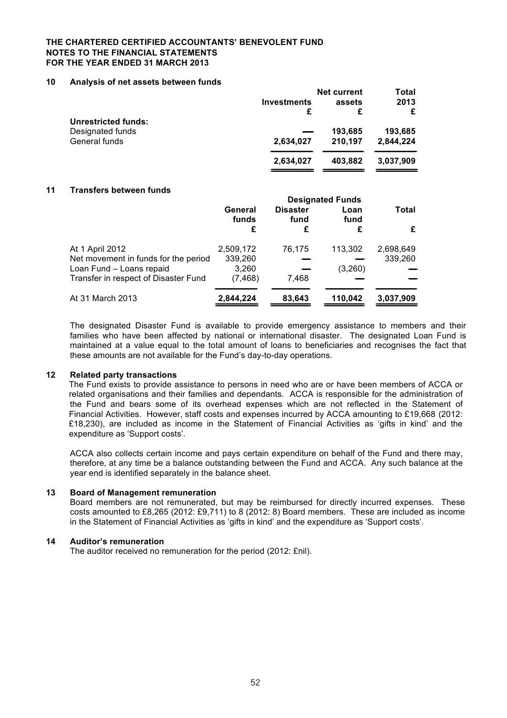#### **THE CHARTERED CERTIFIED ACCOUNTANTS' BENEVOLENT FUND NOTES TO THE FINANCIAL STATEMENTS FOR THE YEAR ENDED 31 MARCH 2013**

#### **10 Analysis of net assets between funds**

|                            |                    | <b>Net current</b> | Total     |
|----------------------------|--------------------|--------------------|-----------|
|                            | <b>Investments</b> | assets             | 2013      |
|                            | £                  | £                  | £         |
| <b>Unrestricted funds:</b> |                    |                    |           |
| Designated funds           |                    | 193,685            | 193,685   |
| General funds              | 2,634,027          | 210,197            | 2,844,224 |
|                            | 2.634.027          | 403.882            | 3,037,909 |
|                            |                    |                    |           |

#### **11 Transfers between funds**

|                                      | <b>Designated Funds</b> |                         |              |           |
|--------------------------------------|-------------------------|-------------------------|--------------|-----------|
|                                      | General<br>funds        | <b>Disaster</b><br>fund | Loan<br>fund | Total     |
|                                      | £                       | £                       | £            | £         |
| At 1 April 2012                      | 2,509,172               | 76,175                  | 113,302      | 2,698,649 |
| Net movement in funds for the period | 339,260                 |                         |              | 339,260   |
| Loan Fund - Loans repaid             | 3,260                   |                         | (3,260)      |           |
| Transfer in respect of Disaster Fund | (7, 468)                | 7.468                   |              |           |
| At 31 March 2013                     | 2,844,224               | 83,643                  | 110,042      | 3,037,909 |

The designated Disaster Fund is available to provide emergency assistance to members and their families who have been affected by national or international disaster. The designated Loan Fund is maintained at a value equal to the total amount of loans to beneficiaries and recognises the fact that these amounts are not available for the Fund's day-to-day operations.

#### **12 Related party transactions**

The Fund exists to provide assistance to persons in need who are or have been members of ACCA or related organisations and their families and dependants. ACCA is responsible for the administration of the Fund and bears some of its overhead expenses which are not reflected in the Statement of Financial Activities. However, staff costs and expenses incurred by ACCA amounting to £19,668 (2012: £18,230), are included as income in the Statement of Financial Activities as 'gifts in kind' and the expenditure as 'Support costs'.

ACCA also collects certain income and pays certain expenditure on behalf of the Fund and there may, therefore, at any time be a balance outstanding between the Fund and ACCA. Any such balance at the year end is identified separately in the balance sheet.

#### **13 Board of Management remuneration**

Board members are not remunerated, but may be reimbursed for directly incurred expenses. These costs amounted to £8,265 (2012: £9,711) to 8 (2012: 8) Board members. These are included as income in the Statement of Financial Activities as 'gifts in kind' and the expenditure as 'Support costs'.

#### **14 Auditor's remuneration**

The auditor received no remuneration for the period (2012: £nil).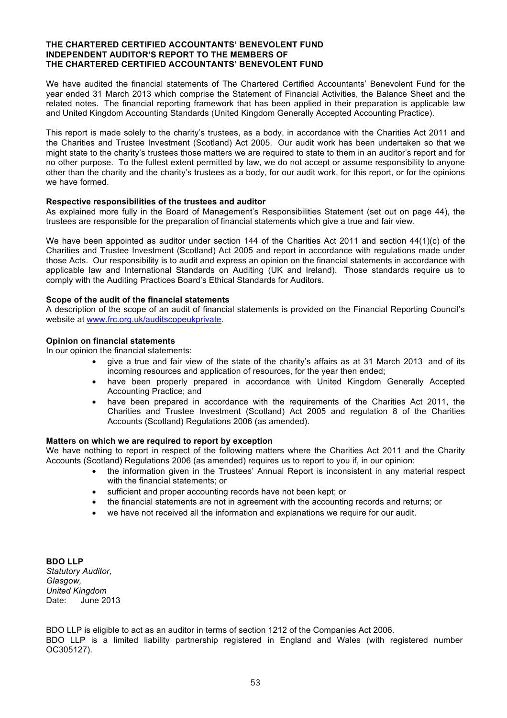#### **THE CHARTERED CERTIFIED ACCOUNTANTS' BENEVOLENT FUND INDEPENDENT AUDITOR'S REPORT TO THE MEMBERS OF THE CHARTERED CERTIFIED ACCOUNTANTS' BENEVOLENT FUND**

We have audited the financial statements of The Chartered Certified Accountants' Benevolent Fund for the year ended 31 March 2013 which comprise the Statement of Financial Activities, the Balance Sheet and the related notes. The financial reporting framework that has been applied in their preparation is applicable law and United Kingdom Accounting Standards (United Kingdom Generally Accepted Accounting Practice).

This report is made solely to the charity's trustees, as a body, in accordance with the Charities Act 2011 and the Charities and Trustee Investment (Scotland) Act 2005. Our audit work has been undertaken so that we might state to the charity's trustees those matters we are required to state to them in an auditor's report and for no other purpose. To the fullest extent permitted by law, we do not accept or assume responsibility to anyone other than the charity and the charity's trustees as a body, for our audit work, for this report, or for the opinions we have formed.

#### **Respective responsibilities of the trustees and auditor**

As explained more fully in the Board of Management's Responsibilities Statement (set out on page 44), the trustees are responsible for the preparation of financial statements which give a true and fair view.

We have been appointed as auditor under section 144 of the Charities Act 2011 and section 44(1)(c) of the Charities and Trustee Investment (Scotland) Act 2005 and report in accordance with regulations made under those Acts. Our responsibility is to audit and express an opinion on the financial statements in accordance with applicable law and International Standards on Auditing (UK and Ireland). Those standards require us to comply with the Auditing Practices Board's Ethical Standards for Auditors.

## **Scope of the audit of the financial statements**

A description of the scope of an audit of financial statements is provided on the Financial Reporting Council's website at www.frc.org.uk/auditscopeukprivate.

#### **Opinion on financial statements**

In our opinion the financial statements:

- give a true and fair view of the state of the charity's affairs as at 31 March 2013 and of its incoming resources and application of resources, for the year then ended;
- have been properly prepared in accordance with United Kingdom Generally Accepted Accounting Practice; and
- have been prepared in accordance with the requirements of the Charities Act 2011, the Charities and Trustee Investment (Scotland) Act 2005 and regulation 8 of the Charities Accounts (Scotland) Regulations 2006 (as amended).

#### **Matters on which we are required to report by exception**

We have nothing to report in respect of the following matters where the Charities Act 2011 and the Charity Accounts (Scotland) Regulations 2006 (as amended) requires us to report to you if, in our opinion:

- the information given in the Trustees' Annual Report is inconsistent in any material respect with the financial statements; or
	- sufficient and proper accounting records have not been kept; or
	- the financial statements are not in agreement with the accounting records and returns; or
	- we have not received all the information and explanations we require for our audit.

**BDO LLP** *Statutory Auditor, Glasgow, United Kingdom* Date: June 2013

BDO LLP is eligible to act as an auditor in terms of section 1212 of the Companies Act 2006. BDO LLP is a limited liability partnership registered in England and Wales (with registered number OC305127).